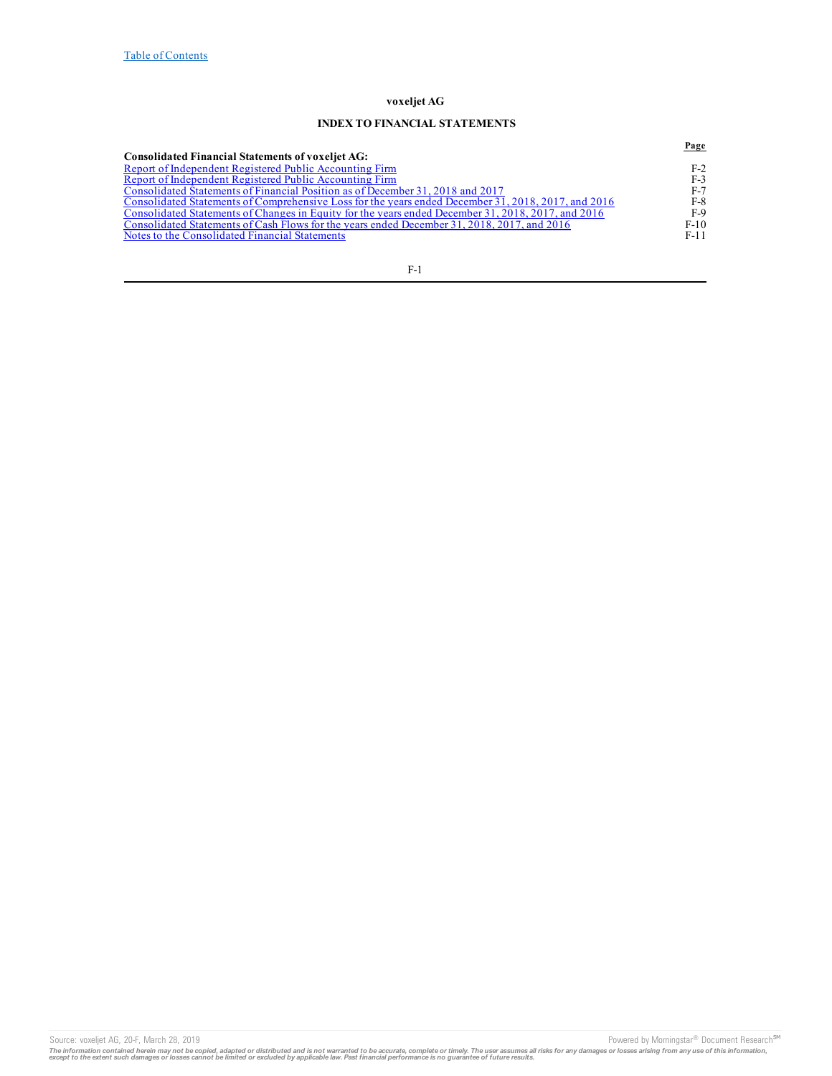# **INDEX TO FINANCIAL STATEMENTS**

|                                                                                                     | Page   |
|-----------------------------------------------------------------------------------------------------|--------|
| <b>Consolidated Financial Statements of voxeliet AG:</b>                                            |        |
| Report of Independent Registered Public Accounting Firm                                             | $F-2$  |
| Report of Independent Registered Public Accounting Firm                                             | $F-3$  |
| Consolidated Statements of Financial Position as of December 31, 2018 and 2017                      | $F-7$  |
| Consolidated Statements of Comprehensive Loss for the years ended December 31, 2018, 2017, and 2016 | F-8    |
| Consolidated Statements of Changes in Equity for the years ended December 31, 2018, 2017, and 2016  | F-9    |
| Consolidated Statements of Cash Flows for the years ended December 31, 2018, 2017, and 2016         | $F-10$ |
| Notes to the Consolidated Financial Statements                                                      | $F-11$ |
|                                                                                                     |        |

F-1

Source: voxeljet AG, 20-F, March 28, 2019<br>The information contained herein may not be copied, adapted or distributed and is not warranted to be accurate, complete or timely. The user assumes all risks for any damages or lo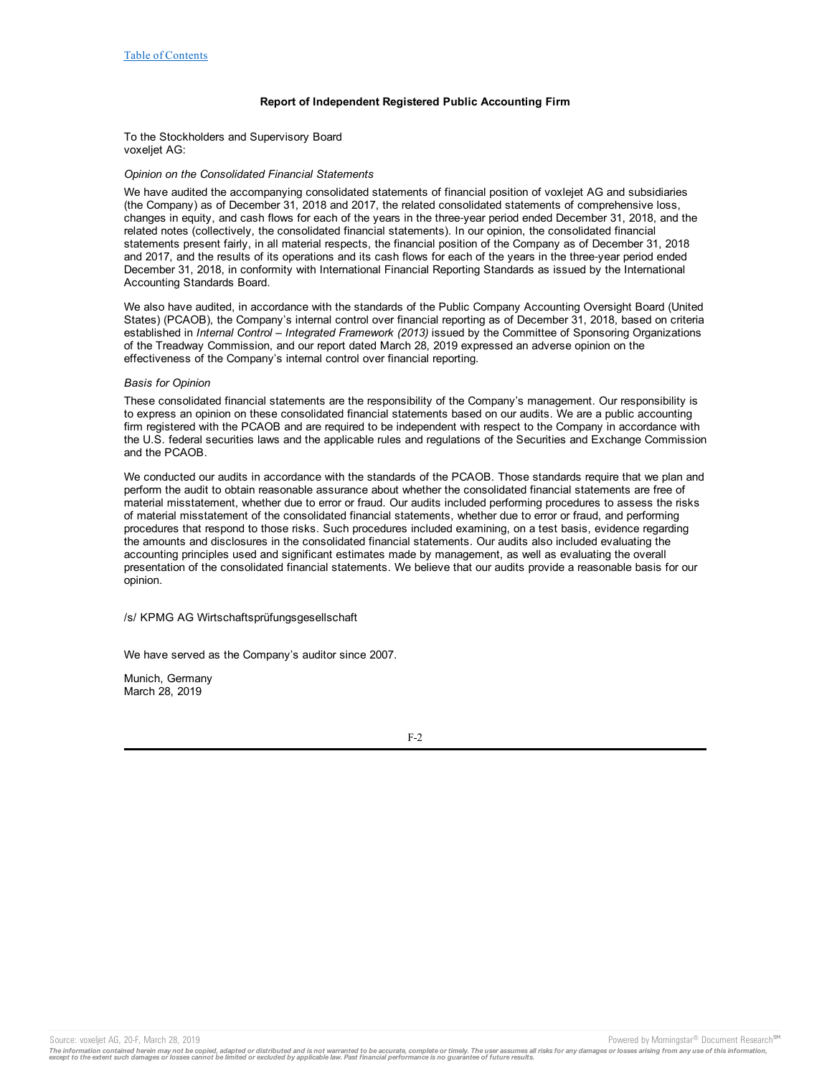## **Report of Independent Registered Public Accounting Firm**

To the Stockholders and Supervisory Board voxeljet AG:

### *Opinion on the Consolidated Financial Statements*

We have audited the accompanying consolidated statements of financial position of voxlejet AG and subsidiaries (the Company) as of December 31, 2018 and 2017, the related consolidated statements of comprehensive loss, changes in equity, and cash flows for each of the years in the three‑year period ended December 31, 2018, and the related notes (collectively, the consolidated financial statements). In our opinion, the consolidated financial statements present fairly, in all material respects, the financial position of the Company as of December 31, 2018 and 2017, and the results of its operations and its cash flows for each of the years in the three-year period ended December 31, 2018, in conformity with International Financial Reporting Standards as issued by the International Accounting Standards Board.

We also have audited, in accordance with the standards of the Public Company Accounting Oversight Board (United States) (PCAOB), the Company's internal control over financial reporting as of December 31, 2018, based on criteria established in *Internal Control – Integrated Framework (2013)* issued by the Committee of Sponsoring Organizations of the Treadway Commission, and our report dated March 28, 2019 expressed an adverse opinion on the effectiveness of the Company's internal control over financial reporting.

### *Basis for Opinion*

These consolidated financial statements are the responsibility of the Company's management. Our responsibility is to express an opinion on these consolidated financial statements based on our audits. We are a public accounting firm registered with the PCAOB and are required to be independent with respect to the Company in accordance with the U.S. federal securities laws and the applicable rules and regulations of the Securities and Exchange Commission and the PCAOB.

We conducted our audits in accordance with the standards of the PCAOB. Those standards require that we plan and perform the audit to obtain reasonable assurance about whether the consolidated financial statements are free of material misstatement, whether due to error or fraud. Our audits included performing procedures to assess the risks of material misstatement of the consolidated financial statements, whether due to error or fraud, and performing procedures that respond to those risks. Such procedures included examining, on a test basis, evidence regarding the amounts and disclosures in the consolidated financial statements. Our audits also included evaluating the accounting principles used and significant estimates made by management, as well as evaluating the overall presentation of the consolidated financial statements. We believe that our audits provide a reasonable basis for our opinion.

/s/ KPMG AG Wirtschaftsprüfungsgesellschaft

We have served as the Company's auditor since 2007.

Munich, Germany March 28, 2019

F-2

Source: voxeljet AG, 20-F, March 28, 2019 **Powered by Morningstar® Document Research** in Powered by Morningstar® Document Research in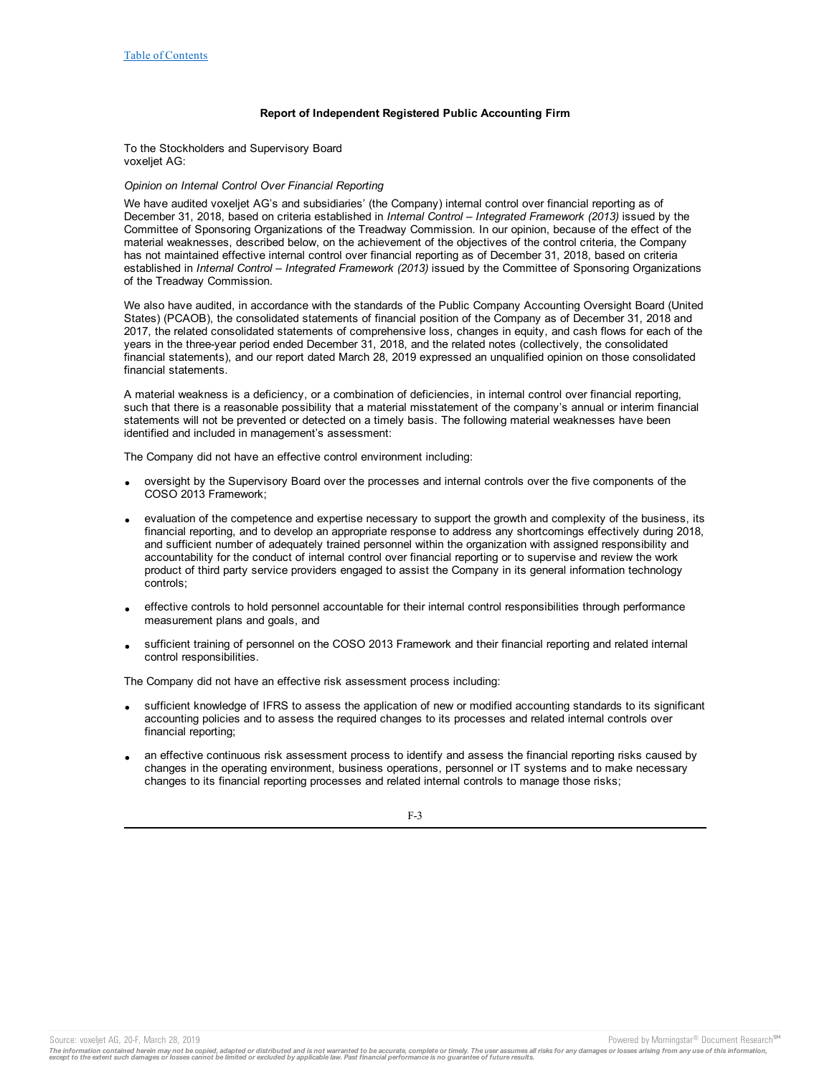## **Report of Independent Registered Public Accounting Firm**

<span id="page-2-0"></span>To the Stockholders and Supervisory Board voxeljet AG:

## *Opinion on Internal Control Over Financial Reporting*

We have audited voxeljet AG's and subsidiaries' (the Company) internal control over financial reporting as of December 31, 2018, based on criteria established in *Internal Control – Integrated Framework (2013)* issued by the Committee of Sponsoring Organizations of the Treadway Commission. In our opinion, because of the effect of the material weaknesses, described below, on the achievement of the objectives of the control criteria, the Company has not maintained effective internal control over financial reporting as of December 31, 2018, based on criteria established in *Internal Control – Integrated Framework (2013)* issued by the Committee of Sponsoring Organizations of the Treadway Commission.

We also have audited, in accordance with the standards of the Public Company Accounting Oversight Board (United States) (PCAOB), the consolidated statements of financial position of the Company as of December 31, 2018 and 2017, the related consolidated statements of comprehensive loss, changes in equity, and cash flows for each of the years in the three-year period ended December 31, 2018, and the related notes (collectively, the consolidated financial statements), and our report dated March 28, 2019 expressed an unqualified opinion on those consolidated financial statements.

A material weakness is a deficiency, or a combination of deficiencies, in internal control over financial reporting, such that there is a reasonable possibility that a material misstatement of the company's annual or interim financial statements will not be prevented or detected on a timely basis. The following material weaknesses have been identified and included in management's assessment:

The Company did not have an effective control environment including:

- · oversight by the Supervisory Board over the processes and internal controls over the five components of the COSO 2013 Framework;
- evaluation of the competence and expertise necessary to support the growth and complexity of the business, its financial reporting, and to develop an appropriate response to address any shortcomings effectively during 2018, and sufficient number of adequately trained personnel within the organization with assigned responsibility and accountability for the conduct of internal control over financial reporting or to supervise and review the work product of third party service providers engaged to assist the Company in its general information technology controls;
- · effective controls to hold personnel accountable for their internal control responsibilities through performance measurement plans and goals, and
- sufficient training of personnel on the COSO 2013 Framework and their financial reporting and related internal control responsibilities.

The Company did not have an effective risk assessment process including:

- · sufficient knowledge of IFRS to assess the application of new or modified accounting standards to its significant accounting policies and to assess the required changes to its processes and related internal controls over financial reporting;
- an effective continuous risk assessment process to identify and assess the financial reporting risks caused by changes in the operating environment, business operations, personnel or IT systems and to make necessary changes to its financial reporting processes and related internal controls to manage those risks;

F-3

The information contained herein may not be copied, adapted or distributed and is not warranted to be accurate, complete or timely. The user assumes all risks for any damages or losses arising from any use of this informat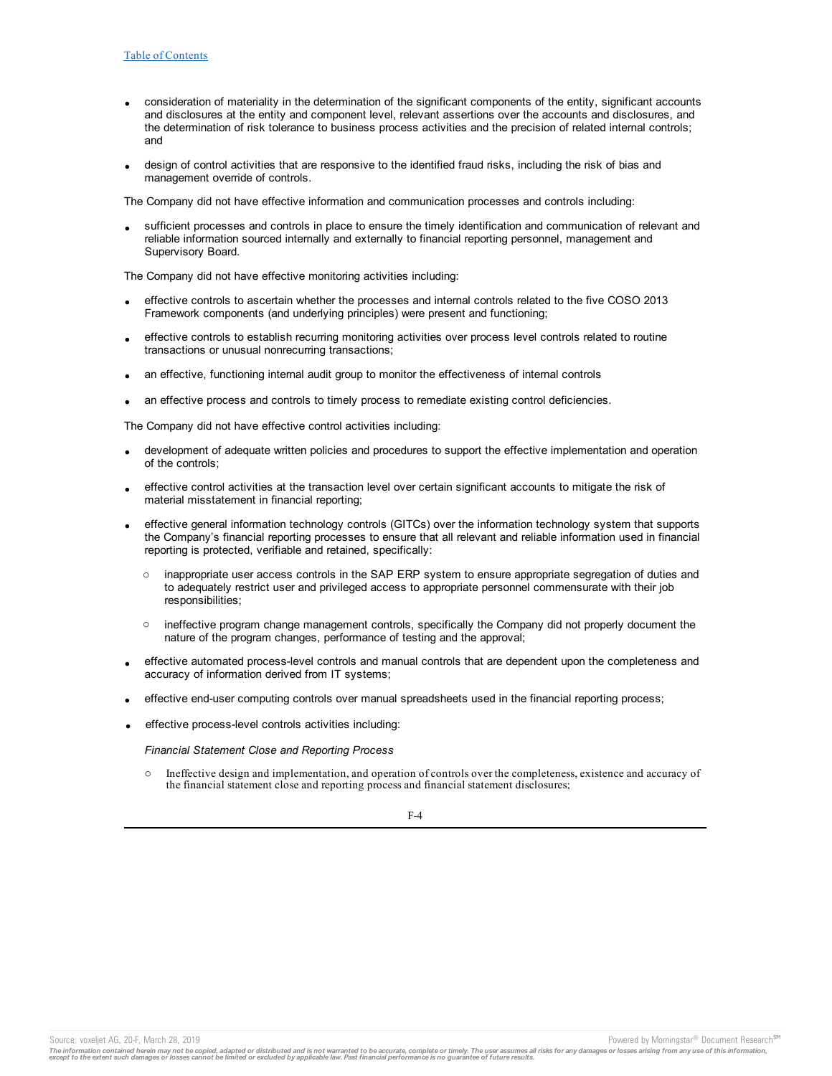- · consideration of materiality in the determination of the significant components of the entity, significant accounts and disclosures at the entity and component level, relevant assertions over the accounts and disclosures, and the determination of risk tolerance to business process activities and the precision of related internal controls; and
- design of control activities that are responsive to the identified fraud risks, including the risk of bias and management override of controls.

The Company did not have effective information and communication processes and controls including:

sufficient processes and controls in place to ensure the timely identification and communication of relevant and reliable information sourced internally and externally to financial reporting personnel, management and Supervisory Board.

The Company did not have effective monitoring activities including:

- effective controls to ascertain whether the processes and internal controls related to the five COSO 2013 Framework components (and underlying principles) were present and functioning;
- · effective controls to establish recurring monitoring activities over process level controls related to routine transactions or unusual nonrecurring transactions;
- an effective, functioning internal audit group to monitor the effectiveness of internal controls
- an effective process and controls to timely process to remediate existing control deficiencies.

The Company did not have effective control activities including:

- development of adequate written policies and procedures to support the effective implementation and operation of the controls;
- effective control activities at the transaction level over certain significant accounts to mitigate the risk of material misstatement in financial reporting;
- effective general information technology controls (GITCs) over the information technology system that supports the Company's financial reporting processes to ensure that all relevant and reliable information used in financial reporting is protected, verifiable and retained, specifically:
	- o inappropriate user access controls in the SAP ERP system to ensure appropriate segregation of duties and to adequately restrict user and privileged access to appropriate personnel commensurate with their job responsibilities;
	- $\circ$  ineffective program change management controls, specifically the Company did not properly document the nature of the program changes, performance of testing and the approval;
- · effective automated process-level controls and manual controls that are dependent upon the completeness and accuracy of information derived from IT systems;
- effective end-user computing controls over manual spreadsheets used in the financial reporting process;
- · effective process-level controls activities including:

*Financial Statement Close and Reporting Process*

Ineffective design and implementation, and operation of controls over the completeness, existence and accuracy of the financial statement close and reporting process and financial statement disclosures;

F-4

The information contained herein may not be copied, adapted or distributed and is not warranted to be accurate, complete or timely. The user assumes all risks for any damages or losses arising from any use of this informat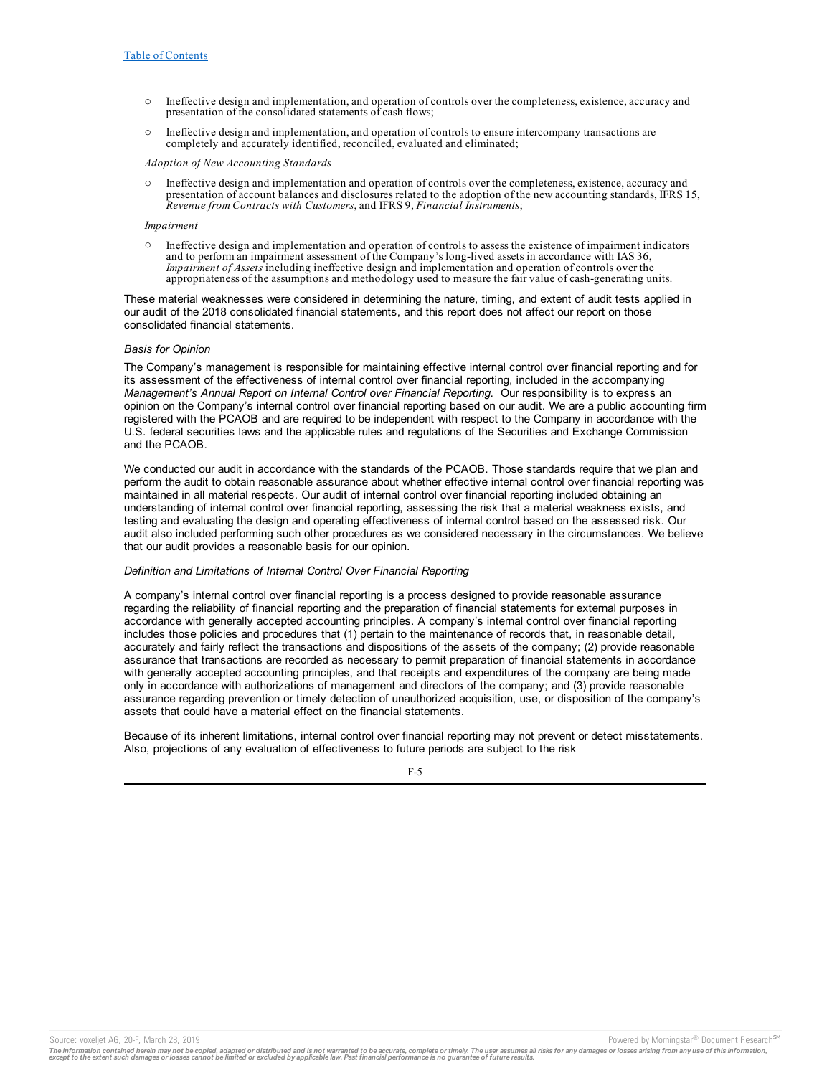- o Ineffective design and implementation, and operation of controls over the completeness, existence, accuracy and presentation of the consolidated statements of cash flows;
- $\circ$  Ineffective design and implementation, and operation of controls to ensure intercompany transactions are completely and accurately identified, reconciled, evaluated and eliminated;

### *Adoption of New Accounting Standards*

o Ineffective design and implementation and operation of controls over the completeness, existence, accuracy and presentation of account balances and disclosures related to the adoption of the new accounting standards, IFRS 15, *Revenue from Contracts with Customers*, and IFRS 9, *Financial Instruments*;

#### *Impairment*

o Ineffective design and implementation and operation of controls to assess the existence of impairment indicators and to perform an impairment assessment of the Company's long-lived assets in accordance with IAS 36, *Impairment of Assets* including ineffective design and implementation and operation of controls over the appropriateness of the assumptions and methodology used to measure the fair value of cash-generating units.

These material weaknesses were considered in determining the nature, timing, and extent of audit tests applied in our audit of the 2018 consolidated financial statements, and this report does not affect our report on those consolidated financial statements.

## *Basis for Opinion*

The Company's management is responsible for maintaining effective internal control over financial reporting and for its assessment of the effectiveness of internal control over financial reporting, included in the accompanying *Management's Annual Report on Internal Control over Financial Reporting*. Our responsibility is to express an opinion on the Company's internal control over financial reporting based on our audit. We are a public accounting firm registered with the PCAOB and are required to be independent with respect to the Company in accordance with the U.S. federal securities laws and the applicable rules and regulations of the Securities and Exchange Commission and the PCAOB.

We conducted our audit in accordance with the standards of the PCAOB. Those standards require that we plan and perform the audit to obtain reasonable assurance about whether effective internal control over financial reporting was maintained in all material respects. Our audit of internal control over financial reporting included obtaining an understanding of internal control over financial reporting, assessing the risk that a material weakness exists, and testing and evaluating the design and operating effectiveness of internal control based on the assessed risk. Our audit also included performing such other procedures as we considered necessary in the circumstances. We believe that our audit provides a reasonable basis for our opinion.

### *Definition and Limitations of Internal Control Over Financial Reporting*

A company's internal control over financial reporting is a process designed to provide reasonable assurance regarding the reliability of financial reporting and the preparation of financial statements for external purposes in accordance with generally accepted accounting principles. A company's internal control over financial reporting includes those policies and procedures that (1) pertain to the maintenance of records that, in reasonable detail, accurately and fairly reflect the transactions and dispositions of the assets of the company; (2) provide reasonable assurance that transactions are recorded as necessary to permit preparation of financial statements in accordance with generally accepted accounting principles, and that receipts and expenditures of the company are being made only in accordance with authorizations of management and directors of the company; and (3) provide reasonable assurance regarding prevention or timely detection of unauthorized acquisition, use, or disposition of the company's assets that could have a material effect on the financial statements.

Because of its inherent limitations, internal control over financial reporting may not prevent or detect misstatements. Also, projections of any evaluation of effectiveness to future periods are subject to the risk

#### F-5

The information contained herein may not be copied, adapted or distributed and is not warranted to be accurate, complete or timely. The user assumes all risks for any damages or losses arising from any use of this informat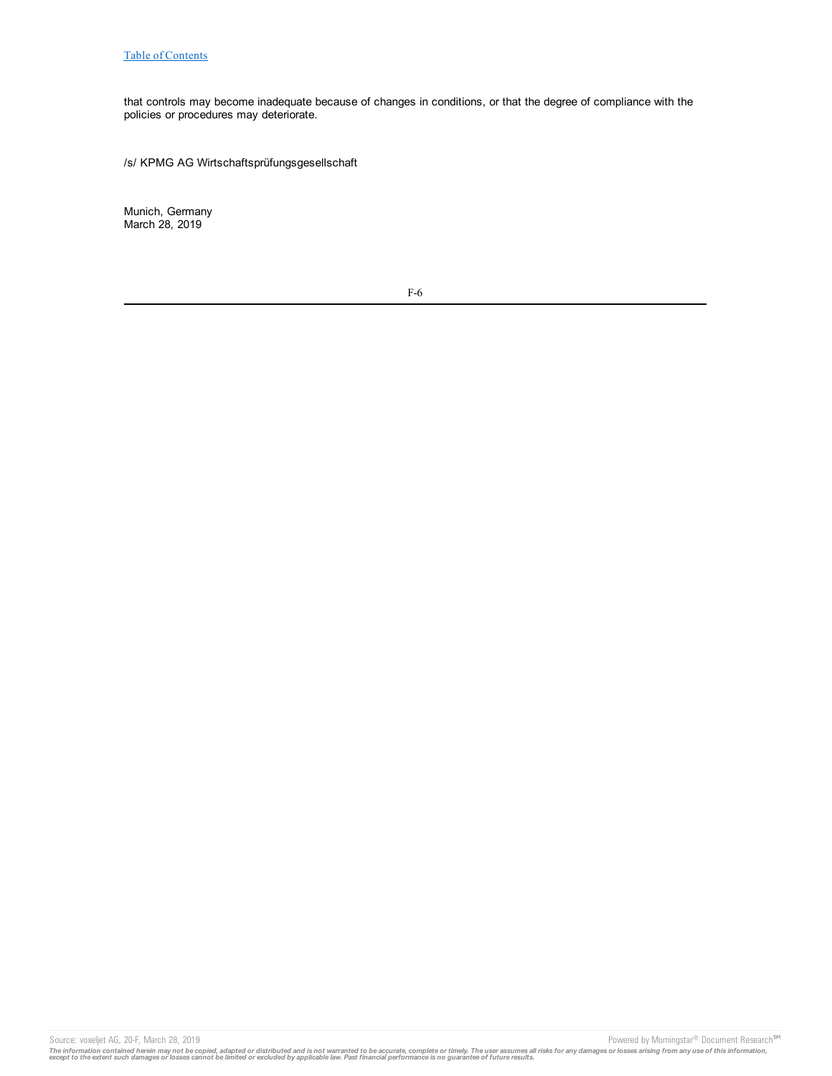that controls may become inadequate because of changes in conditions, or that the degree of compliance with the policies or procedures may deteriorate.

/s/ KPMG AG Wirtschaftsprüfungsgesellschaft

Munich, Germany March 28, 2019

F-6

Source: voxeljet AG, 20-F, March 28, 2019 **Powered by Morningstar® Document Research** SM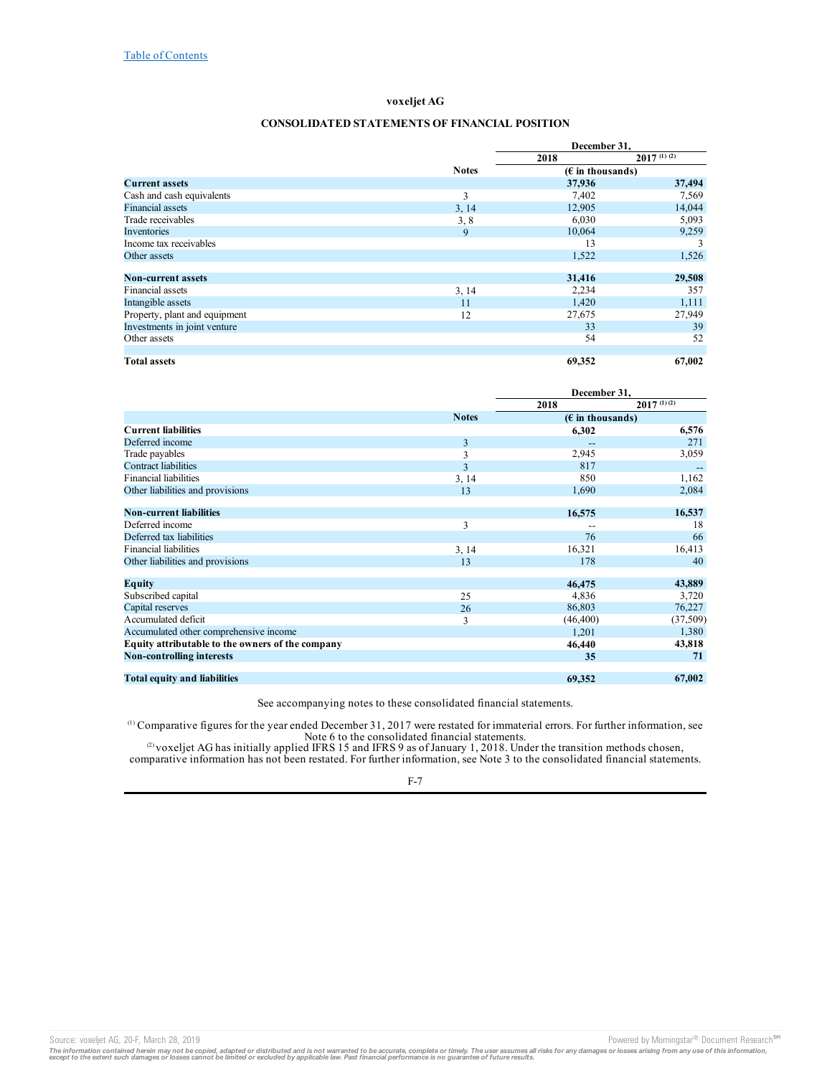## **CONSOLIDATED STATEMENTS OF FINANCIAL POSITION**

<span id="page-6-0"></span>

|                               |              | December 31,                       |                 |
|-------------------------------|--------------|------------------------------------|-----------------|
|                               |              | 2018                               | $2017^{(1)(2)}$ |
|                               | <b>Notes</b> | $(E \in \mathbb{R})$ in thousands) |                 |
| <b>Current assets</b>         |              | 37,936                             | 37,494          |
| Cash and cash equivalents     | 3            | 7,402                              | 7,569           |
| <b>Financial assets</b>       | 3, 14        | 12,905                             | 14,044          |
| Trade receivables             | 3, 8         | 6,030                              | 5,093           |
| Inventories                   | 9            | 10,064                             | 9,259           |
| Income tax receivables        |              | 13                                 | 3               |
| Other assets                  |              | 1,522                              | 1,526           |
|                               |              |                                    |                 |
| <b>Non-current assets</b>     |              | 31,416                             | 29,508          |
| Financial assets              | 3, 14        | 2,234                              | 357             |
| Intangible assets             | 11           | 1,420                              | 1,111           |
| Property, plant and equipment | 12           | 27,675                             | 27,949          |
| Investments in joint venture  |              | 33                                 | 39              |
| Other assets                  |              | 54                                 | 52              |
|                               |              |                                    |                 |
| <b>Total assets</b>           |              | 69,352                             | 67,002          |

|                                                  |              | December 31,       |                 |
|--------------------------------------------------|--------------|--------------------|-----------------|
|                                                  |              | 2018               | $2017^{(1)(2)}$ |
|                                                  | <b>Notes</b> | $(E$ in thousands) |                 |
| <b>Current liabilities</b>                       |              | 6,302              | 6,576           |
| Deferred income                                  | 3            |                    | 271             |
| Trade payables                                   | 3            | 2,945              | 3,059           |
| <b>Contract liabilities</b>                      | 3            | 817                | $-$             |
| <b>Financial liabilities</b>                     | 3, 14        | 850                | 1,162           |
| Other liabilities and provisions                 | 13           | 1,690              | 2,084           |
|                                                  |              |                    |                 |
| <b>Non-current liabilities</b>                   |              | 16,575             | 16,537          |
| Deferred income                                  | 3            |                    | 18              |
| Deferred tax liabilities                         |              | 76                 | 66              |
| <b>Financial liabilities</b>                     | 3, 14        | 16,321             | 16,413          |
| Other liabilities and provisions                 | 13           | 178                | 40              |
|                                                  |              |                    |                 |
| Equity                                           |              | 46,475             | 43,889          |
| Subscribed capital                               | 25           | 4,836              | 3,720           |
| Capital reserves                                 | 26           | 86,803             | 76,227          |
| Accumulated deficit                              | 3            | (46, 400)          | (37,509)        |
| Accumulated other comprehensive income           |              | 1.201              | 1,380           |
| Equity attributable to the owners of the company |              | 46,440             | 43,818          |
| <b>Non-controlling interests</b>                 |              | 35                 | 71              |
|                                                  |              |                    |                 |
| <b>Total equity and liabilities</b>              |              | 69,352             | 67,002          |

See accompanying notes to these consolidated financial statements.

Comparative figures for the year ended December 31, 2017 were restated for immaterial errors. For further information, see Note 6 to the consolidated financial statements. (1)

voxeljet AG has initially applied IFRS 15 and IFRS 9 as of January 1, 2018. Under the transition methods chosen, comparative information has not been restated. For further information, see Note 3 to the consolidated financial statements. (2)

## F-7

Source: voxeljet AG, 20-F, March 28, 2019 **Powered by Morningstar® Document Research** Morningstar® Document Research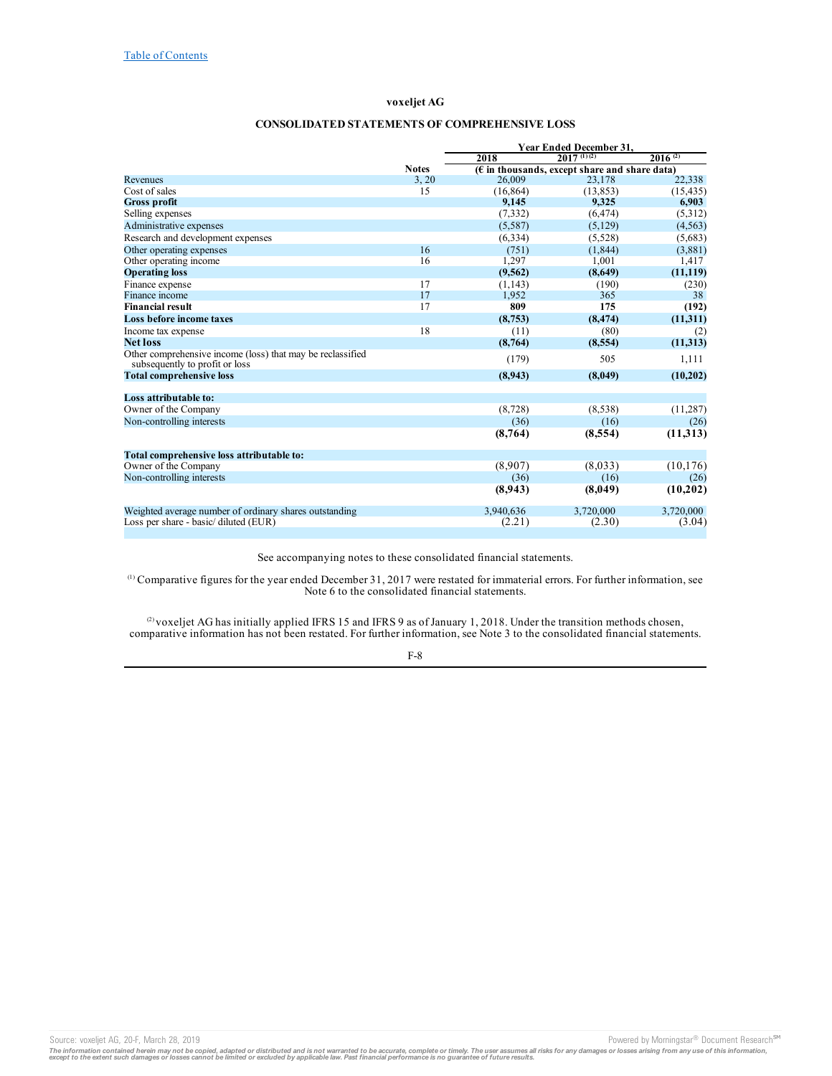# **CONSOLIDATED STATEMENTS OF COMPREHENSIVE LOSS**

<span id="page-7-0"></span>

|                                                                                              |              | <b>Year Ended December 31,</b> |                                                        |              |  |  |
|----------------------------------------------------------------------------------------------|--------------|--------------------------------|--------------------------------------------------------|--------------|--|--|
|                                                                                              |              | 2018                           | $2017^{(1)(2)}$                                        | $2016^{(2)}$ |  |  |
|                                                                                              | <b>Notes</b> |                                | $(\epsilon$ in thousands, except share and share data) |              |  |  |
| Revenues                                                                                     | 3, 20        | 26,009                         | 23,178                                                 | 22,338       |  |  |
| Cost of sales                                                                                | 15           | (16, 864)                      | (13, 853)                                              | (15, 435)    |  |  |
| <b>Gross profit</b>                                                                          |              | 9,145                          | 9,325                                                  | 6,903        |  |  |
| Selling expenses                                                                             |              | (7, 332)                       | (6, 474)                                               | (5,312)      |  |  |
| Administrative expenses                                                                      |              | (5,587)                        | (5,129)                                                | (4, 563)     |  |  |
| Research and development expenses                                                            |              | (6, 334)                       | (5,528)                                                | (5,683)      |  |  |
| Other operating expenses                                                                     | 16           | (751)                          | (1, 844)                                               | (3,881)      |  |  |
| Other operating income                                                                       | 16           | 1,297                          | 1,001                                                  | 1,417        |  |  |
| <b>Operating loss</b>                                                                        |              | (9,562)                        | (8,649)                                                | (11, 119)    |  |  |
| Finance expense                                                                              | 17           | (1, 143)                       | (190)                                                  | (230)        |  |  |
| Finance income                                                                               | 17           | 1,952                          | 365                                                    | 38           |  |  |
| <b>Financial result</b>                                                                      | 17           | 809                            | 175                                                    | (192)        |  |  |
| Loss before income taxes                                                                     |              | (8,753)                        | (8, 474)                                               | (11,311)     |  |  |
| Income tax expense                                                                           | 18           | (11)                           | (80)                                                   | (2)          |  |  |
| <b>Net loss</b>                                                                              |              | (8,764)                        | (8,554)                                                | (11, 313)    |  |  |
| Other comprehensive income (loss) that may be reclassified<br>subsequently to profit or loss |              | (179)                          | 505                                                    | 1,111        |  |  |
| <b>Total comprehensive loss</b>                                                              |              | (8,943)                        | (8,049)                                                | (10,202)     |  |  |
|                                                                                              |              |                                |                                                        |              |  |  |
| Loss attributable to:                                                                        |              |                                |                                                        |              |  |  |
| Owner of the Company                                                                         |              | (8, 728)                       | (8,538)                                                | (11, 287)    |  |  |
| Non-controlling interests                                                                    |              | (36)                           | (16)                                                   | (26)         |  |  |
|                                                                                              |              | (8,764)                        | (8,554)                                                | (11,313)     |  |  |
| Total comprehensive loss attributable to:                                                    |              |                                |                                                        |              |  |  |
| Owner of the Company                                                                         |              | (8,907)                        | (8,033)                                                | (10, 176)    |  |  |
| Non-controlling interests                                                                    |              | (36)                           | (16)                                                   | (26)         |  |  |
|                                                                                              |              | (8,943)                        | (8,049)                                                | (10,202)     |  |  |
| Weighted average number of ordinary shares outstanding                                       |              | 3,940,636                      | 3.720,000                                              | 3.720,000    |  |  |
| Loss per share - basic/ diluted (EUR)                                                        |              | (2.21)                         | (2.30)                                                 | (3.04)       |  |  |

See accompanying notes to these consolidated financial statements.

Comparative figures for the year ended December 31, 2017 were restated for immaterial errors. For further information, see Note 6 to the consolidated financial statements. (1)

voxeljet AG has initially applied IFRS 15 and IFRS 9 as of January 1, 2018. Under the transition methods chosen, comparative information has not been restated. For further information, see Note 3 to the consolidated financial statements. (2)

# F-8

Source: voxeljet AG, 20-F, March 28, 2019 **Powered by Morningstar® Document Research** Morningstar® Document Research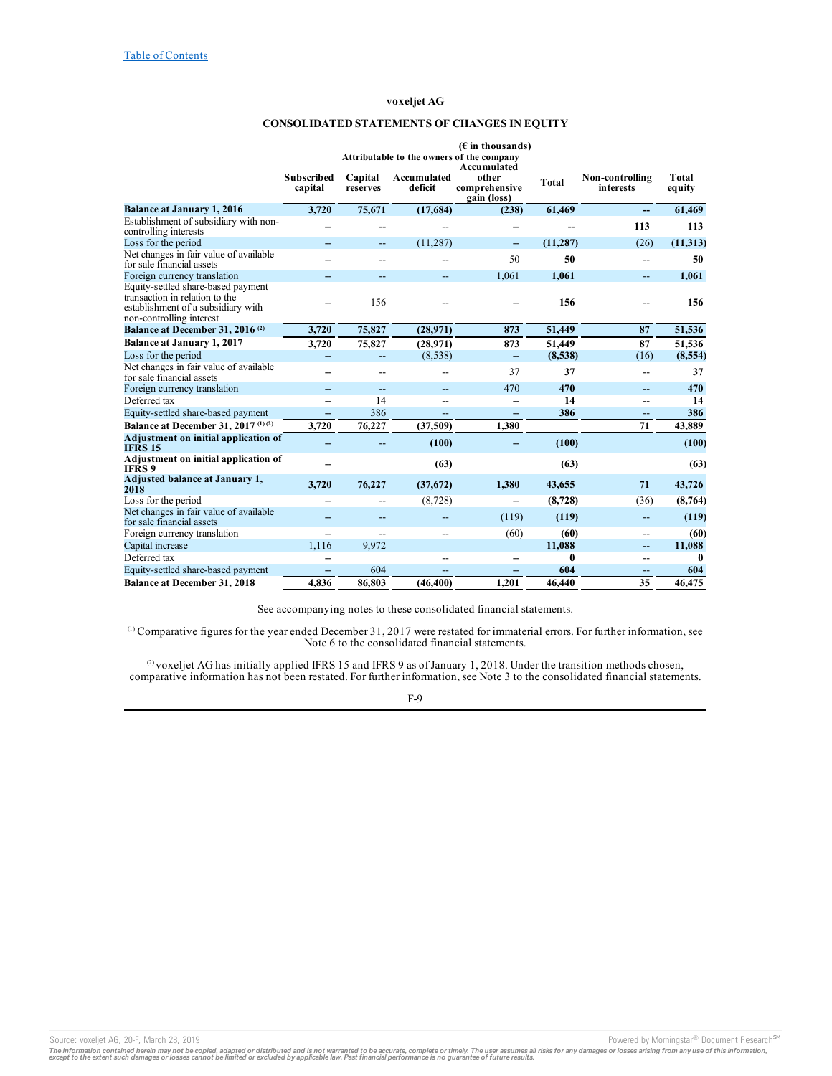# **CONSOLIDATED STATEMENTS OF CHANGES IN EQUITY**

<span id="page-8-0"></span>

|                                                                                                                                        |                              |                          |                          | $(E$ in thousands)<br>Attributable to the owners of the company |              |                                     |                 |
|----------------------------------------------------------------------------------------------------------------------------------------|------------------------------|--------------------------|--------------------------|-----------------------------------------------------------------|--------------|-------------------------------------|-----------------|
|                                                                                                                                        | <b>Subscribed</b><br>capital | Capital<br>reserves      | Accumulated<br>deficit   | Accumulated<br>other<br>comprehensive<br>gain (loss)            | <b>Total</b> | Non-controlling<br><b>interests</b> | Total<br>equity |
| <b>Balance at January 1, 2016</b>                                                                                                      | 3,720                        | 75,671                   | (17,684)                 | (238)                                                           | 61,469       | --                                  | 61,469          |
| Establishment of subsidiary with non-<br>controlling interests                                                                         |                              | --                       |                          | --                                                              |              | 113                                 | 113             |
| Loss for the period                                                                                                                    | $-$                          | $\qquad \qquad -$        | (11, 287)                | $\overline{a}$                                                  | (11, 287)    | (26)                                | (11, 313)       |
| Net changes in fair value of available<br>for sale financial assets                                                                    |                              | $-$                      |                          | 50                                                              | 50           | $\overline{a}$                      | 50              |
| Foreign currency translation                                                                                                           | --                           | $\overline{a}$           | $\overline{\phantom{0}}$ | 1,061                                                           | 1,061        | $\overline{\phantom{m}}$            | 1,061           |
| Equity-settled share-based payment<br>transaction in relation to the<br>establishment of a subsidiary with<br>non-controlling interest | $-$                          | 156                      |                          |                                                                 | 156          |                                     | 156             |
| Balance at December 31, 2016 <sup>(2)</sup>                                                                                            | 3,720                        | 75,827                   | (28,971)                 | 873                                                             | 51,449       | 87                                  | 51,536          |
| <b>Balance at January 1, 2017</b>                                                                                                      | 3,720                        | 75,827                   | (28,971)                 | 873                                                             | 51,449       | 87                                  | 51,536          |
| Loss for the period                                                                                                                    | --                           | $\overline{a}$           | (8,538)                  | $-$                                                             | (8,538)      | (16)                                | (8,554)         |
| Net changes in fair value of available<br>for sale financial assets                                                                    | --                           | --                       | --                       | 37                                                              | 37           | $\overline{\phantom{a}}$            | 37              |
| Foreign currency translation                                                                                                           | --                           | $\overline{\phantom{m}}$ | $-$                      | 470                                                             | 470          | $\overline{\phantom{m}}$            | 470             |
| Deferred tax                                                                                                                           | $-$                          | 14                       | $\overline{\phantom{a}}$ | $\overline{a}$                                                  | 14           | $-$                                 | 14              |
| Equity-settled share-based payment                                                                                                     | --                           | 386                      | $\overline{\phantom{a}}$ | --                                                              | 386          | $\overline{\phantom{a}}$            | 386             |
| Balance at December 31, 2017 (1)(2)                                                                                                    | 3,720                        | 76,227                   | (37,509)                 | 1,380                                                           |              | 71                                  | 43.889          |
| Adjustment on initial application of<br><b>IFRS 15</b>                                                                                 | --                           | --                       | (100)                    | --                                                              | (100)        |                                     | (100)           |
| Adjustment on initial application of<br>IFRS 9                                                                                         | --                           |                          | (63)                     |                                                                 | (63)         |                                     | (63)            |
| Adjusted balance at January 1,<br>2018                                                                                                 | 3,720                        | 76,227                   | (37,672)                 | 1,380                                                           | 43,655       | 71                                  | 43,726          |
| Loss for the period                                                                                                                    | $-$                          | $-$                      | (8, 728)                 | $-$                                                             | (8, 728)     | (36)                                | (8,764)         |
| Net changes in fair value of available<br>for sale financial assets                                                                    | --                           | $-$                      |                          | (119)                                                           | (119)        | --                                  | (119)           |
| Foreign currency translation                                                                                                           | $\overline{a}$               | $-$                      | $\overline{\phantom{a}}$ | (60)                                                            | (60)         | $-$                                 | (60)            |
| Capital increase                                                                                                                       | 1.116                        | 9.972                    |                          |                                                                 | 11,088       | $\overline{\phantom{a}}$            | 11,088          |
| Deferred tax                                                                                                                           | $-$                          |                          | $\overline{\phantom{a}}$ | $\overline{a}$                                                  | 0            | $-$                                 | $\mathbf{0}$    |
| Equity-settled share-based payment                                                                                                     | $\overline{a}$               | 604                      | $\overline{\phantom{a}}$ | $- -$                                                           | 604          | $\overline{\phantom{a}}$            | 604             |
| <b>Balance at December 31, 2018</b>                                                                                                    | 4.836                        | 86,803                   | (46, 400)                | 1,201                                                           | 46,440       | 35                                  | 46,475          |

See accompanying notes to these consolidated financial statements.

Comparative figures for the year ended December 31, 2017 were restated for immaterial errors. For further information, see Note 6 to the consolidated financial statements. (1)

voxeljet AG has initially applied IFRS 15 and IFRS 9 as of January 1, 2018. Under the transition methods chosen, comparative information has not been restated. For further information, see Note 3 to the consolidated financial statements. (2)

F-9

Source: voxeljet AG, 20-F, March 28, 2019 **Powered by Morningstar® Document Research** Morningstar® Document Research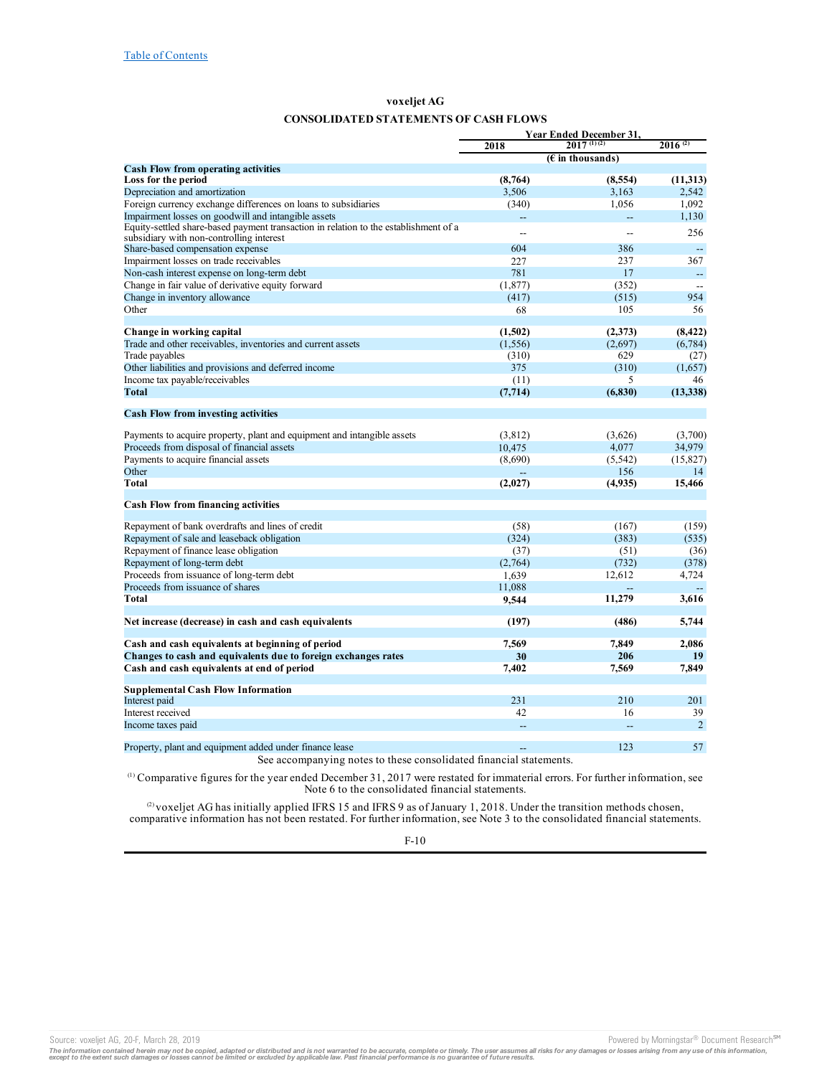# **CONSOLIDATED STATEMENTS OF CASH FLOWS**

<span id="page-9-0"></span>

|                                                                                                                                  | <b>Year Ended December 31,</b> |                            |                          |  |
|----------------------------------------------------------------------------------------------------------------------------------|--------------------------------|----------------------------|--------------------------|--|
|                                                                                                                                  | 2018                           | $20\overline{17^{(1)(2)}}$ | $2016^{(2)}$             |  |
|                                                                                                                                  |                                | $(E$ in thousands)         |                          |  |
| <b>Cash Flow from operating activities</b>                                                                                       |                                |                            |                          |  |
| Loss for the period                                                                                                              | (8,764)                        | (8,554)                    | (11, 313)                |  |
| Depreciation and amortization                                                                                                    | 3,506                          | 3,163                      | 2,542                    |  |
| Foreign currency exchange differences on loans to subsidiaries                                                                   | (340)                          | 1,056                      | 1,092                    |  |
| Impairment losses on goodwill and intangible assets                                                                              | --                             | $\overline{a}$             | 1,130                    |  |
| Equity-settled share-based payment transaction in relation to the establishment of a<br>subsidiary with non-controlling interest | $\overline{\phantom{a}}$       |                            | 256                      |  |
| Share-based compensation expense                                                                                                 | 604                            | 386                        | $\overline{\phantom{a}}$ |  |
| Impairment losses on trade receivables                                                                                           | 227                            | 237                        | 367                      |  |
| Non-cash interest expense on long-term debt                                                                                      | 781                            | 17                         |                          |  |
| Change in fair value of derivative equity forward                                                                                |                                |                            | $\overline{a}$           |  |
| Change in inventory allowance                                                                                                    | (1, 877)<br>(417)              | (352)                      | 954                      |  |
| Other                                                                                                                            |                                | (515)                      |                          |  |
|                                                                                                                                  | 68                             | 105                        | 56                       |  |
| Change in working capital                                                                                                        | (1,502)                        | (2,373)                    | (8, 422)                 |  |
| Trade and other receivables, inventories and current assets                                                                      | (1, 556)                       | (2,697)                    | (6, 784)                 |  |
| Trade payables                                                                                                                   | (310)                          | 629                        | (27)                     |  |
| Other liabilities and provisions and deferred income                                                                             | 375                            | (310)                      | (1,657)                  |  |
| Income tax payable/receivables                                                                                                   | (11)                           | 5                          | 46                       |  |
| Total                                                                                                                            | (7, 714)                       | (6, 830)                   | (13,338)                 |  |
|                                                                                                                                  |                                |                            |                          |  |
| <b>Cash Flow from investing activities</b>                                                                                       |                                |                            |                          |  |
| Payments to acquire property, plant and equipment and intangible assets                                                          | (3,812)                        | (3,626)                    | (3,700)                  |  |
| Proceeds from disposal of financial assets                                                                                       | 10,475                         | 4,077                      | 34,979                   |  |
| Payments to acquire financial assets                                                                                             | (8,690)                        | (5, 542)                   | (15, 827)                |  |
| Other                                                                                                                            |                                | 156                        | 14                       |  |
| Total                                                                                                                            |                                |                            |                          |  |
|                                                                                                                                  | (2,027)                        | (4,935)                    | 15,466                   |  |
| <b>Cash Flow from financing activities</b>                                                                                       |                                |                            |                          |  |
| Repayment of bank overdrafts and lines of credit                                                                                 | (58)                           | (167)                      | (159)                    |  |
| Repayment of sale and leaseback obligation                                                                                       | (324)                          | (383)                      | (535)                    |  |
|                                                                                                                                  |                                |                            |                          |  |
| Repayment of finance lease obligation                                                                                            | (37)                           | (51)                       | (36)                     |  |
| Repayment of long-term debt                                                                                                      | (2,764)                        | (732)                      | (378)                    |  |
| Proceeds from issuance of long-term debt                                                                                         | 1,639                          | 12,612                     | 4,724                    |  |
| Proceeds from issuance of shares                                                                                                 | 11,088                         |                            |                          |  |
| <b>Total</b>                                                                                                                     | 9,544                          | 11,279                     | 3,616                    |  |
| Net increase (decrease) in cash and cash equivalents                                                                             | (197)                          | (486)                      | 5,744                    |  |
|                                                                                                                                  |                                |                            |                          |  |
| Cash and cash equivalents at beginning of period                                                                                 | 7,569                          | 7,849                      | 2,086                    |  |
| Changes to cash and equivalents due to foreign exchanges rates                                                                   | 30                             | 206                        | 19                       |  |
| Cash and cash equivalents at end of period                                                                                       | 7,402                          | 7,569                      | 7,849                    |  |
|                                                                                                                                  |                                |                            |                          |  |
| <b>Supplemental Cash Flow Information</b>                                                                                        |                                |                            |                          |  |
| Interest paid                                                                                                                    | 231                            | 210                        | 201                      |  |
| Interest received                                                                                                                | 42                             | 16                         | 39                       |  |
| Income taxes paid                                                                                                                | $\overline{\phantom{a}}$       |                            | $\overline{2}$           |  |
| Property, plant and equipment added under finance lease                                                                          | $\sim$                         | 123                        | 57                       |  |
|                                                                                                                                  |                                |                            |                          |  |

See accompanying notes to these consolidated financial statements.

Comparative figures for the year ended December 31, 2017 were restated for immaterial errors. For further information, see Note 6 to the consolidated financial statements. (1)

voxeljet AG has initially applied IFRS 15 and IFRS 9 as of January 1, 2018. Under the transition methods chosen, comparative information has not been restated. For further information, see Note 3 to the consolidated financial statements. (2)

F-10

Source: voxeljet AG, 20-F, March 28, 2019 **Powered by Morningstar® Document Research** Morningstar® Document Research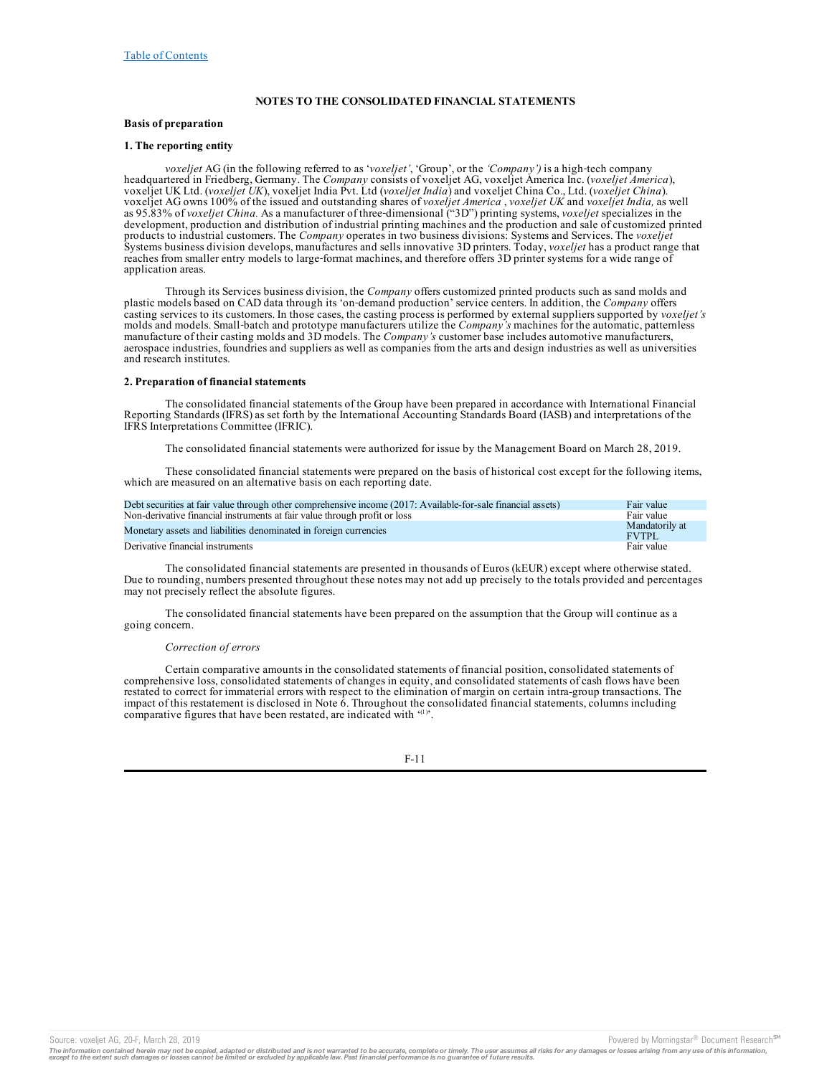## **NOTES TO THE CONSOLIDATED FINANCIAL STATEMENTS**

### <span id="page-10-0"></span>**Basis of preparation**

#### **1. The reporting entity**

*voxeljet* AG (in the following referred to as '*voxeljet'*, 'Group', or the 'Company') is a high-tech company headquartered in Friedberg, Germany. The *Company* consists of voxeljet AG, voxeljet America Inc. (*voxeljet America*), voxeljet UK Ltd. (*voxeljet UK*), voxeljet India Pvt. Ltd (*voxeljet India*) and voxeljet China Co., Ltd. (*voxeljet China*). voxeljet AG owns 100% of the issued and outstanding shares of *voxeljet America* , *voxeljet UK* and *voxeljet India,* as well as 95.83% of *voxeljet China.* As a manufacturer of three‑dimensional ("3D") printing systems, *voxeljet* specializes in the development, production and distribution of industrial printing machines and the production and sale of customized printed products to industrial customers. The *Company* operates in two business divisions: Systems and Services. The *voxeljet* Systems business division develops, manufactures and sells innovative 3D printers. Today, *voxeljet* has a product range that reaches from smaller entry models to large-format machines, and therefore offers 3D printer systems for a wide range of application areas.

Through its Services business division, the *Company* offers customized printed products such as sand molds and plastic models based on CAD data through its 'on‑demand production' service centers. In addition, the *Company* offers casting services to its customers. In those cases, the casting process is performed by external suppliers supported by *voxeljet's* molds and models. Small-batch and prototype manufacturers utilize the *Company's* machines for the automatic, patternless manufacture of their casting molds and 3D models. The *Company's* customer base includes automotive manufacturers, aerospace industries, foundries and suppliers as well as companies from the arts and design industries as well as universities and research institutes.

## **2. Preparation of financial statements**

The consolidated financial statements of the Group have been prepared in accordance with International Financial Reporting Standards (IFRS) as set forth by the International Accounting Standards Board (IASB) and interpretations of the IFRS Interpretations Committee (IFRIC).

The consolidated financial statements were authorized for issue by the Management Board on March 28, 2019.

These consolidated financial statements were prepared on the basis of historical cost except for the following items, which are measured on an alternative basis on each reporting date.

| Debt securities at fair value through other comprehensive income (2017: Available-for-sale financial assets) | Fair value                     |
|--------------------------------------------------------------------------------------------------------------|--------------------------------|
| Non-derivative financial instruments at fair value through profit or loss                                    | Fair value                     |
| Monetary assets and liabilities denominated in foreign currencies                                            | Mandatorily at<br><b>FVTPL</b> |
| Derivative financial instruments                                                                             | Fair value                     |

The consolidated financial statements are presented in thousands of Euros (kEUR) except where otherwise stated. Due to rounding, numbers presented throughout these notes may not add up precisely to the totals provided and percentages may not precisely reflect the absolute figures.

The consolidated financial statements have been prepared on the assumption that the Group will continue as a going concern.

#### *Correction of errors*

Certain comparative amounts in the consolidated statements of financial position, consolidated statements of comprehensive loss, consolidated statements of changes in equity, and consolidated statements of cash flows have been restated to correct for immaterial errors with respect to the elimination of margin on certain intra-group transactions. The impact of this restatement is disclosed in Note 6. Throughout the consolidated financial statements, columns including comparative figures that have been restated, are indicated with '(1)'.

F-11

Source: voxeljet AG, 20-F, March 28, 2019 **Powered by Morningstar® Document Research** in Powered by Morningstar® Document Research in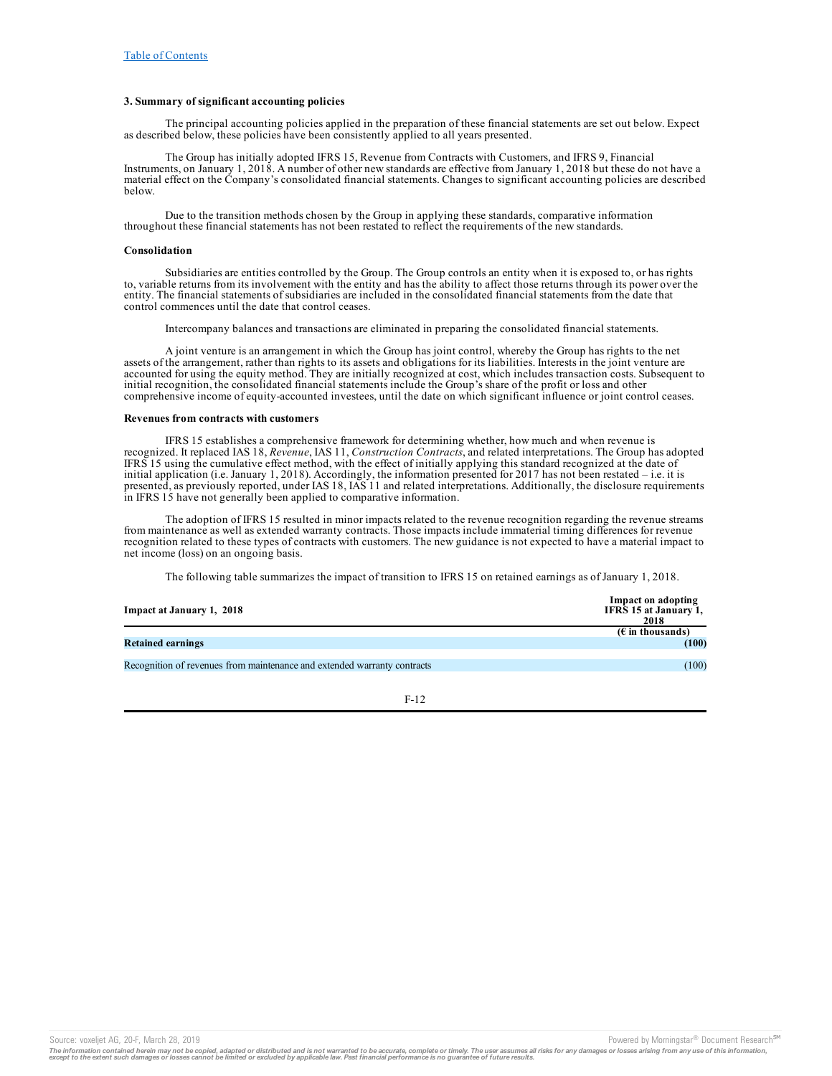### **3. Summary of significant accounting policies**

The principal accounting policies applied in the preparation of these financial statements are set out below. Expect as described below, these policies have been consistently applied to all years presented.

The Group has initially adopted IFRS 15, Revenue from Contracts with Customers, and IFRS 9, Financial Instruments, on January 1, 2018. A number of other new standards are effective from January 1, 2018 but these do not have a material effect on the Company's consolidated financial statements. Changes to significant accounting policies are described below.

Due to the transition methods chosen by the Group in applying these standards, comparative information throughout these financial statements has not been restated to reflect the requirements of the new standards.

#### **Consolidation**

Subsidiaries are entities controlled by the Group. The Group controls an entity when it is exposed to, or has rights to, variable returns from its involvement with the entity and has the ability to affect those returns through its power over the entity. The financial statements of subsidiaries are included in the consolidated financial statements from the date that control commences until the date that control ceases.

Intercompany balances and transactions are eliminated in preparing the consolidated financial statements.

A joint venture is an arrangement in which the Group has joint control, whereby the Group has rights to the net assets of the arrangement, rather than rights to its assets and obligations for its liabilities. Interests in the joint venture are accounted for using the equity method. They are initially recognized at cost, which includes transaction costs. Subsequent to initial recognition, the consolidated financial statements include the Group's share of the profit or loss and other comprehensive income of equity-accounted investees, until the date on which significant influence or joint control ceases.

#### **Revenues from contracts with customers**

IFRS 15 establishes a comprehensive framework for determining whether, how much and when revenue is recognized. It replaced IAS 18, *Revenue*, IAS 11, *Construction Contracts*, and related interpretations. The Group has adopted IFRS 15 using the cumulative effect method, with the effect of initially applying this standard recognized at the date of initial application (i.e. January 1, 2018). Accordingly, the information presented for 2017 has not been restated – i.e. it is presented, as previously reported, under IAS 18, IAS 11 and related interpretations. Additionally, the disclosure requirements in IFRS 15 have not generally been applied to comparative information.

The adoption of IFRS 15 resulted in minor impacts related to the revenue recognition regarding the revenue streams from maintenance as well as extended warranty contracts. Those impacts include immaterial timing differences for revenue recognition related to these types of contracts with customers. The new guidance is not expected to have a material impact to net income (loss) on an ongoing basis.

The following table summarizes the impact of transition to IFRS 15 on retained earnings as of January 1, 2018.

| Impact at January 1, 2018                                                | Impact on adopting<br>IFRS 15 at January 1,<br>2018 |
|--------------------------------------------------------------------------|-----------------------------------------------------|
|                                                                          | $(E \in \mathbb{R})$ in thousands)                  |
| <b>Retained earnings</b>                                                 | (100)                                               |
|                                                                          |                                                     |
| Recognition of revenues from maintenance and extended warranty contracts | (100)                                               |

F-12

The information contained herein may not be copied, adapted or distributed and is not warranted to be accurate, complete or timely. The user assumes all risks for any damages or losses arising from any use of this informat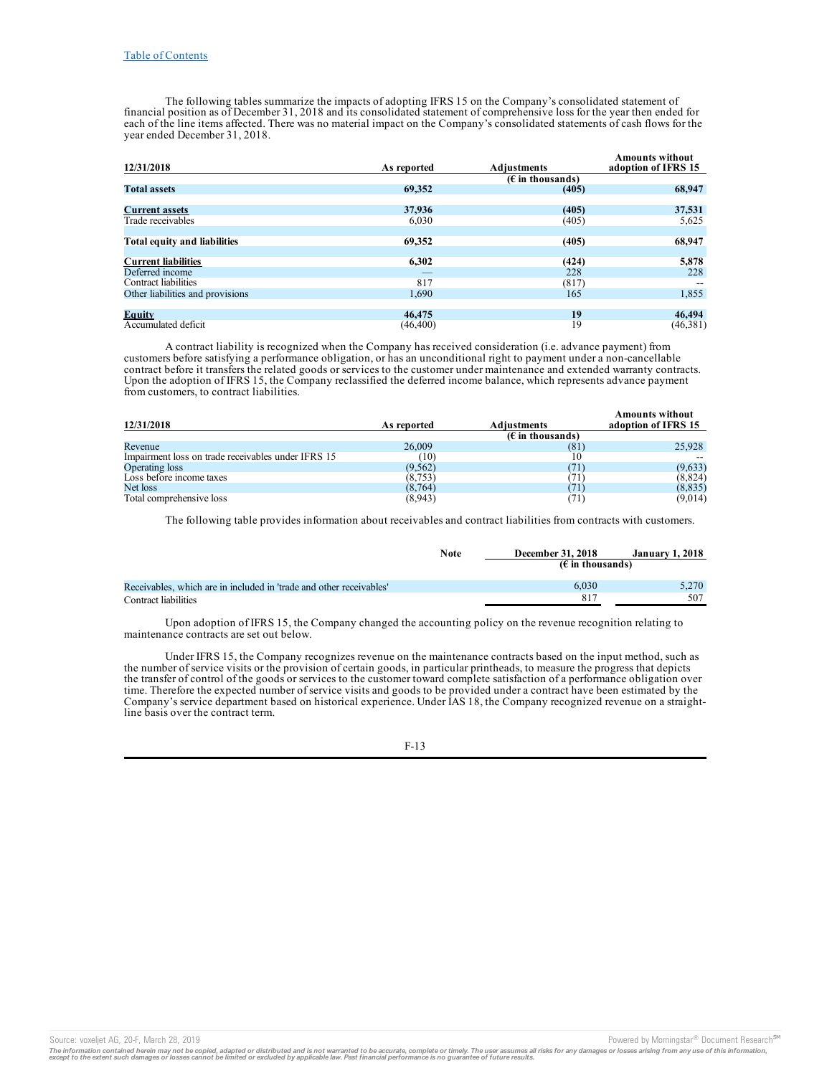The following tables summarize the impacts of adopting IFRS 15 on the Company's consolidated statement of financial position as of December 31, 2018 and its consolidated statement of comprehensive loss for the year then ended for each of the line items affected. There was no material impact on the Company's consolidated statements of cash flows for the year ended December 31, 2018.

| 12/31/2018                       | As reported | <b>Adjustments</b> | <b>Amounts without</b><br>adoption of IFRS 15 |
|----------------------------------|-------------|--------------------|-----------------------------------------------|
|                                  |             | $(E$ in thousands) |                                               |
| <b>Total assets</b>              | 69,352      | (405)              | 68,947                                        |
|                                  |             |                    |                                               |
| <b>Current assets</b>            | 37,936      | (405)              | 37,531                                        |
| Trade receivables                | 6,030       | (405)              | 5,625                                         |
|                                  |             |                    |                                               |
| Total equity and liabilities     | 69,352      | (405)              | 68,947                                        |
|                                  |             |                    |                                               |
| <b>Current liabilities</b>       | 6,302       | (424)              | 5,878                                         |
| Deferred income                  |             | 228                | 228                                           |
| Contract liabilities             | 817         | (817)              |                                               |
| Other liabilities and provisions | 1,690       | 165                | 1,855                                         |
|                                  |             |                    |                                               |
| Equity                           | 46,475      | 19                 | 46,494                                        |
| Accumulated deficit              | (46, 400)   | 19                 | (46,381)                                      |

A contract liability is recognized when the Company has received consideration (i.e. advance payment) from customers before satisfying a performance obligation, or has an unconditional right to payment under a non-cancellable contract before it transfers the related goods or services to the customer under maintenance and extended warranty contracts. Upon the adoption of IFRS 15, the Company reclassified the deferred income balance, which represents advance payment from customers, to contract liabilities.

| 12/31/2018                                         | As reported | <b>Adiustments</b> | <b>Amounts without</b><br>adoption of IFRS 15 |
|----------------------------------------------------|-------------|--------------------|-----------------------------------------------|
|                                                    |             | $(E$ in thousands) |                                               |
| Revenue                                            | 26,009      | (81)               | 25,928                                        |
| Impairment loss on trade receivables under IFRS 15 | (10)        | 10                 |                                               |
| Operating loss                                     | (9, 562)    | (71)               | (9,633)                                       |
| Loss before income taxes                           | (8, 753)    | 71)                | (8,824)                                       |
| Net loss                                           | (8, 764)    | (71)               | (8, 835)                                      |
| Total comprehensive loss                           | (8,943)     | (71)               | (9,014)                                       |

The following table provides information about receivables and contract liabilities from contracts with customers.

|                                                                     | <b>Note</b> | <b>December 31, 2018</b>           | <b>January 1, 2018</b> |
|---------------------------------------------------------------------|-------------|------------------------------------|------------------------|
|                                                                     |             | $(E \in \mathbb{R})$ in thousands) |                        |
| Receivables, which are in included in 'trade and other receivables' |             | 6.030                              | 5.270                  |
| Contract liabilities                                                |             | -817                               | 507                    |

Upon adoption of IFRS 15, the Company changed the accounting policy on the revenue recognition relating to maintenance contracts are set out below.

Under IFRS 15, the Company recognizes revenue on the maintenance contracts based on the input method, such as the number of service visits or the provision of certain goods, in particular printheads, to measure the progress that depicts the transfer of control of the goods or services to the customer toward complete satisfaction of a performance obligation over time. Therefore the expected number of service visits and goods to be provided under a contract have been estimated by the Company's service department based on historical experience. Under IAS 18, the Company recognized revenue on a straightline basis over the contract term.

F-13

Source: voxeljet AG, 20-F, March 28, 2019 **Powered by Morningstar® Document Research** <sup>5M</sup> Content Research in the second by Morningstar® Document Research in

The information contained herein may not be copied, adapted or distributed and is not warranted to be accurate, complete or timely. The user assumes all risks for any damages or losses arising from any use of this informat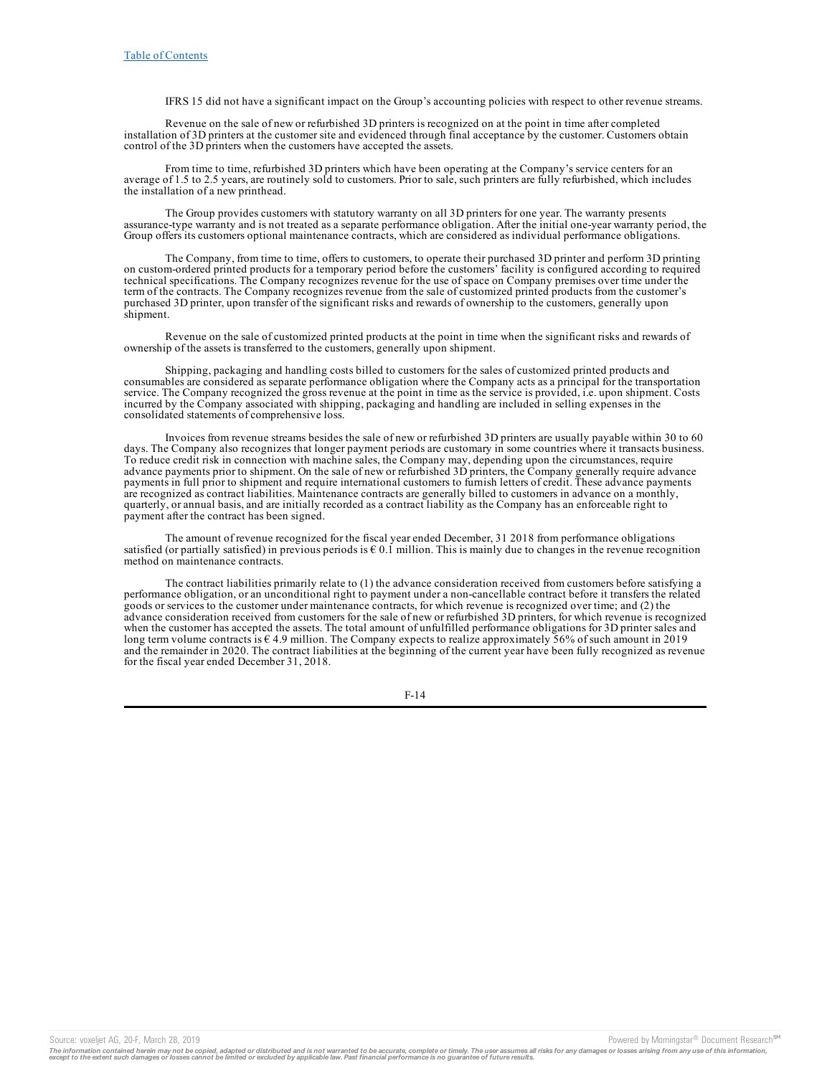IFRS 15 did not have a significant impact on the Group's accounting policies with respect to other revenue streams.

Revenue on the sale of new or refurbished 3D printers is recognized on at the point in time after completed installation of 3D printers at the customer site and evidenced through final acceptance by the customer. Customers obtain control of the 3D printers when the customers have accepted the assets.

From time to time, refurbished 3D printers which have been operating at the Company's service centers for an average of 1.5 to 2.5 years, are routinely sold to customers. Prior to sale, such printers are fully refurbished, which includes the installation of a new printhead.

The Group provides customers with statutory warranty on all 3D printers for one year. The warranty presents assurance-type warranty and is not treated as a separate performance obligation. After the initial one-year warranty period, the Group offers its customers optional maintenance contracts, which are considered as individual performance obligations.

The Company, from time to time, offers to customers, to operate their purchased 3D printer and perform 3D printing on custom-ordered printed products for a temporary period before the customers' facility is configured according to required technical specifications. The Company recognizes revenue for the use of space on Company premises over time under the term of the contracts. The Company recognizes revenue from the sale of customized printed products from the customer's purchased 3D printer, upon transfer of the significant risks and rewards of ownership to the customers, generally upon shipment.

Revenue on the sale of customized printed products at the point in time when the significant risks and rewards of ownership of the assets is transferred to the customers, generally upon shipment.

Shipping, packaging and handling costs billed to customers for the sales of customized printed products and consumables are considered as separate performance obligation where the Company acts as a principal for the transportation service. The Company recognized the gross revenue at the point in time as the service is provided, i.e. upon shipment. Costs incurred by the Company associated with shipping, packaging and handling are included in selling expenses in the consolidated statements of comprehensive loss.

Invoices from revenue streams besides the sale of new or refurbished 3D printers are usually payable within 30 to 60 days. The Company also recognizes that longer payment periods are customary in some countries where it transacts business. To reduce credit risk in connection with machine sales, the Company may, depending upon the circumstances, require advance payments prior to shipment. On the sale of new or refurbished 3D printers, the Company generally require advance payments in full prior to shipment and require international customers to furnish letters of credit. These advance payments are recognized as contract liabilities. Maintenance contracts are generally billed to customers in advance on a monthly, quarterly, or annual basis, and are initially recorded as a contract liability as the Company has an enforceable right to payment after the contract has been signed.

The amount of revenue recognized for the fiscal year ended December, 31 2018 from performance obligations satisfied (or partially satisfied) in previous periods is  $\epsilon$  0.1 million. This is mainly due to changes in the revenue recognition method on maintenance contracts.

The contract liabilities primarily relate to (1) the advance consideration received from customers before satisfying a performance obligation, or an unconditional right to payment under a non-cancellable contract before it transfers the related goods or services to the customer under maintenance contracts, for which revenue is recognized over time; and (2) the advance consideration received from customers for the sale of new or refurbished 3D printers, for which revenue is recognized when the customer has accepted the assets. The total amount of unfulfilled performance obligations for 3D printer sales and long term volume contracts is  $\epsilon$  4.9 million. The Company expects to realize approximately 56% of such amount in 2019 and the remainder in 2020. The contract liabilities at the beginning of the current year have been fully recognized as revenue for the fiscal year ended December 31, 2018.

F-14

Source: voxeljet AG, 20-F, March 28, 2019<br>The information contained herein may not be copied, adapted or distributed and is not warranted to be accurate, complete or timely. The user assumes all risks for any damages or lo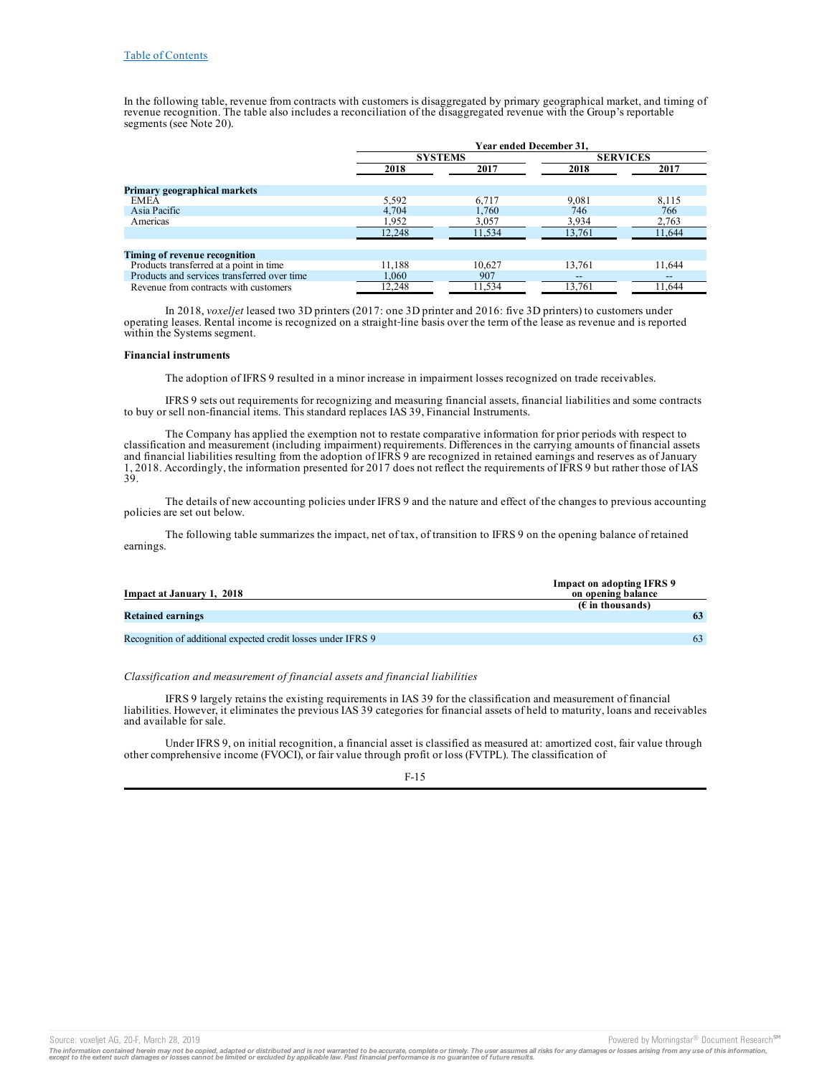In the following table, revenue from contracts with customers is disaggregated by primary geographical market, and timing of revenue recognition. The table also includes a reconciliation of the disaggregated revenue with the Group's reportable segments (see Note 20).

|                                             | Year ended December 31. |        |                        |                 |  |
|---------------------------------------------|-------------------------|--------|------------------------|-----------------|--|
|                                             | <b>SYSTEMS</b>          |        |                        | <b>SERVICES</b> |  |
|                                             | 2018<br>2017            |        | 2018                   | 2017            |  |
| Primary geographical markets                |                         |        |                        |                 |  |
| <b>EMEA</b>                                 | 5,592                   | 6.717  | 9,081                  | 8,115           |  |
| Asia Pacific                                | 4,704                   | 1.760  | 746                    | 766             |  |
| Americas                                    | 1,952                   | 3,057  | 3,934                  | 2,763           |  |
|                                             | 12.248                  | 11,534 | 13.761                 | 11.644          |  |
|                                             |                         |        |                        |                 |  |
| Timing of revenue recognition               |                         |        |                        |                 |  |
| Products transferred at a point in time     | 11.188                  | 10.627 | 13.761                 | 11,644          |  |
| Products and services transferred over time | 1.060                   | 907    | $\qquad \qquad \cdots$ |                 |  |
| Revenue from contracts with customers       | 12,248                  | 11,534 | 13.761                 | 11.644          |  |

In 2018, *voxeljet* leased two 3D printers (2017: one 3D printer and 2016: five 3D printers) to customers under operating leases. Rental income is recognized on a straight‑line basis over the term of the lease as revenue and is reported within the Systems segment.

#### **Financial instruments**

The adoption of IFRS 9 resulted in a minor increase in impairment losses recognized on trade receivables.

IFRS 9 sets out requirements for recognizing and measuring financial assets, financial liabilities and some contracts to buy or sell non-financial items. This standard replaces IAS 39, Financial Instruments.

The Company has applied the exemption not to restate comparative information for prior periods with respect to classification and measurement (including impairment) requirements. Differences in the carrying amounts of financial assets and financial liabilities resulting from the adoption of IFRS 9 are recognized in retained earnings and reserves as of January 1, 2018. Accordingly, the information presented for 2017 does not reflect the requirements of IFRS 9 but rather those of IAS 39.

The details of new accounting policies under IFRS 9 and the nature and effect of the changes to previous accounting policies are set out below.

The following table summarizes the impact, net of tax, of transition to IFRS 9 on the opening balance of retained earnings.

|                                                               | <b>Impact on adopting IFRS 9</b> |
|---------------------------------------------------------------|----------------------------------|
| Impact at January 1, 2018                                     | on opening balance               |
|                                                               | $(\epsilon$ in thousands)        |
| <b>Retained earnings</b>                                      | 63                               |
|                                                               |                                  |
| Recognition of additional expected credit losses under IFRS 9 | 63                               |

### *Classification and measurement of financial assets and financial liabilities*

IFRS 9 largely retains the existing requirements in IAS 39 for the classification and measurement of financial liabilities. However, it eliminates the previous IAS 39 categories for financial assets of held to maturity, loans and receivables and available for sale.

Under IFRS 9, on initial recognition, a financial asset is classified as measured at: amortized cost, fair value through other comprehensive income (FVOCI), or fair value through profit or loss (FVTPL). The classification of

#### F-15

Source: voxeljet AG, 20-F, March 28, 2019<br>The information contained herein may not be copied, adapted or distributed and is not warranted to be accurate, complete or timely. The user assumes all risks for any damages or lo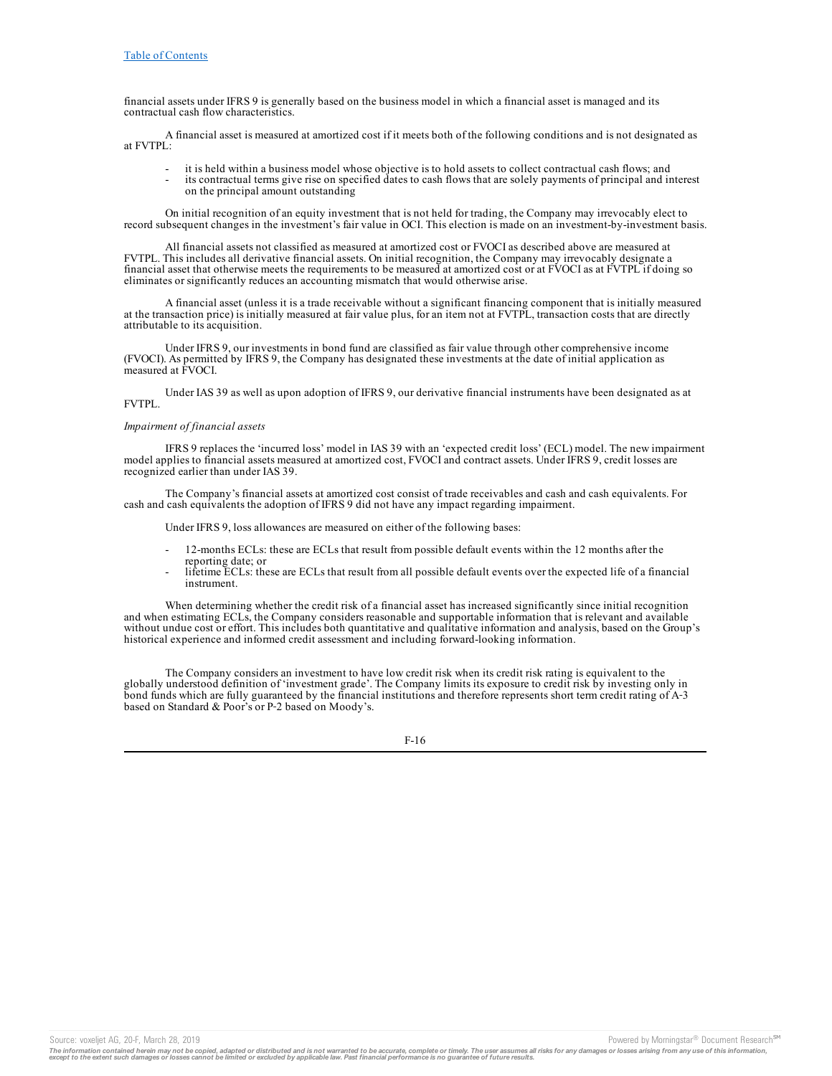financial assets under IFRS 9 is generally based on the business model in which a financial asset is managed and its contractual cash flow characteristics.

A financial asset is measured at amortized cost if it meets both of the following conditions and is not designated as at FVTPL:

- it is held within a business model whose objective is to hold assets to collect contractual cash flows; and
- its contractual terms give rise on specified dates to cash flows that are solely payments of principal and interest on the principal amount outstanding

On initial recognition of an equity investment that is not held for trading, the Company may irrevocably elect to record subsequent changes in the investment's fair value in OCI. This election is made on an investment-by-investment basis.

All financial assets not classified as measured at amortized cost or FVOCI as described above are measured at FVTPL. This includes all derivative financial assets. On initial recognition, the Company may irrevocably designate a financial asset that otherwise meets the requirements to be measured at amortized cost or at FVOCI as at FVTPL if doing so eliminates or significantly reduces an accounting mismatch that would otherwise arise.

A financial asset (unless it is a trade receivable without a significant financing component that is initially measured at the transaction price) is initially measured at fair value plus, for an item not at FVTPL, transaction costs that are directly attributable to its acquisition.

Under IFRS 9, our investments in bond fund are classified as fair value through other comprehensive income (FVOCI). As permitted by IFRS 9, the Company has designated these investments at the date of initial application as measured at FVOCI.

Under IAS 39 as well as upon adoption of IFRS 9, our derivative financial instruments have been designated as at FVTPL.

## *Impairment of financial assets*

IFRS 9 replaces the 'incurred loss' model in IAS 39 with an 'expected credit loss' (ECL) model. The new impairment model applies to financial assets measured at amortized cost, FVOCI and contract assets. Under IFRS 9, credit losses are recognized earlier than under IAS 39.

The Company's financial assets at amortized cost consist of trade receivables and cash and cash equivalents. For cash and cash equivalents the adoption of IFRS 9 did not have any impact regarding impairment.

Under IFRS 9, loss allowances are measured on either of the following bases:

- 12-months ECLs: these are ECLs that result from possible default events within the 12 months after the reporting date; or
- lifetime ECLs: these are ECLs that result from all possible default events over the expected life of a financial instrument.

When determining whether the credit risk of a financial asset has increased significantly since initial recognition and when estimating ECLs, the Company considers reasonable and supportable information that is relevant and available without undue cost or effort. This includes both quantitative and qualitative information and analysis, based on the Group's historical experience and informed credit assessment and including forward-looking information.

The Company considers an investment to have low credit risk when its credit risk rating is equivalent to the globally understood definition of 'investment grade'. The Company limits its exposure to credit risk by investing only in bond funds which are fully guaranteed by the financial institutions and therefore represents short term credit rating of A–3 based on Standard & Poor's or P‑2 based on Moody's.

F-16

The information contained herein may not be copied, adapted or distributed and is not warranted to be accurate, complete or timely. The user assumes all risks for any damages or losses arising from any use of this informat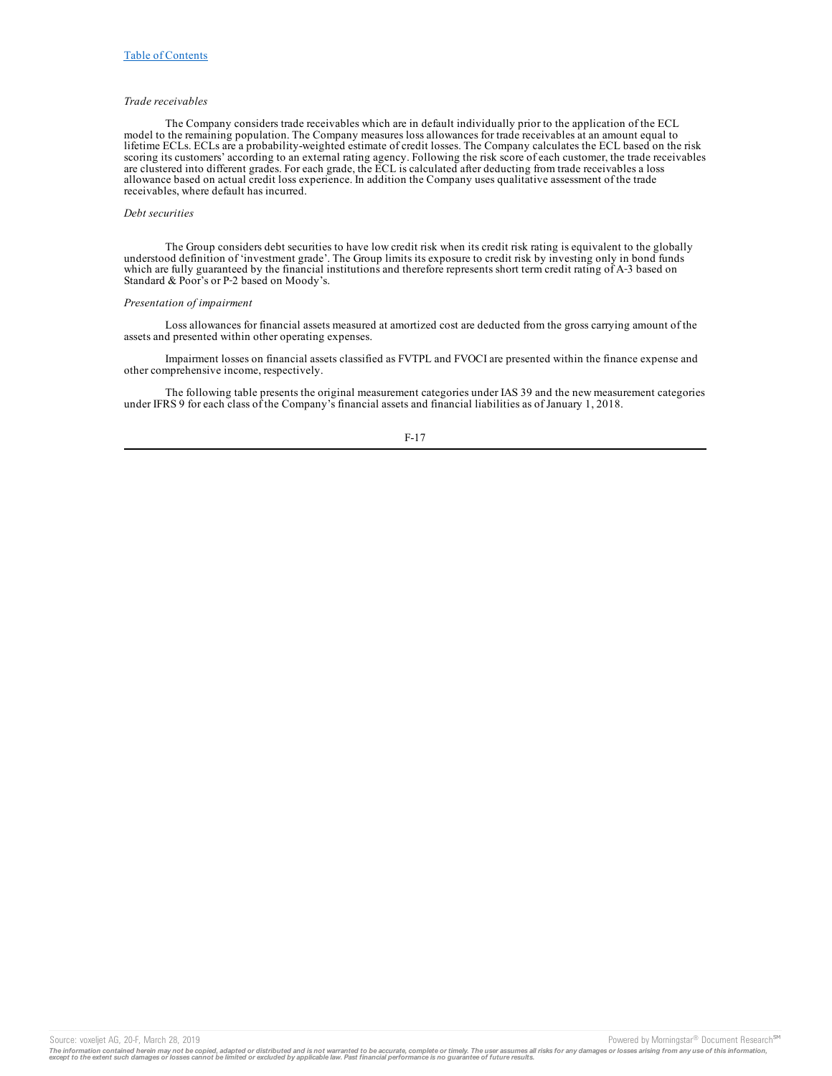### *Trade receivables*

The Company considers trade receivables which are in default individually prior to the application of the ECL model to the remaining population. The Company measures loss allowances for trade receivables at an amount equal to lifetime ECLs. ECLs are a probability-weighted estimate of credit losses. The Company calculates the ECL based on the risk scoring its customers' according to an external rating agency. Following the risk score of each customer, the trade receivables are clustered into different grades. For each grade, the ECL is calculated after deducting from trade receivables a loss allowance based on actual credit loss experience. In addition the Company uses qualitative assessment of the trade receivables, where default has incurred.

#### *Debt securities*

The Group considers debt securities to have low credit risk when its credit risk rating is equivalent to the globally understood definition of 'investment grade'. The Group limits its exposure to credit risk by investing only in bond funds which are fully guaranteed by the financial institutions and therefore represents short term credit rating of A-3 based on Standard & Poor's or P-2 based on Moody's.

# *Presentation of impairment*

Loss allowances for financial assets measured at amortized cost are deducted from the gross carrying amount of the assets and presented within other operating expenses.

Impairment losses on financial assets classified as FVTPL and FVOCI are presented within the finance expense and other comprehensive income, respectively.

The following table presents the original measurement categories under IAS 39 and the new measurement categories under IFRS 9 for each class of the Company's financial assets and financial liabilities as of January 1, 2018.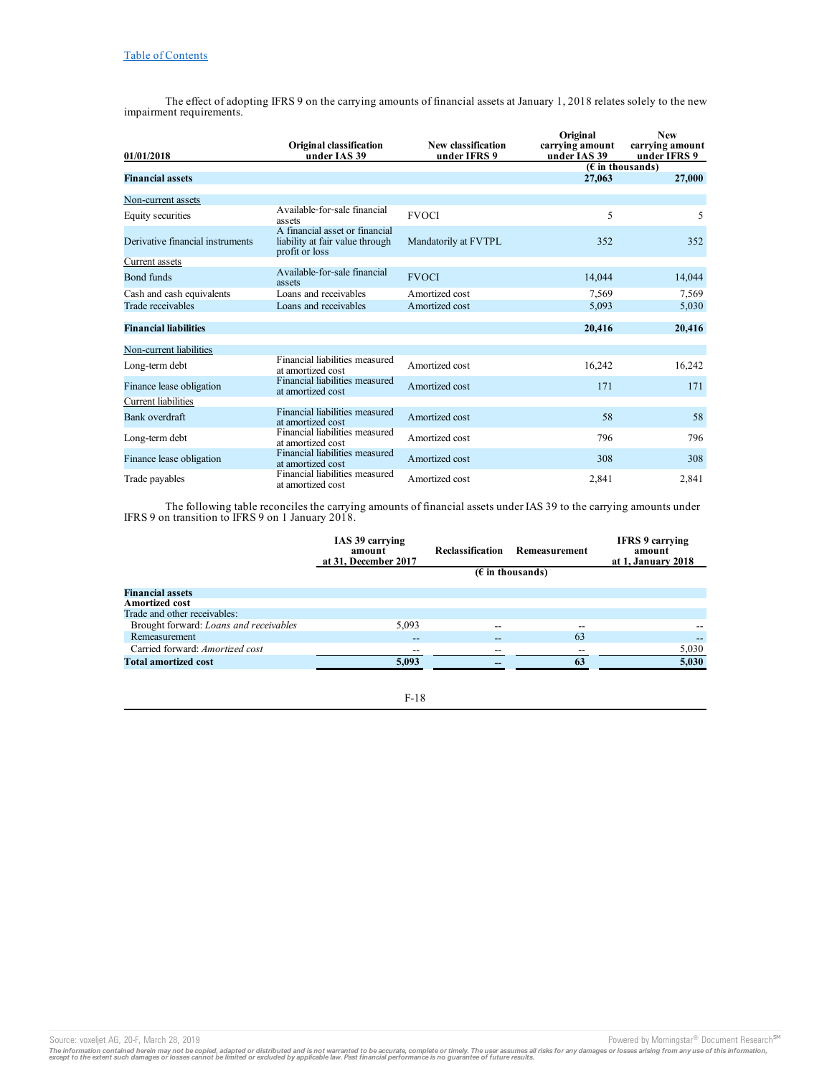The effect of adopting IFRS 9 on the carrying amounts of financial assets at January 1, 2018 relates solely to the new impairment requirements.

|                                  | <b>Original classification</b>                                                      | New classification   | Original<br>carrying amount | <b>New</b><br>carrying amount |
|----------------------------------|-------------------------------------------------------------------------------------|----------------------|-----------------------------|-------------------------------|
| 01/01/2018                       | under IAS 39                                                                        | under IFRS 9         | under IAS 39                | under IFRS 9                  |
| <b>Financial assets</b>          |                                                                                     |                      |                             | $(E$ in thousands)            |
|                                  |                                                                                     |                      | 27,063                      | 27,000                        |
| Non-current assets               |                                                                                     |                      |                             |                               |
| Equity securities                | A vailable-for-sale financial<br>assets                                             | <b>FVOCI</b>         | 5                           | 5                             |
| Derivative financial instruments | A financial asset or financial<br>liability at fair value through<br>profit or loss | Mandatorily at FVTPL | 352                         | 352                           |
| Current assets                   |                                                                                     |                      |                             |                               |
| Bond funds                       | Available-for-sale financial<br>assets                                              | <b>FVOCI</b>         | 14.044                      | 14,044                        |
| Cash and cash equivalents        | Loans and receivables                                                               | Amortized cost       | 7.569                       | 7,569                         |
| Trade receivables                | Loans and receivables                                                               | Amortized cost       | 5,093                       | 5,030                         |
| <b>Financial liabilities</b>     |                                                                                     |                      | 20,416                      | 20,416                        |
| Non-current liabilities          |                                                                                     |                      |                             |                               |
| Long-term debt                   | Financial liabilities measured<br>at amortized cost                                 | Amortized cost       | 16,242                      | 16,242                        |
| Finance lease obligation         | Financial liabilities measured<br>at amortized cost                                 | Amortized cost       | 171                         | 171                           |
| Current liabilities              |                                                                                     |                      |                             |                               |
| Bank overdraft                   | Financial liabilities measured<br>at amortized cost                                 | Amortized cost       | 58                          | 58                            |
| Long-term debt                   | Financial liabilities measured<br>at amortized cost                                 | Amortized cost       | 796                         | 796                           |
| Finance lease obligation         | Financial liabilities measured<br>at amortized cost                                 | Amortized cost       | 308                         | 308                           |
| Trade payables                   | Financial liabilities measured<br>at amortized cost                                 | Amortized cost       | 2,841                       | 2,841                         |

The following table reconciles the carrying amounts of financial assets under IAS 39 to the carrying amounts under IFRS 9 on transition to IFRS 9 on 1 January 2018.

|                                        | IAS 39 carrying<br>amount<br>at 31, December 2017 | Reclassification | Remeasurement      | <b>IFRS</b> 9 carrying<br>amount<br>at 1, January 2018 |
|----------------------------------------|---------------------------------------------------|------------------|--------------------|--------------------------------------------------------|
|                                        |                                                   |                  | $(E$ in thousands) |                                                        |
| <b>Financial assets</b>                |                                                   |                  |                    |                                                        |
| <b>Amortized cost</b>                  |                                                   |                  |                    |                                                        |
| Trade and other receivables:           |                                                   |                  |                    |                                                        |
| Brought forward: Loans and receivables | 5.093                                             | --               | $- -$              |                                                        |
| Remeasurement                          | $- -$                                             |                  | 63                 |                                                        |
| Carried forward: Amortized cost        | --                                                | --               | $- -$              | 5,030                                                  |
| <b>Total amortized cost</b>            | 5,093                                             |                  | 63                 | 5,030                                                  |

F-18

Source: voxeljet AG, 20-F, March 28, 2019<br>The information contained herein may not be copied, adapted or distributed and is not warranted to be accurate, complete or timely. The user assumes all risks for any damages or lo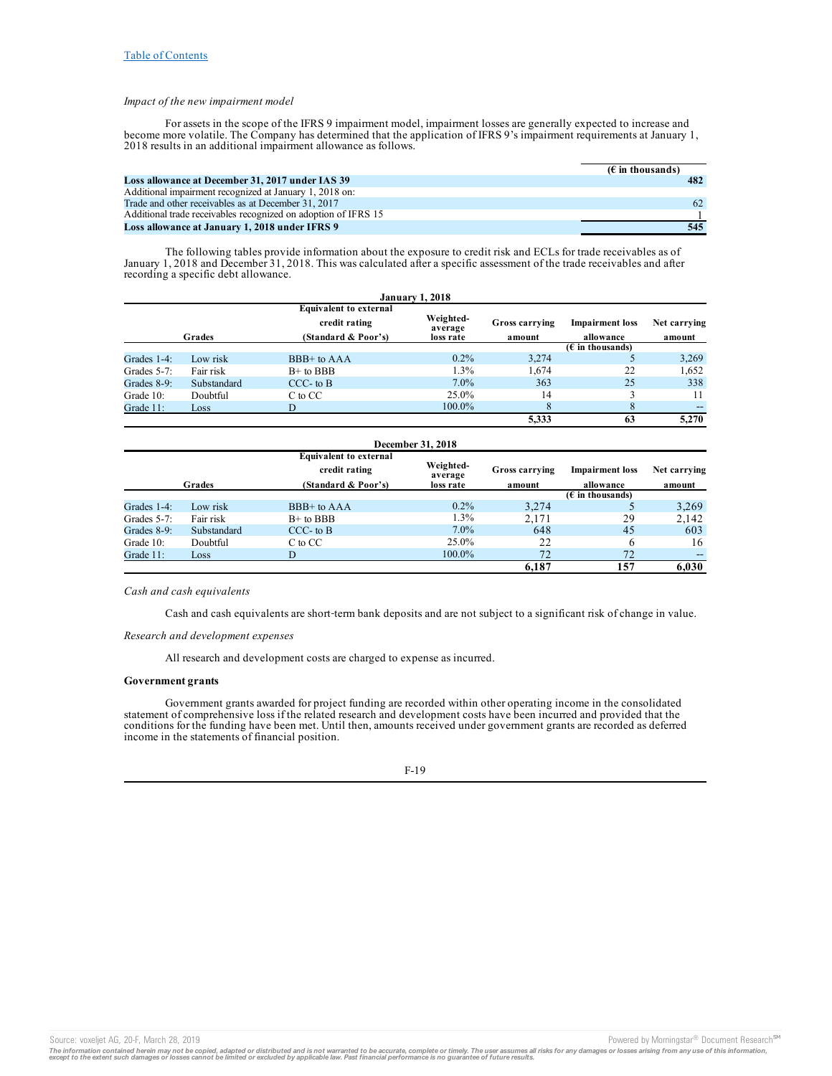## *Impact of the new impairment model*

For assets in the scope of the IFRS 9 impairment model, impairment losses are generally expected to increase and become more volatile. The Company has determined that the application of IFRS 9's impairment requirements at January 1, 2018 results in an additional impairment allowance as follows.

|                                                                | $(E \in \mathbb{R})$ in thousands) |
|----------------------------------------------------------------|------------------------------------|
| Loss allowance at December 31, 2017 under IAS 39               | 482                                |
| Additional impairment recognized at January 1, 2018 on:        |                                    |
| Trade and other receivables as at December 31, 2017            | 62                                 |
| Additional trade receivables recognized on adoption of IFRS 15 |                                    |
| Loss allowance at January 1, 2018 under IFRS 9                 | 545                                |

The following tables provide information about the exposure to credit risk and ECLs for trade receivables as of January 1, 2018 and December 31, 2018. This was calculated after a specific assessment of the trade receivables and after recording a specific debt allowance.

| <b>January 1, 2018</b> |             |                                                |                      |                |                           |              |
|------------------------|-------------|------------------------------------------------|----------------------|----------------|---------------------------|--------------|
|                        |             | <b>Equivalent to external</b><br>credit rating | Weighted-            | Gross carrying | <b>Impairment</b> loss    | Net carrying |
|                        | Grades      | (Standard & Poor's)                            | average<br>loss rate | amount         | allowance                 | amount       |
|                        |             |                                                |                      |                | $(\epsilon$ in thousands) |              |
| Grades 1-4:            | Low risk    | BBB+ to AAA                                    | $0.2\%$              | 3.274          |                           | 3,269        |
| Grades 5-7:            | Fair risk   | $B+$ to $BBB$                                  | 1.3%                 | 1.674          | 22                        | 1.652        |
| Grades 8-9:            | Substandard | $CCC-$ to $B$                                  | $7.0\%$              | 363            | 25                        | 338          |
| Grade 10:              | Doubtful    | C to CC                                        | 25.0%                | 14             |                           | 11           |
| Grade 11:              | Loss        |                                                | $100.0\%$            | 8              |                           | --           |
|                        |             |                                                |                      | 5.333          | 63                        | 5.270        |

| December 31, 2018 |             |                                                                       |                                   |                          |                                     |                        |
|-------------------|-------------|-----------------------------------------------------------------------|-----------------------------------|--------------------------|-------------------------------------|------------------------|
|                   | Grades      | <b>Equivalent to external</b><br>credit rating<br>(Standard & Poor's) | Weighted-<br>average<br>loss rate | Gross carrying<br>amount | <b>Impairment</b> loss<br>allowance | Net carrying<br>amount |
|                   |             |                                                                       |                                   |                          | $(\epsilon$ in thousands)           |                        |
| Grades 1-4:       | Low risk    | BBB+ to AAA                                                           | $0.2\%$                           | 3.274                    |                                     | 3,269                  |
| Grades 5-7:       | Fair risk   | $B+$ to $BBB$                                                         | $1.3\%$                           | 2.171                    | 29                                  | 2,142                  |
| Grades 8-9:       | Substandard | $CCC$ - to $B$                                                        | $7.0\%$                           | 648                      | 45                                  | 603                    |
| Grade 10:         | Doubtful    | C to CC                                                               | 25.0%                             | 22                       |                                     | 16                     |
| Grade 11:         | Loss        |                                                                       | $100.0\%$                         | 72                       | 72                                  | --                     |
|                   |             |                                                                       |                                   | 6.187                    | 157                                 | 6.030                  |

### *Cash and cash equivalents*

Cash and cash equivalents are short-term bank deposits and are not subject to a significant risk of change in value.

### *Research and development expenses*

All research and development costs are charged to expense as incurred.

### **Government grants**

Government grants awarded for project funding are recorded within other operating income in the consolidated statement of comprehensive loss if the related research and development costs have been incurred and provided that the conditions for the funding have been met. Until then, amounts received under government grants are recorded as deferred income in the statements of financial position.

### F-19

Source: voxeljet AG, 20-F, March 28, 2019 **Powered by Morningstar® Document Research** <sup>5M</sup> Decument Research <sup>5M</sup>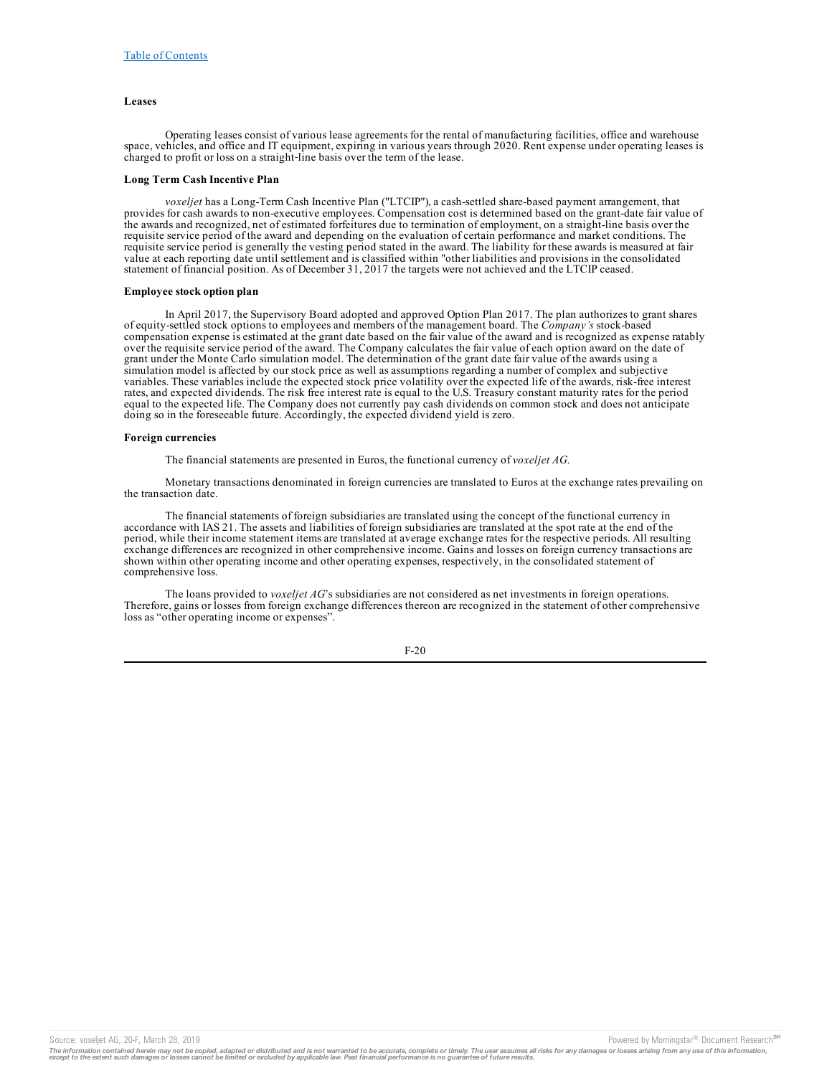## **Leases**

Operating leases consist of various lease agreements for the rental of manufacturing facilities, office and warehouse space, vehicles, and office and IT equipment, expiring in various years through 2020. Rent expense under operating leases is charged to profit or loss on a straight-line basis over the term of the lease.

### **Long Term Cash Incentive Plan**

*voxeljet* has a Long-Term Cash Incentive Plan ("LTCIP"), a cash-settled share-based payment arrangement, that provides for cash awards to non-executive employees. Compensation cost is determined based on the grant-date fair value of the awards and recognized, net of estimated forfeitures due to termination of employment, on a straight-line basis over the requisite service period of the award and depending on the evaluation of certain performance and market conditions. The requisite service period is generally the vesting period stated in the award. The liability for these awards is measured at fair value at each reporting date until settlement and is classified within "other liabilities and provisions in the consolidated statement of financial position. As of December 31, 2017 the targets were not achieved and the LTCIP ceased.

### **Employee stock option plan**

In April 2017, the Supervisory Board adopted and approved Option Plan 2017. The plan authorizes to grant shares of equity-settled stock options to employees and members of the management board. The *Company's* stock-based compensation expense is estimated at the grant date based on the fair value of the award and is recognized as expense ratably over the requisite service period of the award. The Company calculates the fair value of each option award on the date of grant under the Monte Carlo simulation model. The determination of the grant date fair value of the awards using a simulation model is affected by our stock price as well as assumptions regarding a number of complex and subjective variables. These variables include the expected stock price volatility over the expected life of the awards, risk-free interest rates, and expected dividends. The risk free interest rate is equal to the U.S. Treasury constant maturity rates for the period equal to the expected life. The Company does not currently pay cash dividends on common stock and does not anticipate doing so in the foreseeable future. Accordingly, the expected dividend yield is zero.

#### **Foreign currencies**

The financial statements are presented in Euros, the functional currency of *voxeljet AG*.

Monetary transactions denominated in foreign currencies are translated to Euros at the exchange rates prevailing on the transaction date.

The financial statements of foreign subsidiaries are translated using the concept of the functional currency in accordance with IAS 21. The assets and liabilities of foreign subsidiaries are translated at the spot rate at the end of the period, while their income statement items are translated at average exchange rates for the respective periods. All resulting exchange differences are recognized in other comprehensive income. Gains and losses on foreign currency transactions are shown within other operating income and other operating expenses, respectively, in the consolidated statement of comprehensive loss.

The loans provided to *voxeljet AG*'s subsidiaries are not considered as net investments in foreign operations. Therefore, gains or losses from foreign exchange differences thereon are recognized in the statement of other comprehensive loss as "other operating income or expenses".

F-20

Source: voxeljet AG, 20-F, March 28, 2019 **Powered by Morningstar® Document Research** in Powered by Morningstar® Document Research in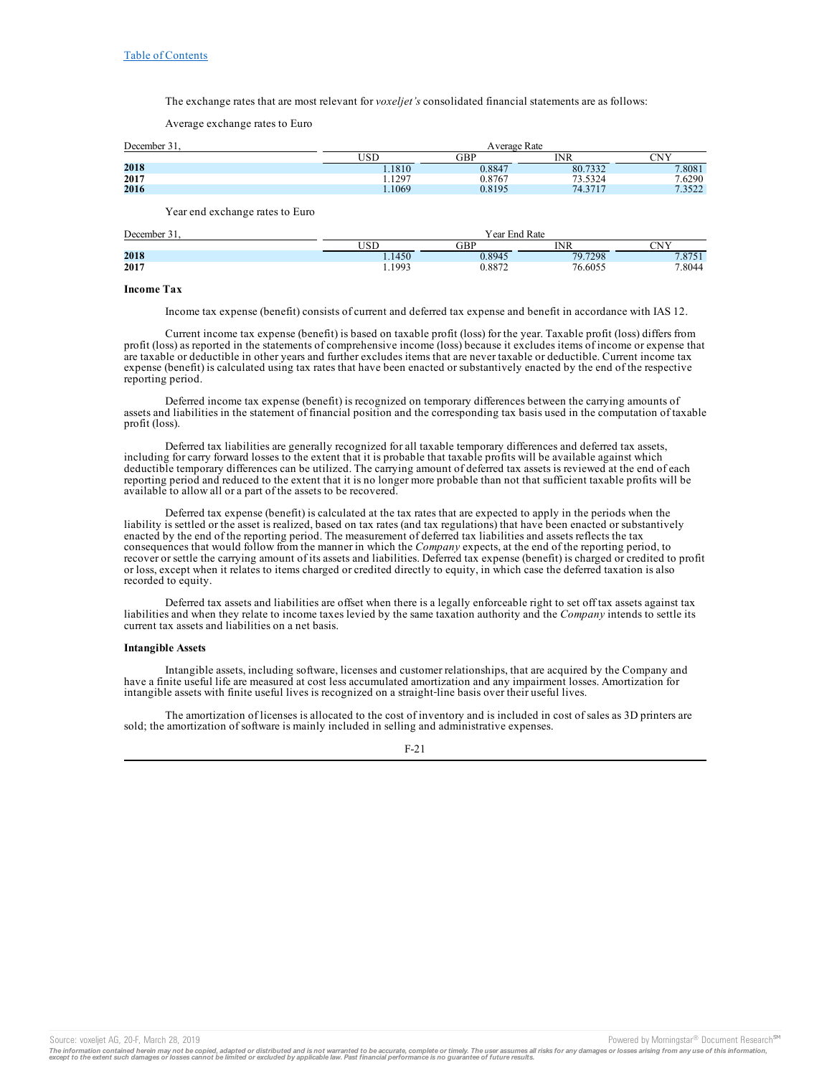The exchange rates that are most relevant for *voxeljet's* consolidated financial statements are as follows:

Average exchange rates to Euro

| December 31. |  |  |
|--------------|--|--|
|              |  |  |

| $\sim$<br>December: | Average Rate |        |         |                 |
|---------------------|--------------|--------|---------|-----------------|
|                     | USD          | GBP    | INR     | <b>CNIV</b>     |
| 2018                | 1.1810       | 0.8847 | 80.7332 | 7.8081          |
| 2017                | 1.1297       | 0.8767 | 73.5324 | 7.6290          |
| 2016                | 1.1069       | 0.8195 | 74.3717 | 7.3522<br>.3322 |

Year end exchange rates to Euro

| December. | Year End Rate |        |         |        |
|-----------|---------------|--------|---------|--------|
|           | TRE           | GBP    | INR     | CNIV   |
| 2018      | 1.1450        | 0.8945 | 79.7298 | 7.8751 |
| 2017      | 1.1993        | 0.8872 | 76.6055 | 7.8044 |

### **Income Tax**

Income tax expense (benefit) consists of current and deferred tax expense and benefit in accordance with IAS 12.

Current income tax expense (benefit) is based on taxable profit (loss) for the year. Taxable profit (loss) differs from profit (loss) as reported in the statements of comprehensive income (loss) because it excludes items of income or expense that are taxable or deductible in other years and further excludes items that are never taxable or deductible. Current income tax expense (benefit) is calculated using tax rates that have been enacted or substantively enacted by the end of the respective reporting period.

Deferred income tax expense (benefit) is recognized on temporary differences between the carrying amounts of assets and liabilities in the statement of financial position and the corresponding tax basis used in the computation of taxable profit (loss).

Deferred tax liabilities are generally recognized for all taxable temporary differences and deferred tax assets, including for carry forward losses to the extent that it is probable that taxable profits will be available against which deductible temporary differences can be utilized. The carrying amount of deferred tax assets is reviewed at the end of each reporting period and reduced to the extent that it is no longer more probable than not that sufficient taxable profits will be available to allow all or a part of the assets to be recovered.

Deferred tax expense (benefit) is calculated at the tax rates that are expected to apply in the periods when the liability is settled or the asset is realized, based on tax rates (and tax regulations) that have been enacted or substantively enacted by the end of the reporting period. The measurement of deferred tax liabilities and assets reflects the tax consequences that would follow from the manner in which the *Company* expects, at the end of the reporting period, to recover or settle the carrying amount of its assets and liabilities. Deferred tax expense (benefit) is charged or credited to profit or loss, except when it relates to items charged or credited directly to equity, in which case the deferred taxation is also recorded to equity.

Deferred tax assets and liabilities are offset when there is a legally enforceable right to set off tax assets against tax liabilities and when they relate to income taxes levied by the same taxation authority and the *Company* intends to settle its current tax assets and liabilities on a net basis.

### **Intangible Assets**

Intangible assets, including software, licenses and customer relationships, that are acquired by the Company and have a finite useful life are measured at cost less accumulated amortization and any impairment losses. Amortization for intangible assets with finite useful lives is recognized on a straight-line basis over their useful lives.

The amortization of licenses is allocated to the cost of inventory and is included in cost of sales as 3D printers are sold; the amortization of software is mainly included in selling and administrative expenses.

### F-21

Source: voxeljet AG, 20-F, March 28, 2019<br>The information contained herein may not be copied, adapted or distributed and is not warranted to be accurate, complete or timely. The user assumes all risks for any damages or lo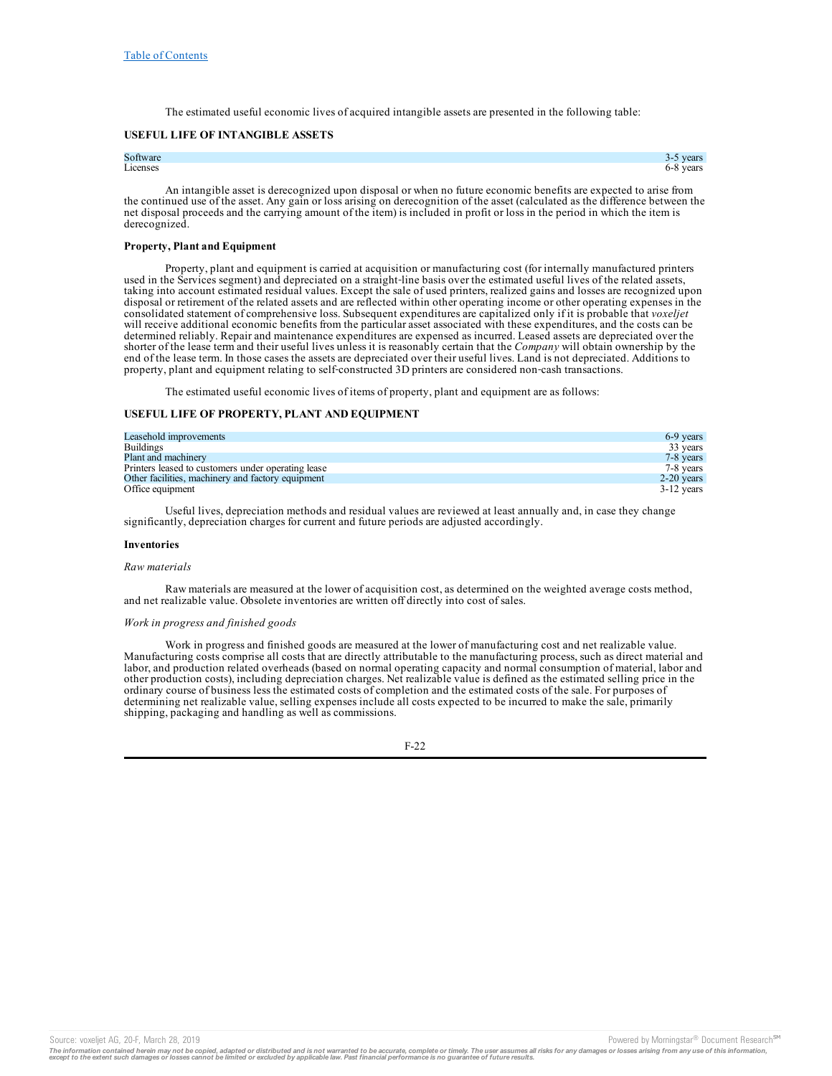The estimated useful economic lives of acquired intangible assets are presented in the following table:

## **USEFUL LIFE OF INTANGIBLE ASSETS**

# Software 3-5 years 3-5 years 3-5 years 3-5 years 3-5 years 3-5 years 3-5 years 3-5 years 3-5 years 3-5 years 3-5 years 3-5 years 3-5 years 3-5 years 3-5 years 3-5 years 3-5 years 3-5 years 3-5 years 3-5 years 3-5 years 3-5 Licenses 6-8 years

An intangible asset is derecognized upon disposal or when no future economic benefits are expected to arise from the continued use of the asset. Any gain or loss arising on derecognition of the asset (calculated as the difference between the net disposal proceeds and the carrying amount of the item) is included in profit or loss in the period in which the item is derecognized.

## **Property, Plant and Equipment**

Property, plant and equipment is carried at acquisition or manufacturing cost (for internally manufactured printers used in the Services segment) and depreciated on a straight-line basis over the estimated useful lives of the related assets, taking into account estimated residual values. Except the sale of used printers, realized gains and losses are recognized upon disposal or retirement of the related assets and are reflected within other operating income or other operating expenses in the consolidated statement of comprehensive loss. Subsequent expenditures are capitalized only if it is probable that *voxeljet* will receive additional economic benefits from the particular asset associated with these expenditures, and the costs can be determined reliably. Repair and maintenance expenditures are expensed as incurred. Leased assets are depreciated over the shorter of the lease term and their useful lives unless it is reasonably certain that the *Company* will obtain ownership by the end of the lease term. In those cases the assets are depreciated over their useful lives. Land is not depreciated. Additions to property, plant and equipment relating to self‑constructed 3D printers are considered non‑cash transactions.

The estimated useful economic lives of items of property, plant and equipment are as follows:

## **USEFUL LIFE OF PROPERTY, PLANT AND EQUIPMENT**

| Leasehold improvements                             | 6-9 years    |
|----------------------------------------------------|--------------|
| <b>Buildings</b>                                   | 33 years     |
| Plant and machinery                                | 7-8 years    |
| Printers leased to customers under operating lease | 7-8 years    |
| Other facilities, machinery and factory equipment  | $2-20$ years |
| Office equipment                                   | $3-12$ years |

Useful lives, depreciation methods and residual values are reviewed at least annually and, in case they change significantly, depreciation charges for current and future periods are adjusted accordingly.

#### **Inventories**

#### *Raw materials*

Raw materials are measured at the lower of acquisition cost, as determined on the weighted average costs method, and net realizable value. Obsolete inventories are written off directly into cost of sales.

#### *Work in progress and finished goods*

Work in progress and finished goods are measured at the lower of manufacturing cost and net realizable value.<br>Manufacturing costs comprise all costs that are directly attributable to the manufacturing process, such as dire labor, and production related overheads (based on normal operating capacity and normal consumption of material, labor and other production costs), including depreciation charges. Net realizable value is defined as the estimated selling price in the ordinary course of business less the estimated costs of completion and the estimated costs of the sale. For purposes of determining net realizable value, selling expenses include all costs expected to be incurred to make the sale, primarily shipping, packaging and handling as well as commissions.

Source: voxeljet AG, 20-F, March 28, 2019 **Powered by Morningstar® Document Research** in Powered by Morningstar® Document Research in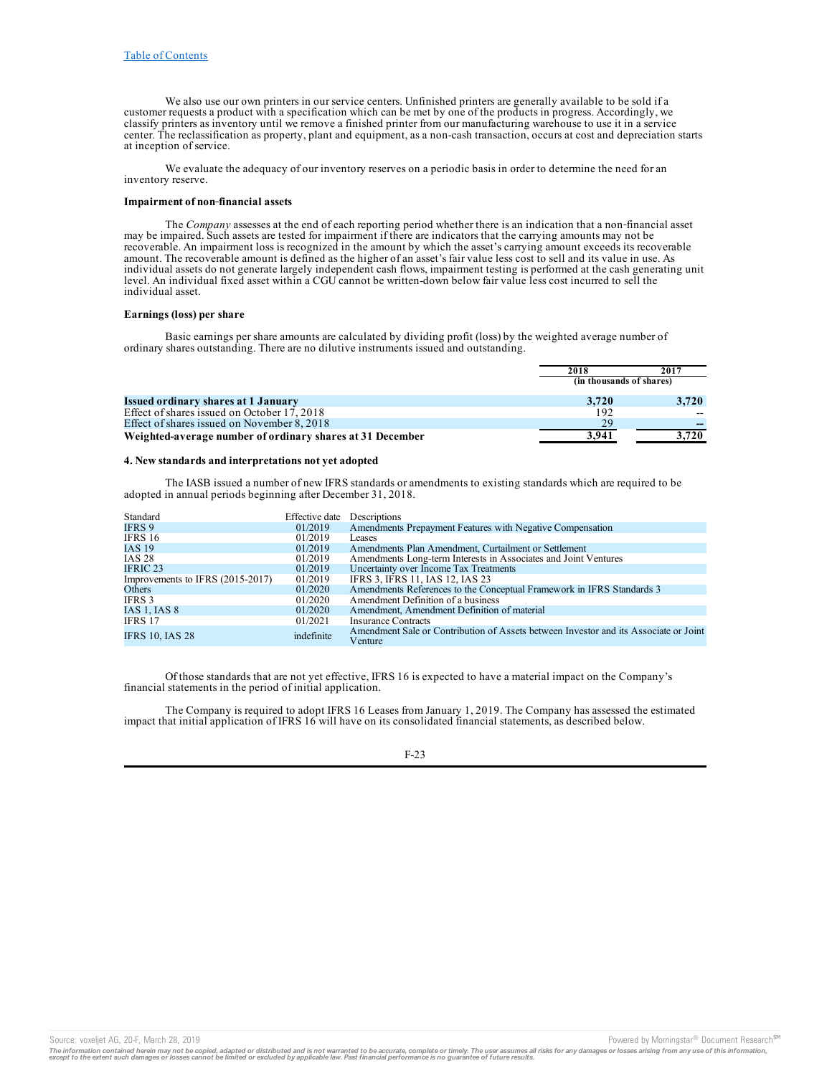We also use our own printers in our service centers. Unfinished printers are generally available to be sold if a customer requests a product with a specification which can be met by one of the products in progress. Accordingly, we classify printers as inventory until we remove a finished printer from our manufacturing warehouse to use it in a service center. The reclassification as property, plant and equipment, as a non-cash transaction, occurs at cost and depreciation starts at inception of service.

We evaluate the adequacy of our inventory reserves on a periodic basis in order to determine the need for an inventory reserve.

## **Impairment of non‑financial assets**

The *Company* assesses at the end of each reporting period whether there is an indication that a non-financial asset may be impaired. Such assets are tested for impairment if there are indicators that the carrying amounts may not be recoverable. An impairment loss is recognized in the amount by which the asset's carrying amount exceeds its recoverable amount. The recoverable amount is defined as the higher of an asset's fair value less cost to sell and its value in use. As individual assets do not generate largely independent cash flows, impairment testing is performed at the cash generating unit level. An individual fixed asset within a CGU cannot be written-down below fair value less cost incurred to sell the individual asset.

### **Earnings (loss) per share**

Basic earnings per share amounts are calculated by dividing profit (loss) by the weighted average number of ordinary shares outstanding. There are no dilutive instruments issued and outstanding.

|                                                           | 2018                     | 2017  |
|-----------------------------------------------------------|--------------------------|-------|
|                                                           | (in thousands of shares) |       |
| <b>Issued ordinary shares at 1 January</b>                | 3.720                    | 3.720 |
| Effect of shares issued on October 17, 2018               | 192                      |       |
| Effect of shares issued on November 8, 2018               | 29                       |       |
| Weighted-average number of ordinary shares at 31 December | 3.941                    | 3.720 |

### **4. New standards and interpretations not yet adopted**

The IASB issued a number of new IFRS standards or amendments to existing standards which are required to be adopted in annual periods beginning after December 31, 2018.

| Standard                         | Effective date | Descriptions                                                                                    |
|----------------------------------|----------------|-------------------------------------------------------------------------------------------------|
| IFRS 9                           | 01/2019        | Amendments Prepayment Features with Negative Compensation                                       |
| IFRS 16                          | 01/2019        | Leases                                                                                          |
| IAS 19                           | 01/2019        | Amendments Plan Amendment, Curtailment or Settlement                                            |
| <b>IAS 28</b>                    | 01/2019        | Amendments Long-term Interests in Associates and Joint Ventures                                 |
| IFRIC 23                         | 01/2019        | Uncertainty over Income Tax Treatments                                                          |
| Improvements to IFRS (2015-2017) | 01/2019        | IFRS 3, IFRS 11, IAS 12, IAS 23                                                                 |
| Others                           | 01/2020        | Amendments References to the Conceptual Framework in IFRS Standards 3                           |
| IFRS 3                           | 01/2020        | Amendment Definition of a business                                                              |
| IAS 1, IAS 8                     | 01/2020        | Amendment, Amendment Definition of material                                                     |
| IFRS 17                          | 01/2021        | <b>Insurance Contracts</b>                                                                      |
| <b>IFRS 10, IAS 28</b>           | indefinite     | Amendment Sale or Contribution of Assets between Investor and its Associate or Joint<br>Venture |

Of those standards that are not yet effective, IFRS 16 is expected to have a material impact on the Company's financial statements in the period of initial application.

The Company is required to adopt IFRS 16 Leases from January 1, 2019. The Company has assessed the estimated impact that initial application of IFRS 16 will have on its consolidated financial statements, as described below.

Source: voxeljet AG, 20-F, March 28, 2019 **Powered by Morningstar® Document Research** <sup>5M</sup> Content Research in the second by Morningstar® Document Research in

The information contained herein may not be copied, adapted or distributed and is not warranted to be accurate, complete or timely. The user assumes all risks for any damages or losses arising from any use of this informat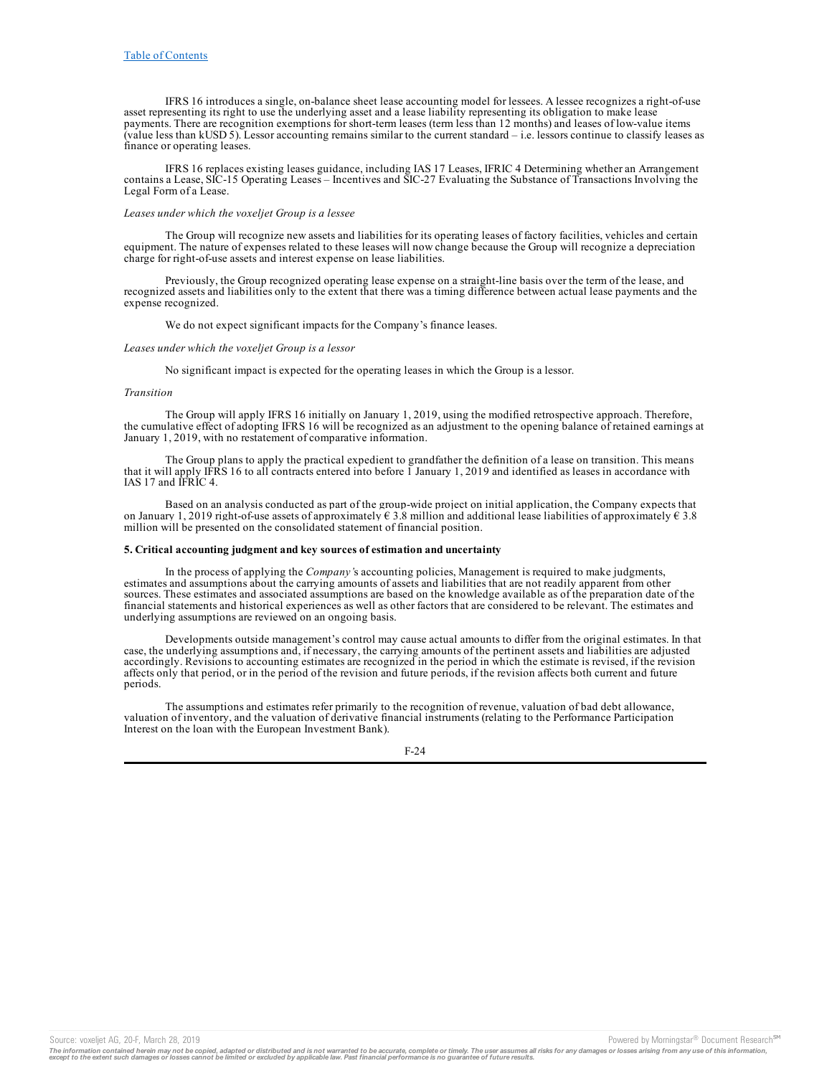IFRS 16 introduces a single, on-balance sheet lease accounting model for lessees. A lessee recognizes a right-of-use asset representing its right to use the underlying asset and a lease liability representing its obligation to make lease payments. There are recognition exemptions for short-term leases (term less than 12 months) and leases of low-value items (value less than kUSD 5). Lessor accounting remains similar to the current standard – i.e. lessors continue to classify leases as finance or operating leases.

IFRS 16 replaces existing leases guidance, including IAS 17 Leases, IFRIC 4 Determining whether an Arrangement contains a Lease, SIC-15 Operating Leases – Incentives and SIC-27 Evaluating the Substance of Transactions Involving the Legal Form of a Lease.

### *Leases under which the voxeljet Group is a lessee*

The Group will recognize new assets and liabilities for its operating leases of factory facilities, vehicles and certain equipment. The nature of expenses related to these leases will now change because the Group will recognize a depreciation charge for right-of-use assets and interest expense on lease liabilities.

Previously, the Group recognized operating lease expense on a straight-line basis over the term of the lease, and recognized assets and liabilities only to the extent that there was a timing difference between actual lease payments and the expense recognized.

We do not expect significant impacts for the Company's finance leases.

#### *Leases under which the voxeljet Group is a lessor*

No significant impact is expected for the operating leases in which the Group is a lessor.

#### *Transition*

The Group will apply IFRS 16 initially on January 1, 2019, using the modified retrospective approach. Therefore, the cumulative effect of adopting IFRS 16 will be recognized as an adjustment to the opening balance of retained earnings at January 1, 2019, with no restatement of comparative information.

The Group plans to apply the practical expedient to grandfather the definition of a lease on transition. This means that it will apply IFRS 16 to all contracts entered into before 1 January 1, 2019 and identified as leases in accordance with IAS 17 and IFRIC 4.

Based on an analysis conducted as part of the group-wide project on initial application, the Company expects that on January 1, 2019 right-of-use assets of approximately  $\epsilon$  3.8 million and additional lease liabilities of approximately  $\epsilon$  3.8 million will be presented on the consolidated statement of financial position.

### **5. Critical accounting judgment and key sources of estimation and uncertainty**

In the process of applying the *Company'*s accounting policies, Management is required to make judgments, estimates and assumptions about the carrying amounts of assets and liabilities that are not readily apparent from other sources. These estimates and associated assumptions are based on the knowledge available as of the preparation date of the financial statements and historical experiences as well as other factors that are considered to be relevant. The estimates and underlying assumptions are reviewed on an ongoing basis.

Developments outside management's control may cause actual amounts to differ from the original estimates. In that case, the underlying assumptions and, if necessary, the carrying amounts of the pertinent assets and liabilities are adjusted accordingly. Revisions to accounting estimates are recognized in the period in which the estimate is revised, if the revision affects only that period, or in the period of the revision and future periods, if the revision affects both current and future periods.

The assumptions and estimates refer primarily to the recognition of revenue, valuation of bad debt allowance, valuation of inventory, and the valuation of derivative financial instruments (relating to the Performance Participation Interest on the loan with the European Investment Bank).



The information contained herein may not be copied, adapted or distributed and is not warranted to be accurate, complete or timely. The user assumes all risks for any damages or losses arising from any use of this informat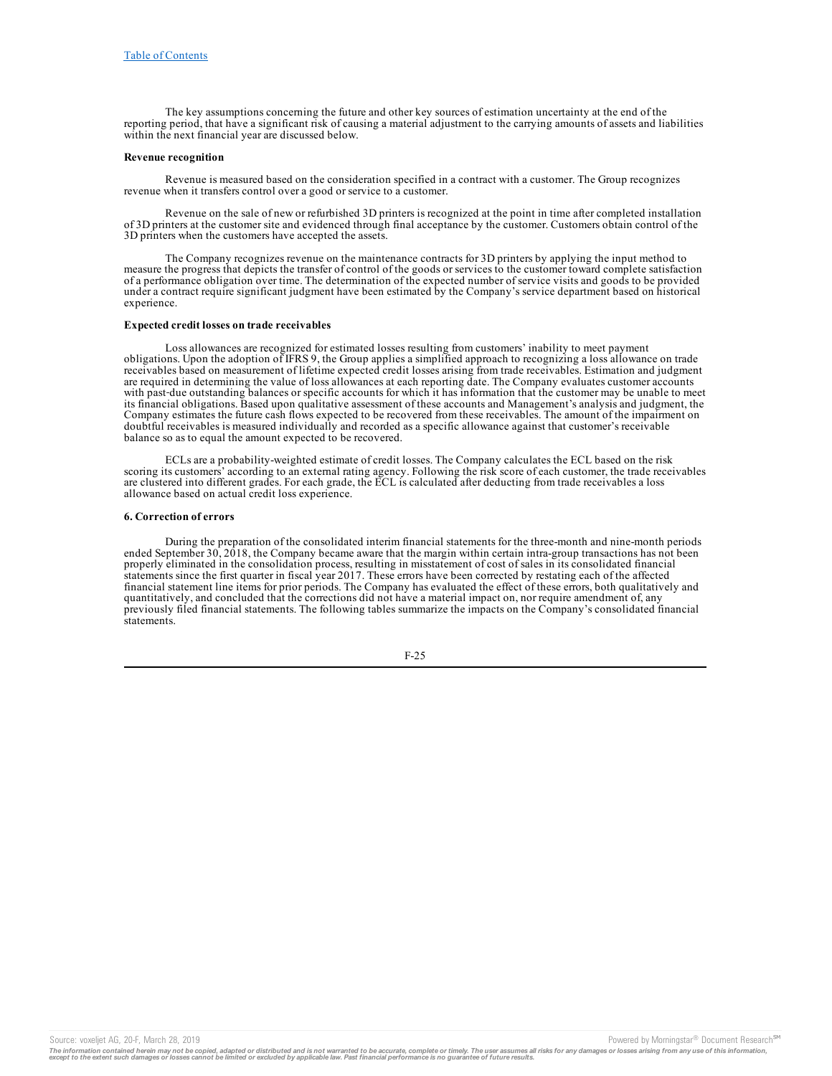The key assumptions concerning the future and other key sources of estimation uncertainty at the end of the reporting period, that have a significant risk of causing a material adjustment to the carrying amounts of assets and liabilities within the next financial year are discussed below.

### **Revenue recognition**

Revenue is measured based on the consideration specified in a contract with a customer. The Group recognizes revenue when it transfers control over a good or service to a customer.

Revenue on the sale of new or refurbished 3D printers is recognized at the point in time after completed installation of 3D printers at the customer site and evidenced through final acceptance by the customer. Customers obtain control of the 3D printers when the customers have accepted the assets.

The Company recognizes revenue on the maintenance contracts for 3D printers by applying the input method to measure the progress that depicts the transfer of control of the goods or services to the customer toward complete satisfaction of a performance obligation over time. The determination of the expected number of service visits and goods to be provided under a contract require significant judgment have been estimated by the Company's service department based on historical experience.

#### **Expected credit losses on trade receivables**

Loss allowances are recognized for estimated losses resulting from customers' inability to meet payment obligations. Upon the adoption of IFRS 9, the Group applies a simplified approach to recognizing a loss allowance on trade receivables based on measurement of lifetime expected credit losses arising from trade receivables. Estimation and judgment are required in determining the value of loss allowances at each reporting date. The Company evaluates customer accounts with past-due outstanding balances or specific accounts for which it has information that the customer may be unable to meet its financial obligations. Based upon qualitative assessment of these accounts and Management's analysis and judgment, the Company estimates the future cash flows expected to be recovered from these receivables. The amount of the impairment on doubtful receivables is measured individually and recorded as a specific allowance against that customer's receivable balance so as to equal the amount expected to be recovered.

ECLs are a probability-weighted estimate of credit losses. The Company calculates the ECL based on the risk scoring its customers' according to an external rating agency. Following the risk score of each customer, the trade receivables are clustered into different grades. For each grade, the ECL is calculated after deducting from trade receivables a loss allowance based on actual credit loss experience.

### **6. Correction of errors**

During the preparation of the consolidated interim financial statements for the three-month and nine-month periods ended September 30, 2018, the Company became aware that the margin within certain intra-group transactions has not been properly eliminated in the consolidation process, resulting in misstatement of cost of sales in its consolidated financial statements since the first quarter in fiscal year 2017. These errors have been corrected by restating each of the affected financial statement line items for prior periods. The Company has evaluated the effect of these errors, both qualitatively and quantitatively, and concluded that the corrections did not have a material impact on, nor require amendment of, any previously filed financial statements. The following tables summarize the impacts on the Company's consolidated financial statements.

$$
F-25
$$

Source: voxeljet AG, 20-F, March 28, 2019 **Powered by Morningstar® Document Research** in Powered by Morningstar® Document Research in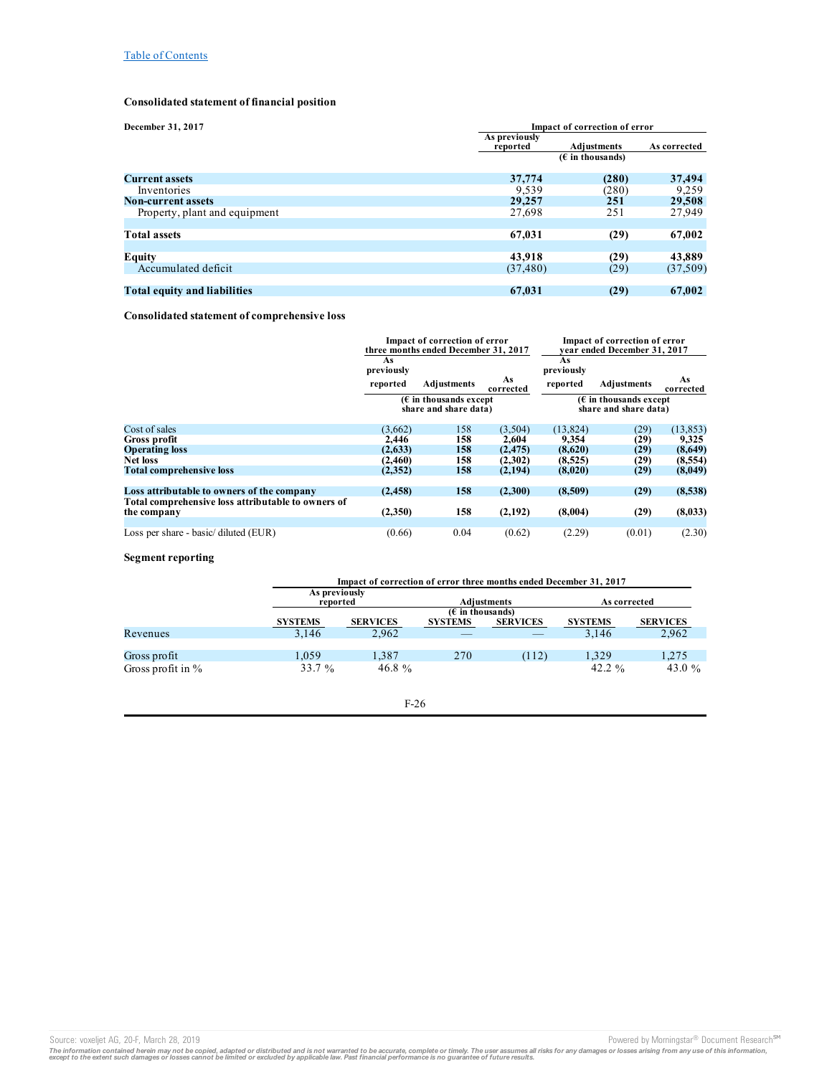# **Consolidated statement of financial position**

| December 31, 2017                   | Impact of correction of error |                                   |              |
|-------------------------------------|-------------------------------|-----------------------------------|--------------|
|                                     | As previously<br>reported     | Adiustments<br>$(E$ in thousands) | As corrected |
| <b>Current assets</b>               | 37,774                        | (280)                             | 37,494       |
| Inventories                         | 9,539                         | (280)                             | 9,259        |
| <b>Non-current assets</b>           | 29,257                        | 251                               | 29,508       |
| Property, plant and equipment       | 27,698                        | 251                               | 27,949       |
| <b>Total assets</b>                 | 67,031                        | (29)                              | 67,002       |
| <b>Equity</b>                       | 43.918                        | (29)                              | 43,889       |
| Accumulated deficit                 | (37, 480)                     | (29)                              | (37, 509)    |
| <b>Total equity and liabilities</b> | 67,031                        | (29)                              | 67,002       |

## **Consolidated statement of comprehensive loss**

|                                                    | Impact of correction of error<br>three months ended December 31, 2017 |             | Impact of correction of error<br>vear ended December 31, 2017 |                                                          |             |                 |
|----------------------------------------------------|-----------------------------------------------------------------------|-------------|---------------------------------------------------------------|----------------------------------------------------------|-------------|-----------------|
|                                                    | As<br>previously                                                      |             |                                                               | As<br>previously                                         |             |                 |
|                                                    | reported                                                              | Adjustments | As<br>corrected                                               | reported                                                 | Adjustments | As<br>corrected |
|                                                    | $(\epsilon$ in thousands except<br>share and share data)              |             |                                                               | $(\epsilon$ in thousands except<br>share and share data) |             |                 |
| Cost of sales                                      | (3,662)                                                               | 158         | (3,504)                                                       | (13, 824)                                                | (29)        | (13, 853)       |
| Gross profit                                       | 2,446                                                                 | 158         | 2,604                                                         | 9,354                                                    | (29)        | 9,325           |
| <b>Operating loss</b>                              | (2,633)                                                               | 158         | (2, 475)                                                      | (8,620)                                                  | (29)        | (8,649)         |
| <b>Net loss</b>                                    | (2, 460)                                                              | 158         | (2,302)                                                       | (8,525)                                                  | (29)        | (8,554)         |
| <b>Total comprehensive loss</b>                    | (2,352)                                                               | 158         | (2,194)                                                       | (8,020)                                                  | (29)        | (8,049)         |
| Loss attributable to owners of the company         | (2, 458)                                                              | 158         | (2,300)                                                       | (8,509)                                                  | (29)        | (8,538)         |
| Total comprehensive loss attributable to owners of |                                                                       |             |                                                               |                                                          |             |                 |
| the company                                        | (2,350)                                                               | 158         | (2,192)                                                       | (8,004)                                                  | (29)        | (8,033)         |
|                                                    |                                                                       |             |                                                               |                                                          |             |                 |
| Loss per share - basic/ diluted (EUR)              | (0.66)                                                                | 0.04        | (0.62)                                                        | (2.29)                                                   | (0.01)      | (2.30)          |

## **Segment reporting**

|                      |                           | Impact of correction of error three months ended December 31, 2017 |                                      |                 |                    |                 |
|----------------------|---------------------------|--------------------------------------------------------------------|--------------------------------------|-----------------|--------------------|-----------------|
|                      | As previously<br>reported |                                                                    |                                      | Adjustments     | As corrected       |                 |
|                      | <b>SYSTEMS</b>            | <b>SERVICES</b>                                                    | $(E$ in thousands)<br><b>SYSTEMS</b> | <b>SERVICES</b> | <b>SYSTEMS</b>     | <b>SERVICES</b> |
| Revenues             | 3.146                     | 2.962                                                              |                                      |                 | 3.146              | 2,962           |
| Gross profit         | 1.059                     | 1,387                                                              | 270                                  | (112)           | 1.329              | 1,275           |
| Gross profit in $\%$ | 33.7 $%$                  | 46.8 $\%$                                                          |                                      |                 | 42.2 $\frac{9}{6}$ | 43.0 $\%$       |

## F-26

Source: voxeljet AG, 20-F, March 28, 2019<br>The information contained herein may not be copied, adapted or distributed and is not warranted to be accurate, complete or timely. The user assumes all risks for any damages or lo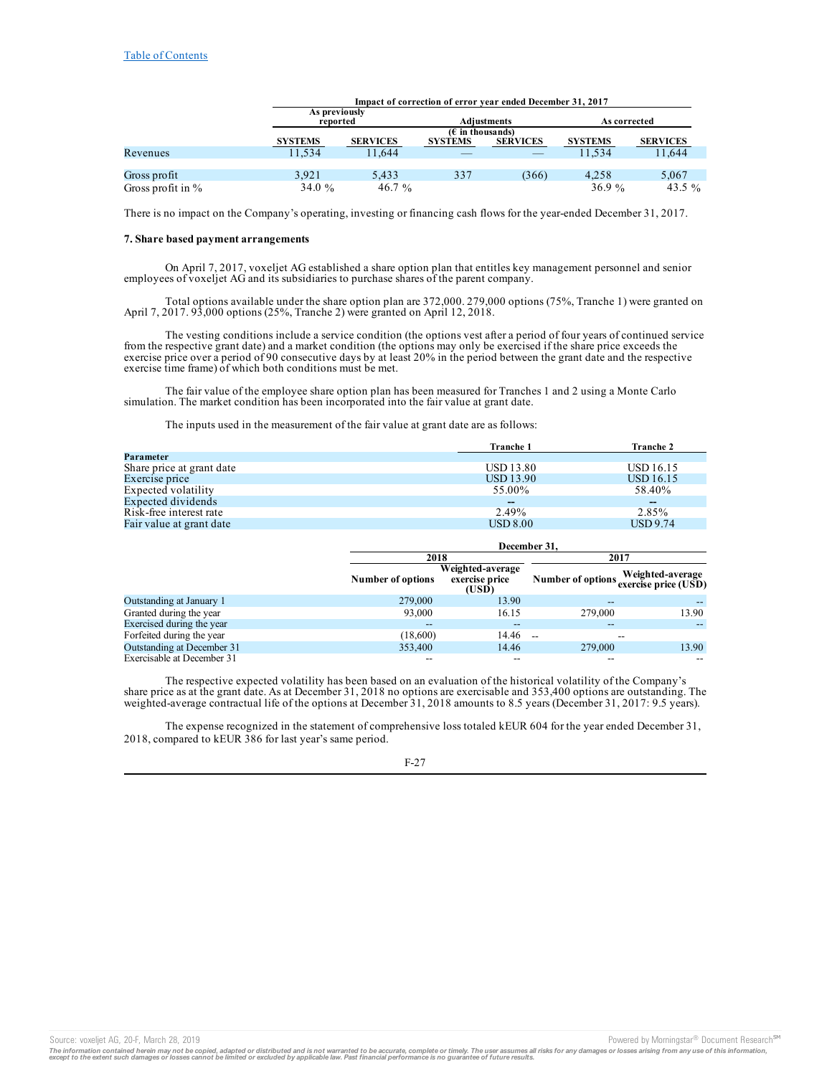|                      |                           | Impact of correction of error year ended December 31, 2017 |                                      |                    |                |                 |
|----------------------|---------------------------|------------------------------------------------------------|--------------------------------------|--------------------|----------------|-----------------|
|                      | As previously<br>reported |                                                            |                                      | <b>Adiustments</b> | As corrected   |                 |
|                      | <b>SYSTEMS</b>            | <b>SERVICES</b>                                            | $(E$ in thousands)<br><b>SYSTEMS</b> | <b>SERVICES</b>    | <b>SYSTEMS</b> | <b>SERVICES</b> |
| Revenues             | 11.534                    | 11.644                                                     |                                      |                    | 11.534         | 11.644          |
| Gross profit         | 3.921                     | 5.433                                                      | 337                                  | (366)              | 4.258          | 5,067           |
| Gross profit in $\%$ | 34.0 $\%$                 | 46.7 $\%$                                                  |                                      |                    | 36.9 $%$       | 43.5 $\%$       |

There is no impact on the Company's operating, investing or financing cash flows for the year-ended December 31, 2017.

### **7. Share based payment arrangements**

On April 7, 2017, voxeljet AG established a share option plan that entitles key management personnel and senior employees of voxeljet AG and its subsidiaries to purchase shares of the parent company.

Total options available under the share option plan are 372,000. 279,000 options (75%, Tranche 1) were granted on April 7, 2017. 93,000 options (25%, Tranche 2) were granted on April 12, 2018.

The vesting conditions include a service condition (the options vest after a period of four years of continued service from the respective grant date) and a market condition (the options may only be exercised if the share price exceeds the exercise price over a period of 90 consecutive days by at least 20% in the period between the grant date and the respective exercise time frame) of which both conditions must be met.

The fair value of the employee share option plan has been measured for Tranches 1 and 2 using a Monte Carlo simulation. The market condition has been incorporated into the fair value at grant date.

The inputs used in the measurement of the fair value at grant date are as follows:

|                           | <b>Tranche 1</b>         | <b>Tranche 2</b> |
|---------------------------|--------------------------|------------------|
| Parameter                 |                          |                  |
| Share price at grant date | <b>USD 13.80</b>         | USD 16.15        |
| Exercise price            | <b>USD</b> 13.90         | USD 16.15        |
| Expected volatility       | 55.00%                   | 58.40%           |
| Expected dividends        | $\overline{\phantom{m}}$ | $\sim$           |
| Risk-free interest rate   | 2.49%                    | 2.85%            |
| Fair value at grant date  | $\text{USD }8.00$        | <b>USD</b> 9.74  |

|                            |                   | December 31.                                |                                        |                  |  |  |
|----------------------------|-------------------|---------------------------------------------|----------------------------------------|------------------|--|--|
|                            | 2018              |                                             |                                        | 2017             |  |  |
|                            | Number of options | Weighted-average<br>exercise price<br>(USD) | Number of options exercise price (USD) | Weighted-average |  |  |
| Outstanding at January 1   | 279,000           | 13.90                                       | $- -$                                  |                  |  |  |
| Granted during the year    | 93,000            | 16.15                                       | 279,000                                | 13.90            |  |  |
| Exercised during the year  | --                | $- -$                                       |                                        |                  |  |  |
| Forfeited during the year  | (18,600)          | 14.46                                       | $-$                                    |                  |  |  |
| Outstanding at December 31 | 353,400           | 14.46                                       | 279,000                                | 13.90            |  |  |
| Exercisable at December 31 |                   | $- -$                                       | --                                     |                  |  |  |

The respective expected volatility has been based on an evaluation of the historical volatility of the Company's share price as at the grant date. As at December 31, 2018 no options are exercisable and 353,400 options are outstanding. The weighted-average contractual life of the options at December 31, 2018 amounts to 8.5 years (December 31, 2017: 9.5 years).

The expense recognized in the statement of comprehensive loss totaled kEUR 604 for the year ended December 31, 2018, compared to kEUR 386 for last year's same period.

F-27

Source: voxeljet AG, 20-F, March 28, 2019 **Powered by Morningstar® Document Research** and Decembent Research in the second by Morningstar® Document Research in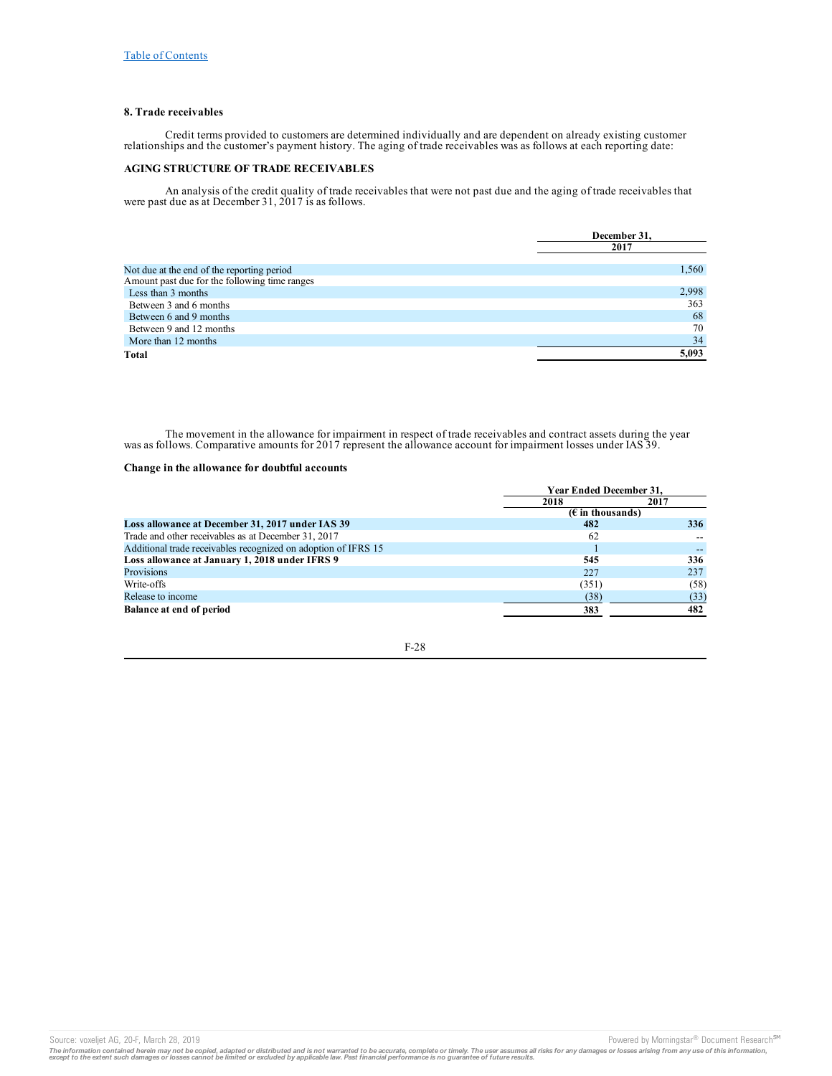## **8. Trade receivables**

Credit terms provided to customers are determined individually and are dependent on already existing customer relationships and the customer's payment history. The aging of trade receivables was as follows at each reporting date:

## **AGING STRUCTURE OF TRADE RECEIVABLES**

An analysis of the credit quality of trade receivables that were not past due and the aging of trade receivables that were past due as at December 31, 2017 is as follows.

|                                                                                             | December 31. |
|---------------------------------------------------------------------------------------------|--------------|
|                                                                                             | 2017         |
|                                                                                             |              |
| Not due at the end of the reporting period<br>Amount past due for the following time ranges | 1.560        |
|                                                                                             |              |
| Less than 3 months                                                                          | 2,998        |
| Between 3 and 6 months                                                                      | 363          |
| Between 6 and 9 months                                                                      | 68           |
| Between 9 and 12 months                                                                     | 70           |
| More than 12 months                                                                         | 34           |
| Total                                                                                       | 5.093        |

The movement in the allowance for impairment in respect of trade receivables and contract assets during the year was as follows. Comparative amounts for 2017 represent the allowance account for impairment losses under IAS 39.

## **Change in the allowance for doubtful accounts**

|                                                                | <b>Year Ended December 31.</b>     |      |  |
|----------------------------------------------------------------|------------------------------------|------|--|
|                                                                | 2017<br>2018                       |      |  |
|                                                                | $(E \in \mathbb{R})$ in thousands) |      |  |
| Loss allowance at December 31, 2017 under IAS 39               | 482                                | 336  |  |
| Trade and other receivables as at December 31, 2017            | 62                                 |      |  |
| Additional trade receivables recognized on adoption of IFRS 15 |                                    |      |  |
| Loss allowance at January 1, 2018 under IFRS 9                 | 545                                | 336  |  |
| Provisions                                                     | 227                                | 237  |  |
| Write-offs                                                     | (351)                              | (58) |  |
| Release to income                                              | (38)                               | (33) |  |
| Balance at end of period                                       | 383                                | 482  |  |

F-28

Source: voxeljet AG, 20-F, March 28, 2019 **Powered by Morningstar® Document Research** Morningstar® Document Research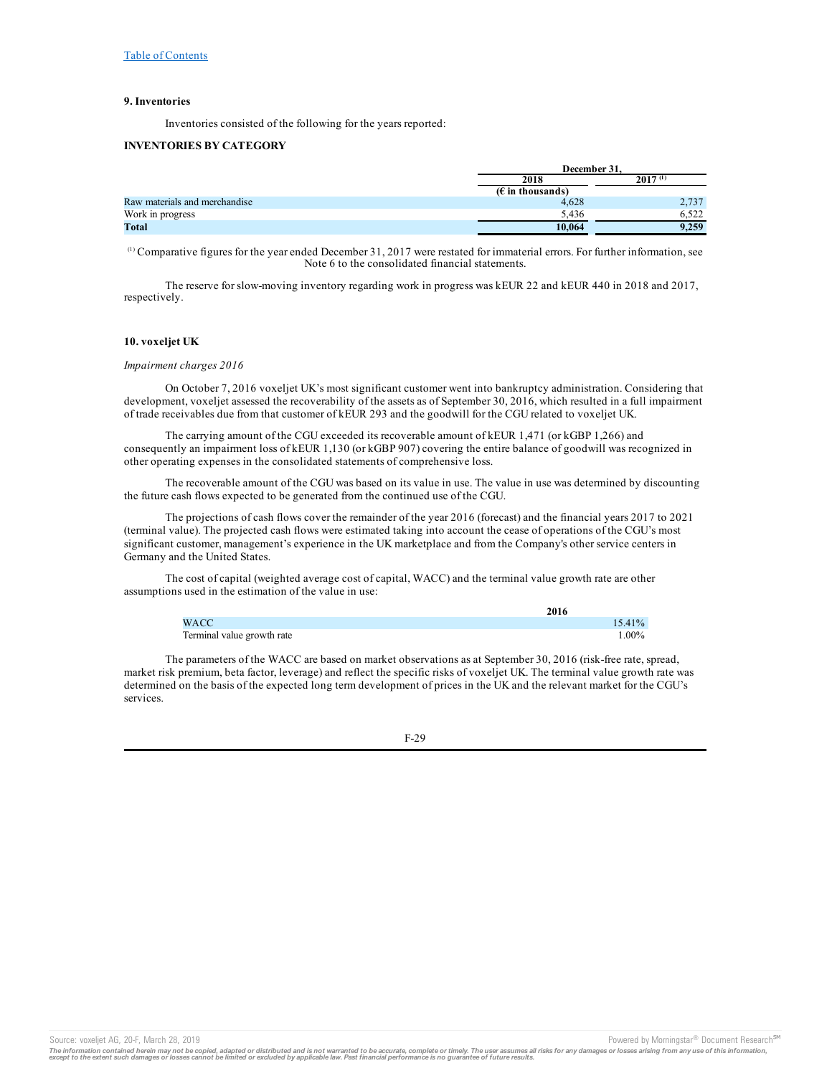## **9. Inventories**

Inventories consisted of the following for the years reported:

## **INVENTORIES BY CATEGORY**

|                               | December 31.       |              |  |
|-------------------------------|--------------------|--------------|--|
|                               | 2018               | $2017^{(1)}$ |  |
|                               | $(E$ in thousands) |              |  |
| Raw materials and merchandise | 4.628              | 2,737        |  |
| Work in progress              | 5.436              | 6.522        |  |
| Total                         | 10.064             | 9.259        |  |

 $\alpha$ ) Comparative figures for the year ended December 31, 2017 were restated for immaterial errors. For further information, see Note 6 to the consolidated financial statements.

The reserve for slow-moving inventory regarding work in progress was kEUR 22 and kEUR 440 in 2018 and 2017, respectively.

## **10. voxeljet UK**

### *Impairment charges 2016*

On October 7, 2016 voxeljet UK's most significant customer went into bankruptcy administration. Considering that development, voxeljet assessed the recoverability of the assets as of September 30, 2016, which resulted in a full impairment of trade receivables due from that customer of kEUR 293 and the goodwill for the CGU related to voxeljet UK.

The carrying amount of the CGU exceeded its recoverable amount of kEUR 1,471 (or kGBP 1,266) and consequently an impairment loss of kEUR 1,130 (or kGBP 907) covering the entire balance of goodwill was recognized in other operating expenses in the consolidated statements of comprehensive loss.

The recoverable amount of the CGU was based on its value in use. The value in use was determined by discounting the future cash flows expected to be generated from the continued use of the CGU.

The projections of cash flows cover the remainder of the year 2016 (forecast) and the financial years 2017 to 2021 (terminal value). The projected cash flows were estimated taking into account the cease of operations of the CGU's most significant customer, management's experience in the UK marketplace and from the Company's other service centers in Germany and the United States.

The cost of capital (weighted average cost of capital, WACC) and the terminal value growth rate are other assumptions used in the estimation of the value in use:

|                            | 2016      |
|----------------------------|-----------|
| <b>WACC</b>                | $15.41\%$ |
| Terminal value growth rate | $.00\%$   |

**2016**

The parameters of the WACC are based on market observations as at September 30, 2016 (risk-free rate, spread, market risk premium, beta factor, leverage) and reflect the specific risks of voxeljet UK. The terminal value growth rate was determined on the basis of the expected long term development of prices in the UK and the relevant market for the CGU's services.

F-29

Source: voxeljet AG, 20-F, March 28, 2019 **Powered by Morningstar® Document Research** <sup>5M</sup> Content Research in the second by Morningstar® Document Research in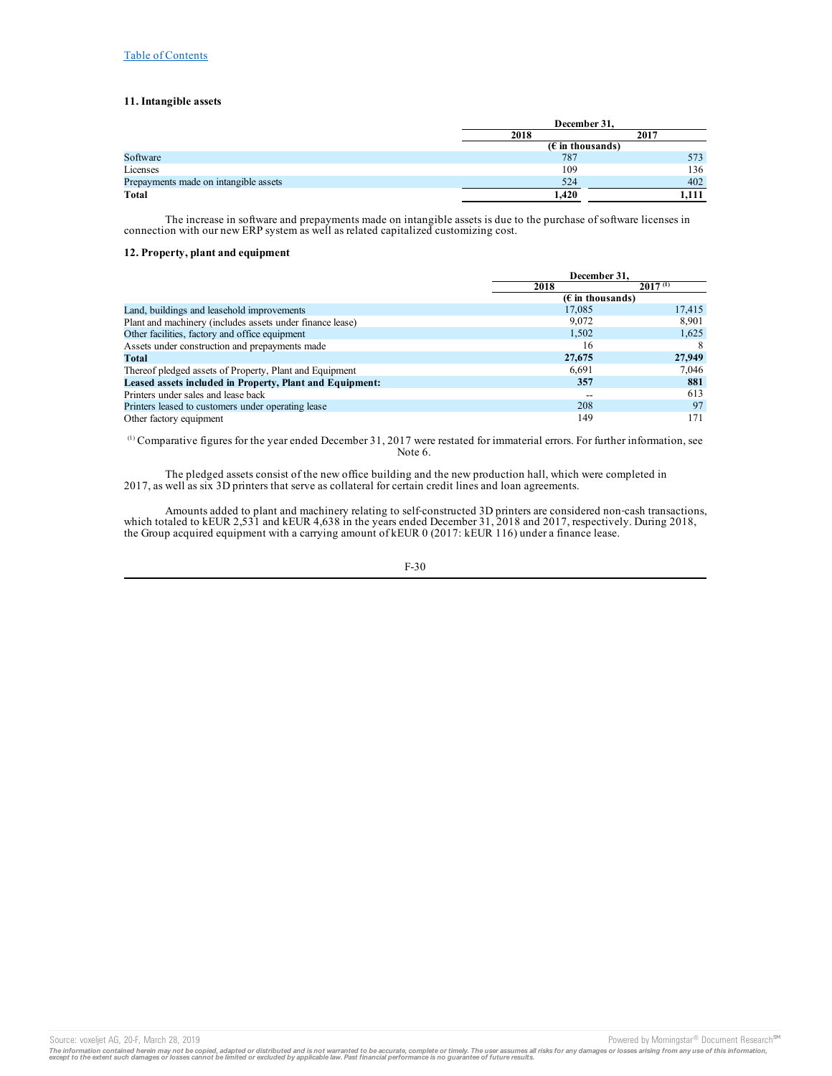## **11. Intangible assets**

|                                       |                    | December 31, |  |  |
|---------------------------------------|--------------------|--------------|--|--|
|                                       | 2018               | 2017         |  |  |
|                                       | $(E$ in thousands) |              |  |  |
| Software                              | 787                | 573          |  |  |
| Licenses                              | 109                | 136          |  |  |
| Prepayments made on intangible assets | 524                | 402          |  |  |
| Total                                 | 1.420              | 1.111        |  |  |

The increase in software and prepayments made on intangible assets is due to the purchase of software licenses in connection with our new ERP system as well as related capitalized customizing cost.

## **12. Property, plant and equipment**

|                                                           |        | December 31.                       |  |  |
|-----------------------------------------------------------|--------|------------------------------------|--|--|
|                                                           | 2018   | $2017^{(1)}$                       |  |  |
|                                                           |        | $(E \in \mathbb{R})$ in thousands) |  |  |
| Land, buildings and leasehold improvements                | 17,085 | 17,415                             |  |  |
| Plant and machinery (includes assets under finance lease) | 9,072  | 8,901                              |  |  |
| Other facilities, factory and office equipment            | 1,502  | 1,625                              |  |  |
| Assets under construction and prepayments made            | 16     | 8                                  |  |  |
| Total                                                     | 27,675 | 27,949                             |  |  |
| Thereof pledged assets of Property, Plant and Equipment   | 6.691  | 7,046                              |  |  |
| Leased assets included in Property, Plant and Equipment:  | 357    | 881                                |  |  |
| Printers under sales and lease back                       |        | 613                                |  |  |
| Printers leased to customers under operating lease        | 208    | 97                                 |  |  |
| Other factory equipment                                   | 149    | 171                                |  |  |

 $\alpha$ ) Comparative figures for the year ended December 31, 2017 were restated for immaterial errors. For further information, see Note 6.

The pledged assets consist of the new office building and the new production hall, which were completed in 2017, as well as six 3D printers that serve as collateral for certain credit lines and loan agreements.

Amounts added to plant and machinery relating to self-constructed 3D printers are considered non-cash transactions, which totaled to kEUR 2,531 and kEUR 4,638 in the years ended December 31, 2018 and 2017, respectively. During 2018, the Group acquired equipment with a carrying amount of kEUR 0 (2017: kEUR 116) under a finance lease.

F-30

Source: voxeljet AG, 20-F, March 28, 2019 **Powered by Morningstar® Document Research** Morningstar® Document Research Morningstar® Document Research Morningstar® Document Research Morningstar® Document Research Morningstar®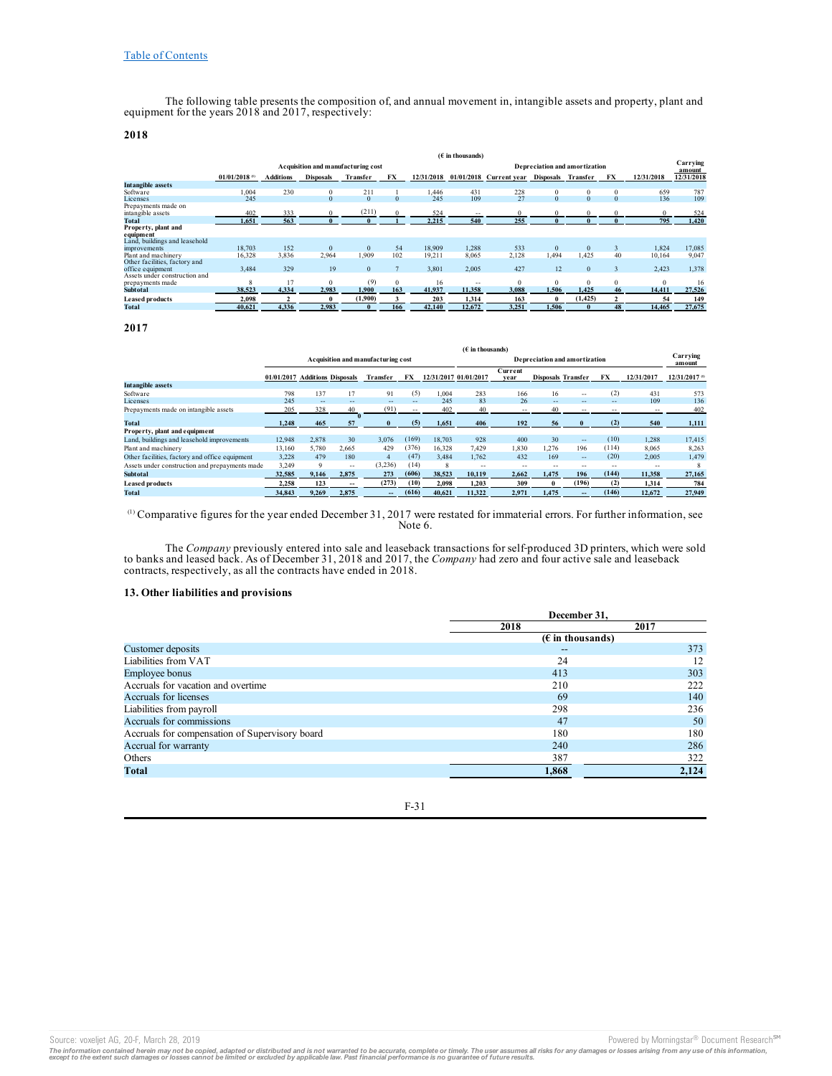The following table presents the composition of, and annual movement in, intangible assets and property, plant and equipment for the years 2018 and 2017, respectively:

# **2018**

|                               |                             |                  |                                    |              |          |            | $(E$ in thousands) |                           |                    |                               |          |            |                    |
|-------------------------------|-----------------------------|------------------|------------------------------------|--------------|----------|------------|--------------------|---------------------------|--------------------|-------------------------------|----------|------------|--------------------|
|                               |                             |                  | Acquisition and manufacturing cost |              |          |            |                    |                           |                    | Depreciation and amortization |          |            | Carrying<br>amount |
|                               | $01/01/2018$ <sup>(1)</sup> | <b>Additions</b> | <b>Disposals</b>                   | Transfer     | FX       | 12/31/2018 |                    | $01/01/2018$ Current year | Disposals Transfer |                               | FX       | 12/31/2018 | 12/31/2018         |
| <b>Intangible assets</b>      |                             |                  |                                    |              |          |            |                    |                           |                    |                               |          |            |                    |
| Software                      | 1.004                       | 230              | $\bf{0}$                           | 211          |          | 1.446      | 431                | 228                       | $\bf{0}$           | $\Omega$                      | $\Omega$ | 659        | 787                |
| Licenses                      | 245                         |                  | $\mathbf{0}$                       | $\mathbf{0}$ | $\Omega$ | 245        | 109                | 27                        | $\mathbf{0}$       | $\Omega$                      | $\Omega$ | 136        | 109                |
| Prepayments made on           |                             |                  |                                    |              |          |            |                    |                           |                    |                               |          |            |                    |
| intangible assets             | 402                         | 333              | $\Omega$                           | (211)        | $\Omega$ | 524        | --                 | $\Omega$                  | $\Omega$           |                               |          | $\Omega$   | 524                |
| Total                         | 1.651                       | 563              | $\mathbf{0}$                       |              |          | 2.215      | 540                | 255                       | $\mathbf{0}$       |                               |          | 795        | 1.420              |
| Property, plant and           |                             |                  |                                    |              |          |            |                    |                           |                    |                               |          |            |                    |
| equipment                     |                             |                  |                                    |              |          |            |                    |                           |                    |                               |          |            |                    |
| Land, buildings and leasehold |                             |                  |                                    |              |          |            |                    |                           |                    |                               |          |            |                    |
| improvements                  | 18.703                      | 152              | $\Omega$                           | $\Omega$     | 54       | 18.909     | 1.288              | 533                       | $\Omega$           | $\Omega$                      |          | 1.824      | 17.085             |
| Plant and machinery           | 16,328                      | 3,836            | 2.964                              | 1.909        | 102      | 19.211     | 8,065              | 2,128                     | 1.494              | 1.425                         | 40       | 10,164     | 9.047              |
| Other facilities, factory and |                             |                  |                                    |              |          |            |                    |                           |                    |                               |          |            |                    |
| office equipment              | 3,484                       | 329              | 19                                 | $\mathbf{0}$ |          | 3,801      | 2,005              | 427                       | 12                 | $\mathbf{0}$                  | $\Delta$ | 2,423      | 1,378              |
| Assets under construction and |                             |                  |                                    |              |          |            |                    |                           |                    |                               |          |            |                    |
| prepayments made              | $\mathbf{8}$                | 17               | $\Omega$                           | (9)          | $\Omega$ | 16         | $=$                | $\Omega$                  | $\Omega$           | $\Omega$                      | $\Omega$ | $\Omega$   | 16                 |
| <b>Subtotal</b>               | 38.523                      | 4.334            | 2.983                              | 1.900        | 163      | 41.937     | 11.358             | 3.088                     | 1.506              | 1.425                         | 46       | 14.411     | 27,526             |
| <b>Leased products</b>        | 2.098                       |                  | 0                                  | (1,900)      |          | 203        | 1.314              | 163                       | $\theta$           | (1, 425)                      |          | 54         | 149                |
| <b>Total</b>                  | 40.621                      | 4.336            | 2.983                              | $\mathbf{0}$ | 166      | 42,140     | 12.672             | 3.251                     | 1.506              | 0                             | 48       | 14.465     | 27.675             |

**2017**

|                                                | $(E$ in thousands)             |             |       |                                    |       |        |                       |                               |                           |            |       |                    |                |
|------------------------------------------------|--------------------------------|-------------|-------|------------------------------------|-------|--------|-----------------------|-------------------------------|---------------------------|------------|-------|--------------------|----------------|
|                                                |                                |             |       | Acquisition and manufacturing cost |       |        |                       | Depreciation and amortization |                           |            |       | Carrying<br>amount |                |
|                                                | 01/01/2017 Additions Disposals |             |       | Transfer                           | FX    |        | 12/31/2017 01/01/2017 | Current<br>vear               | <b>Disposals Transfer</b> |            | FX    | 12/31/2017         | 12/31/2017 (1) |
| <b>Intangible assets</b>                       |                                |             |       |                                    |       |        |                       |                               |                           |            |       |                    |                |
| Software                                       | 798                            | 137         | 17    | 91                                 | (5)   | 1.004  | 283                   | 166                           | 16                        | $\sim$ $-$ | (2)   | 431                | 573            |
| Licenses                                       | 245                            | $-$         | --    | $\sim$ $\sim$                      | $-1$  | 245    | 83                    | 26                            | $\sim$                    | $-1$       | $-1$  | 109                | 136            |
| Prepayments made on intangible assets          | 205                            | 328         | 40    | (91)                               | $-1$  | 402    | 40                    | $-1$                          | 40                        | $-1$       |       | $\sim$ $\sim$      | 402            |
| <b>Total</b>                                   | 1.248                          | 465         | 57    |                                    | (5)   | 1.651  | 406                   | 192                           | 56                        |            | (2)   | 540                | 1,111          |
| Property, plant and equipment                  |                                |             |       |                                    |       |        |                       |                               |                           |            |       |                    |                |
| Land, buildings and leasehold improvements     | 12.948                         | 2.878       | 30    | 3.076                              | (169) | 18.703 | 928                   | 400                           | 30                        | $\sim$     | (10)  | 1.288              | 17.415         |
| Plant and machinery                            | 13,160                         | 5.780       | 2.665 | 429                                | (376) | 16.328 | 7.429                 | 1.830                         | 1.276                     | 196        | (114) | 8.065              | 8,263          |
| Other facilities, factory and office equipment | 3.228                          | 479         | 180   | 4                                  | (47)  | 3.484  | 1.762                 | 432                           | 169                       | $\sim$     | (20)  | 2.005              | 1.479          |
| Assets under construction and prepayments made | 3,249                          | $\mathbf Q$ | $-1$  | (3,236)                            | (14)  | 8      | $-$                   | $\sim$ $-$                    | --                        | $\sim$ $-$ | $-$   | $\sim$ $\sim$      |                |
| <b>Subtotal</b>                                | 32.585                         | 9.146       | 2.875 | 273                                | (606) | 38.523 | 10.119                | 2.662                         | 1.475                     | 196        | (144) | 11.358             | 27,165         |
| <b>Leased products</b>                         | 2.258                          | 123         | --    | (273)                              | (10)  | 2.098  | 1.203                 | 309                           | 0                         | (196)      | (2)   | 1.314              | 784            |
| Total                                          | 34,843                         | 9.269       | 2.875 | --                                 | (616) | 40.621 | 11.322                | 2.971                         | 1.475                     | $-$        | (146) | 12.672             | 27,949         |

Comparative figures for the year ended December 31, 2017 were restated for immaterial errors. For further information, see Note 6. (1)

The *Company* previously entered into sale and leaseback transactions for self-produced 3D printers, which were sold to banks and leased back. As of December 31, 2018 and 2017, the *Company* had zero and four active sale and leaseback contracts, respectively, as all the contracts have ended in 2018.

## **13. Other liabilities and provisions**

|                                                | December 31.       |       |
|------------------------------------------------|--------------------|-------|
|                                                | 2018               | 2017  |
|                                                | $(E$ in thousands) |       |
| Customer deposits                              | $- -$              | 373   |
| Liabilities from VAT                           | 24                 | 12    |
| <b>Employee bonus</b>                          | 413                | 303   |
| Accruals for vacation and overtime             | 210                | 222   |
| Accruals for licenses                          | 69                 | 140   |
| Liabilities from payroll                       | 298                | 236   |
| Accruals for commissions                       | 47                 | 50    |
| Accruals for compensation of Supervisory board | 180                | 180   |
| Accrual for warranty                           | 240                | 286   |
| Others                                         | 387                | 322   |
| <b>Total</b>                                   | 1,868              | 2,124 |

F-31

The information contained herein may not be copied, adapted or distributed and is not warranted to be accurate, complete or timely. The user assumes all risks for any damages or losses arising from any use of this informat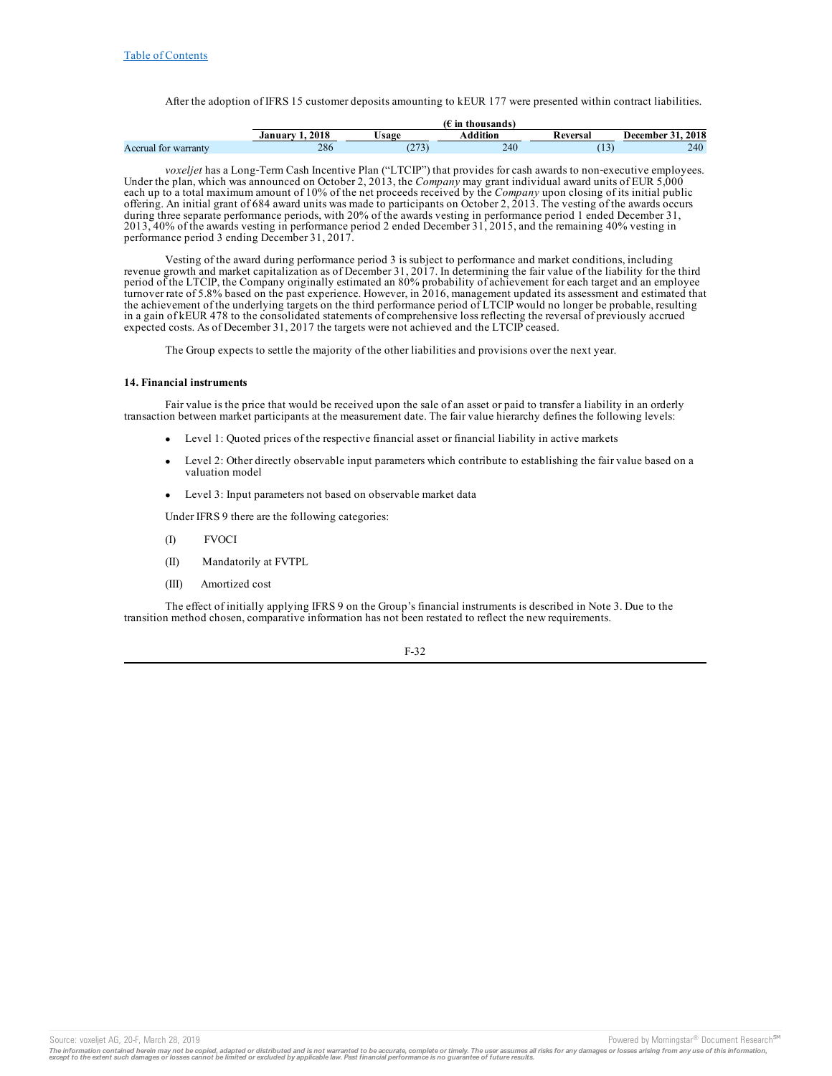After the adoption of IFRS 15 customer deposits amounting to kEUR 177 were presented within contract liabilities.

|                                      |      |              | thousands<br>m |          |                  |
|--------------------------------------|------|--------------|----------------|----------|------------------|
|                                      | 2018 | <b>Jsage</b> | tion           | keversal | 2018<br>December |
| Accrual for<br><sup>.</sup> warrantv | 286  | $\sim$<br>÷  | 240            |          | 240              |

*voxeljet* has a Long-Term Cash Incentive Plan ("LTCIP") that provides for cash awards to non-executive employees. Under the plan, which was announced on October 2, 2013, the *Company* may grant individual award units of EUR 5,000 each up to a total maximum amount of 10% of the net proceeds received by the *Company* upon closing of its initial public offering. An initial grant of 684 award units was made to participants on October 2, 2013. The vesting of the awards occurs during three separate performance periods, with 20% of the awards vesting in performance period 1 ended December 31, 2013, 40% of the awards vesting in performance period 2 ended December 31, 2015, and the remaining 40% vesting in performance period 3 ending December 31, 2017.

Vesting of the award during performance period 3 is subject to performance and market conditions, including revenue growth and market capitalization as of December 31, 2017. In determining the fair value of the liability for the third period of the LTCIP, the Company originally estimated an 80% probability of achievement for each target and an employee turnover rate of 5.8% based on the past experience. However, in 2016, management updated its assessment and estimated that the achievement of the underlying targets on the third performance period of LTCIP would no longer be probable, resulting in a gain of kEUR 478 to the consolidated statements of comprehensive loss reflecting the reversal of previously accrued expected costs. As of December 31, 2017 the targets were not achieved and the LTCIP ceased.

The Group expects to settle the majority of the other liabilities and provisions over the next year.

### **14. Financial instruments**

Fair value is the price that would be received upon the sale of an asset or paid to transfer a liability in an orderly transaction between market participants at the measurement date. The fair value hierarchy defines the following levels:

- · Level 1: Quoted prices of the respective financial asset or financial liability in active markets
- Level 2: Other directly observable input parameters which contribute to establishing the fair value based on a valuation model
- · Level 3: Input parameters not based on observable market data

Under IFRS 9 there are the following categories:

- (I) FVOCI
- (II) Mandatorily at FVTPL
- (III) Amortized cost

The effect of initially applying IFRS 9 on the Group's financial instruments is described in Note 3. Due to the transition method chosen, comparative information has not been restated to reflect the new requirements.

F-32

Source: voxeljet AG, 20-F, March 28, 2019 **Powered by Morningstar® Document Research** <sup>5M</sup> Content Research in the second by Morningstar® Document Research in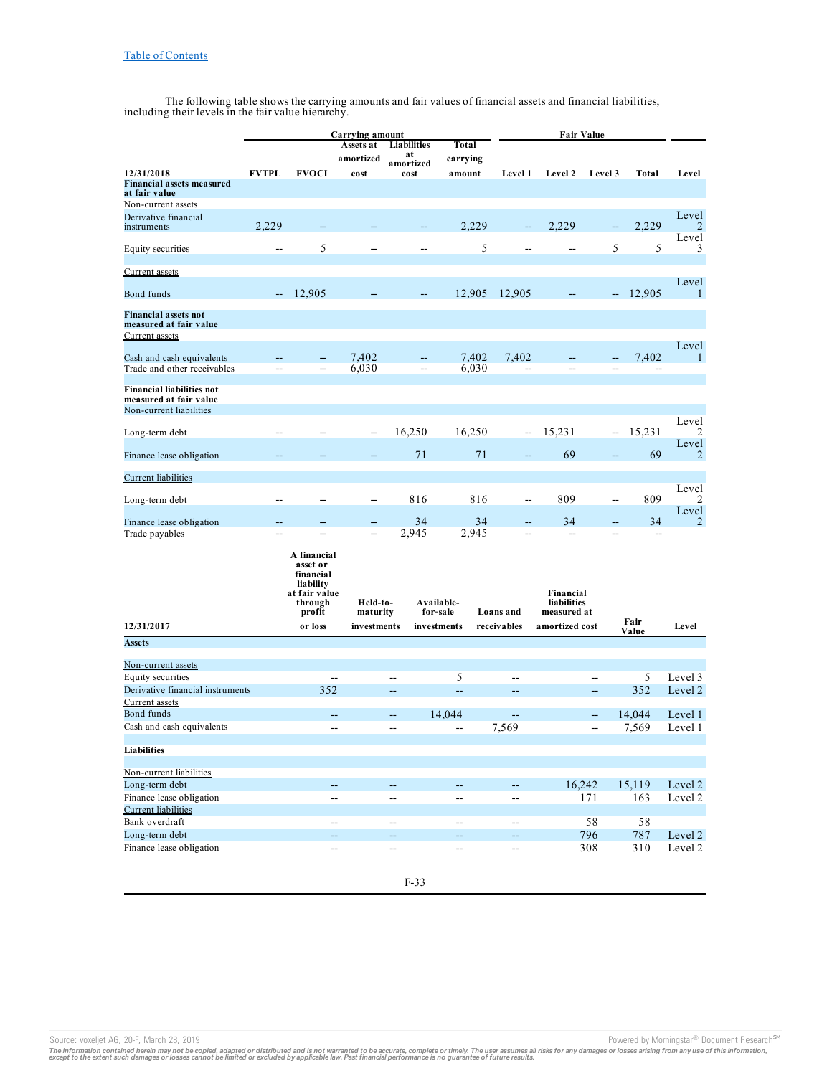The following table shows the carrying amounts and fair values of financial assets and financial liabilities, including their levels in the fair value hierarchy.

|                                                                                       |              |                                                                                          | <b>Carrying amount</b> |                          |                          |                |                          | <b>Fair Value</b>                       |                |                         |              |
|---------------------------------------------------------------------------------------|--------------|------------------------------------------------------------------------------------------|------------------------|--------------------------|--------------------------|----------------|--------------------------|-----------------------------------------|----------------|-------------------------|--------------|
|                                                                                       |              |                                                                                          | Assets at              | Liabilities              | Total                    |                |                          |                                         |                |                         |              |
|                                                                                       |              |                                                                                          | amortized              | at<br>amortized          | carrying                 |                |                          |                                         |                |                         |              |
| 12/31/2018                                                                            | <b>FVTPL</b> | <b>FVOCI</b>                                                                             | cost                   | cost                     | amount                   |                | <b>Level 1</b>           | <b>Level 2</b>                          | Level 3        | Total                   | Level        |
| <b>Financial assets measured</b><br>at fair value                                     |              |                                                                                          |                        |                          |                          |                |                          |                                         |                |                         |              |
| Non-current assets                                                                    |              |                                                                                          |                        |                          |                          |                |                          |                                         |                |                         |              |
| Derivative financial<br>instruments                                                   | 2,229        |                                                                                          |                        | --                       |                          | 2,229          | $\overline{\phantom{a}}$ | 2,229                                   | --             | 2,229                   | Level<br>2   |
| Equity securities                                                                     | ۵.           | 5                                                                                        |                        |                          |                          | 5              |                          |                                         | 5              | 5                       | Level<br>3   |
| Current assets                                                                        |              |                                                                                          |                        |                          |                          |                |                          |                                         |                |                         | Level        |
| Bond funds                                                                            |              | 12.905                                                                                   |                        |                          | 12,905                   |                | 12,905                   |                                         | --             | 12,905                  | $\mathbf{1}$ |
| <b>Financial assets not</b><br>measured at fair value<br><b>Current</b> assets        |              |                                                                                          |                        |                          |                          |                |                          |                                         |                |                         |              |
| Cash and cash equivalents<br>Trade and other receivables                              | --           |                                                                                          | 7,402<br>6,030         | $\overline{\phantom{a}}$ |                          | 7,402<br>6,030 | 7,402<br>$\overline{a}$  | --                                      |                | 7,402<br>$\overline{a}$ | Level<br>1   |
| <b>Financial liabilities not</b><br>measured at fair value<br>Non-current liabilities |              |                                                                                          |                        |                          |                          |                |                          |                                         |                |                         |              |
|                                                                                       |              |                                                                                          |                        |                          |                          |                |                          |                                         |                |                         | Level        |
| Long-term debt                                                                        |              |                                                                                          | $\overline{a}$         | 16,250                   | 16,250                   |                | $\overline{\phantom{a}}$ | 15,231                                  | --             | 15,231                  | 2<br>Level   |
| Finance lease obligation                                                              |              |                                                                                          |                        | 71                       |                          | 71             |                          | 69                                      |                | 69                      | 2            |
| <b>Current</b> liabilities                                                            |              |                                                                                          |                        |                          |                          |                |                          |                                         |                |                         | Level        |
| Long-term debt                                                                        |              |                                                                                          |                        | 816                      |                          | 816            | $\sim$                   | 809                                     | $\sim$         | 809                     | 2<br>Level   |
| Finance lease obligation<br>Trade payables                                            |              |                                                                                          |                        | 34<br>2,945              |                          | 34<br>2,945    |                          | 34                                      | ш.,            | 34<br>$\overline{a}$    | 2            |
|                                                                                       |              | A financial<br>asset or<br>financial<br>lia bility<br>at fair value<br>through<br>profit | Held-to-<br>maturity   |                          | Available-<br>for-sale   |                | Loans and                | Financial<br>liabilities<br>measured at |                |                         |              |
| 12/31/2017                                                                            |              | or loss                                                                                  | investments            |                          | investments              |                | receivables              | amortized cost                          |                | Fair<br>Value           | Level        |
| <b>Assets</b>                                                                         |              |                                                                                          |                        |                          |                          |                |                          |                                         |                |                         |              |
| Non-current assets                                                                    |              |                                                                                          |                        |                          |                          |                |                          |                                         |                |                         |              |
| Equity securities                                                                     |              |                                                                                          |                        |                          | 5                        |                |                          |                                         |                | 5                       | Level 3      |
| Derivative financial instruments<br>Current assets                                    |              | 352                                                                                      |                        | 44                       | -−                       |                | $\overline{\phantom{a}}$ |                                         | --             | 352                     | Level 2      |
| Bond funds                                                                            |              | --                                                                                       |                        | --                       | 14,044                   |                | $\qquad \qquad -$        |                                         | --             | 14,044                  | Level 1      |
| Cash and cash equivalents                                                             |              | --                                                                                       |                        | $\overline{a}$           | Ξ.                       |                | 7,569                    |                                         | $\overline{a}$ | 7,569                   | Level 1      |
|                                                                                       |              |                                                                                          |                        |                          |                          |                |                          |                                         |                |                         |              |
| <b>Liabilities</b>                                                                    |              |                                                                                          |                        |                          |                          |                |                          |                                         |                |                         |              |
| Non-current liabilities                                                               |              |                                                                                          |                        |                          |                          |                |                          |                                         |                |                         |              |
| Long-term debt                                                                        |              | $\overline{\phantom{a}}$                                                                 |                        | ω.                       | $\overline{\phantom{a}}$ |                | u,                       | 16,242                                  |                | 15,119                  | Level 2      |
| Finance lease obligation                                                              |              | --                                                                                       |                        | $\overline{\phantom{a}}$ | --                       |                | --                       |                                         | 171            | 163                     | Level 2      |
| <b>Current</b> liabilities<br>Bank overdraft                                          |              |                                                                                          |                        |                          |                          |                |                          |                                         | 58             |                         |              |
|                                                                                       |              | --                                                                                       |                        | Щ,                       | $\overline{\phantom{a}}$ |                | $\overline{\phantom{a}}$ |                                         |                | 58                      | Level 2      |
| Long-term debt<br>Finance lease obligation                                            |              | 4                                                                                        |                        | 44                       | $\overline{a}$           |                | $- -$                    |                                         | 796<br>308     | 787<br>310              | Level 2      |
|                                                                                       |              | --                                                                                       |                        | $\overline{\phantom{a}}$ | $\overline{\phantom{a}}$ |                | --                       |                                         |                |                         |              |

Source: voxeljet AG, 20-F, March 28, 2019<br>The information contained herein may not be copied, adapted or distributed and is not warranted to be accurate, complete or timely. The user assumes all risks for any damages or lo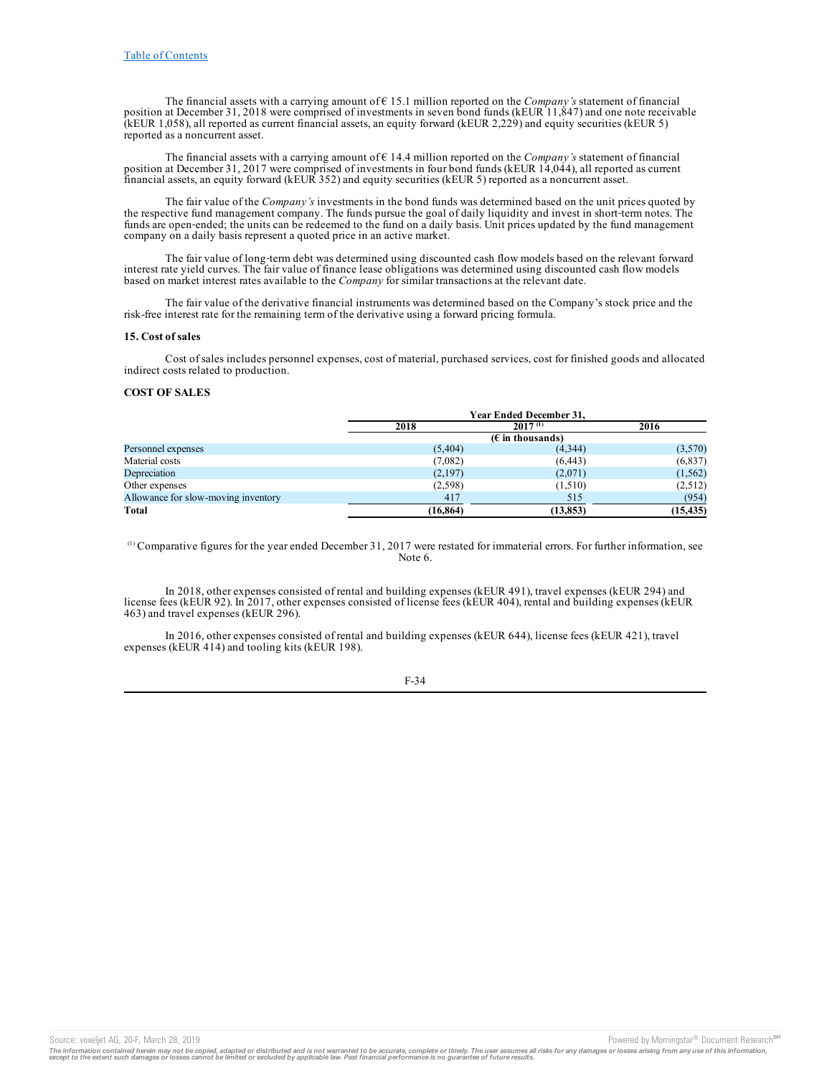The financial assets with a carrying amount of  $\epsilon$  15.1 million reported on the *Company's* statement of financial position at December 31, 2018 were comprised of investments in seven bond funds (kEUR 11,847) and one note receivable (kEUR 1,058), all reported as current financial assets, an equity forward (kEUR 2,229) and equity securities (kEUR 5) reported as a noncurrent asset.

The financial assets with a carrying amount of € 14.4 million reported on the *Company's* statement of financial position at December 31, 2017 were comprised of investments in four bond funds (kEUR 14,044), all reported as current financial assets, an equity forward (kEUR 352) and equity securities (kEUR 5) reported as a noncurrent asset.

The fair value of the *Company's* investments in the bond funds was determined based on the unit prices quoted by the respective fund management company. The funds pursue the goal of daily liquidity and invest in short-term notes. The funds are open-ended; the units can be redeemed to the fund on a daily basis. Unit prices updated by the fund management company on a daily basis represent a quoted price in an active market.

The fair value of long‑term debt was determined using discounted cash flow models based on the relevant forward interest rate yield curves. The fair value of finance lease obligations was determined using discounted cash flow models based on market interest rates available to the *Company* for similar transactions at the relevant date.

The fair value of the derivative financial instruments was determined based on the Company's stock price and the risk-free interest rate for the remaining term of the derivative using a forward pricing formula.

### **15. Cost of sales**

Cost of sales includes personnel expenses, cost of material, purchased services, cost for finished goods and allocated indirect costs related to production.

### **COST OF SALES**

|                                     | Year Ended December 31, |                                    |           |  |  |
|-------------------------------------|-------------------------|------------------------------------|-----------|--|--|
|                                     | 2018                    | $2017^{(1)}$                       | 2016      |  |  |
|                                     |                         | $(E \in \mathbb{R})$ in thousands) |           |  |  |
| Personnel expenses                  | (5,404)                 | (4,344)                            | (3,570)   |  |  |
| Material costs                      | (7,082)                 | (6, 443)                           | (6,837)   |  |  |
| Depreciation                        | (2,197)                 | (2,071)                            | (1, 562)  |  |  |
| Other expenses                      | (2,598)                 | (1,510)                            | (2,512)   |  |  |
| Allowance for slow-moving inventory | 417                     | 515                                | (954)     |  |  |
| Total                               | (16, 864)               | (13, 853)                          | (15, 435) |  |  |

 $\alpha$ ) Comparative figures for the year ended December 31, 2017 were restated for immaterial errors. For further information, see Note 6.

In 2018, other expenses consisted of rental and building expenses (kEUR 491), travel expenses (kEUR 294) and license fees (kEUR 92). In 2017, other expenses consisted of license fees (kEUR 404), rental and building expenses (kEUR 463) and travel expenses (kEUR 296).

In 2016, other expenses consisted of rental and building expenses (kEUR 644), license fees (kEUR 421), travel expenses (kEUR 414) and tooling kits (kEUR 198).

F-34

Source: voxeljet AG, 20-F, March 28, 2019 **Powered by Morningstar® Document Research** and Decembent Research in the second by Morningstar® Document Research in

The information contained herein may not be copied, adapted or distributed and is not warranted to be accurate, complete or timely. The user assumes all risks for any damages or losses arising from any use of this informat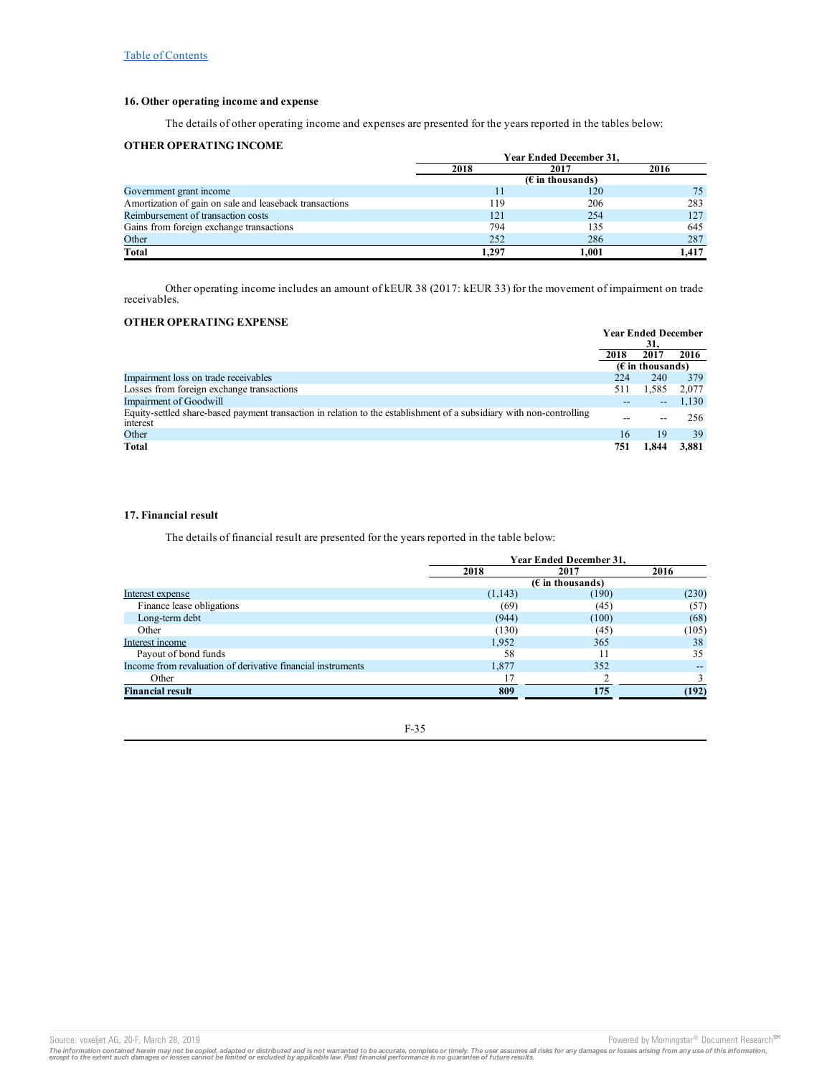## **16. Other operating income and expense**

The details of other operating income and expenses are presented for the years reported in the tables below:

## **OTHER OPERATING INCOME**

|                                                         | Year Ended December 31, |       |       |  |
|---------------------------------------------------------|-------------------------|-------|-------|--|
|                                                         | 2018                    | 2017  | 2016  |  |
|                                                         |                         |       |       |  |
| Government grant income                                 | 11                      | 120   | 75    |  |
| Amortization of gain on sale and leaseback transactions | 119                     | 206   | 283   |  |
| Reimbursement of transaction costs                      | 121                     | 254   | 127   |  |
| Gains from foreign exchange transactions                | 794                     | 135   | 645   |  |
| Other                                                   | 252                     | 286   | 287   |  |
| Total                                                   | 1.297                   | 1.001 | 1.417 |  |

Other operating income includes an amount of kEUR 38 (2017: kEUR 33) for the movement of impairment on trade receivables.

## **OTHER OPERATING EXPENSE**

|                                                                                                                                  |      | <b>Year Ended December</b> |       |
|----------------------------------------------------------------------------------------------------------------------------------|------|----------------------------|-------|
|                                                                                                                                  |      | 31.                        |       |
|                                                                                                                                  | 2018 | 2017                       | 2016  |
|                                                                                                                                  |      | $(\epsilon$ in thousands)  |       |
| Impairment loss on trade receivables                                                                                             | 224  | 240                        | 379   |
| Losses from foreign exchange transactions                                                                                        | 511  | 1.585                      | 2,077 |
| <b>Impairment of Goodwill</b>                                                                                                    | --   | $\qquad \qquad -$          | 1,130 |
| Equity-settled share-based payment transaction in relation to the establishment of a subsidiary with non-controlling<br>interest | $ -$ |                            | 256   |
| Other                                                                                                                            | 16   | 19                         | 39    |
| Total                                                                                                                            | 751  | 1.844                      | 3.881 |

# **17. Financial result**

The details of financial result are presented for the years reported in the table below:

|                                                             | Year Ended December 31, |                    |       |  |
|-------------------------------------------------------------|-------------------------|--------------------|-------|--|
|                                                             | 2018                    | 2017               | 2016  |  |
|                                                             |                         | $(E$ in thousands) |       |  |
| Interest expense                                            | (1,143)                 | (190)              | (230) |  |
| Finance lease obligations                                   | (69)                    | (45)               | (57)  |  |
| Long-term debt                                              | (944)                   | (100)              | (68)  |  |
| Other                                                       | (130)                   | (45)               | (105) |  |
| Interest income                                             | 1.952                   | 365                | 38    |  |
| Payout of bond funds                                        | 58                      | 11                 | 35    |  |
| Income from revaluation of derivative financial instruments | 1.877                   | 352                |       |  |
| Other                                                       |                         |                    |       |  |
| <b>Financial result</b>                                     | 809                     | 175                | (192) |  |

F-35

The information contained herein may not be copied, adapted or distributed and is not warranted to be accurate, complete or timely. The user assumes all risks for any damages or losses arising from any use of this informat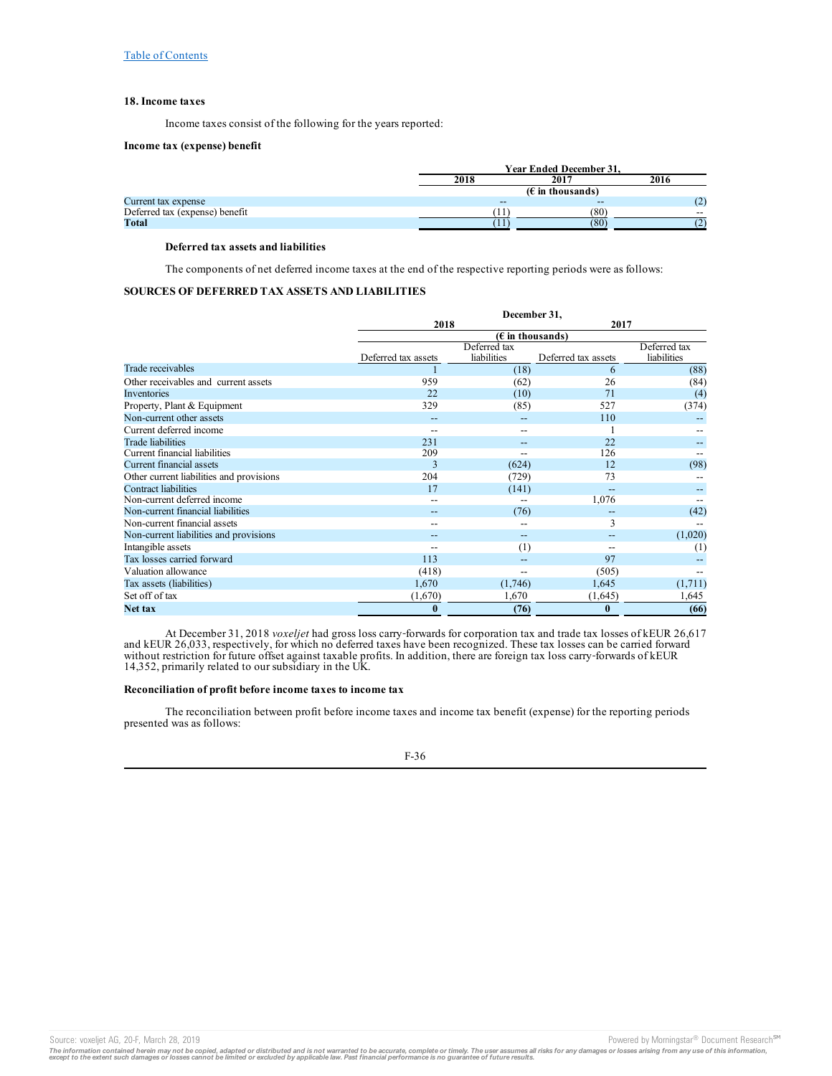## **18. Income taxes**

Income taxes consist of the following for the years reported:

#### **Income tax (expense) benefit**

|                                | <b>Year Ended December 31.</b> |       |       |  |  |
|--------------------------------|--------------------------------|-------|-------|--|--|
|                                | 2018                           | 2017  | 2016  |  |  |
|                                | ( $\epsilon$ in thousands)     |       |       |  |  |
| Current tax expense            | $- -$                          | $- -$ | ، کا  |  |  |
| Deferred tax (expense) benefit | .,                             | (80)  | $- -$ |  |  |
| <b>Total</b>                   | -11                            | (80)  |       |  |  |

## **Deferred tax assets and liabilities**

The components of net deferred income taxes at the end of the respective reporting periods were as follows:

# **SOURCES OF DEFERRED TAX ASSETS AND LIABILITIES**

|                                          |                     | December 31,                |                     |                             |
|------------------------------------------|---------------------|-----------------------------|---------------------|-----------------------------|
|                                          |                     | 2018                        | 2017                |                             |
|                                          |                     | $(E$ in thousands)          |                     |                             |
|                                          | Deferred tax assets | Deferred tax<br>liabilities | Deferred tax assets | Deferred tax<br>liabilities |
| Trade receivables                        |                     | (18)                        | 6                   | (88)                        |
| Other receivables and current assets     | 959                 | (62)                        | 26                  | (84)                        |
| Inventories                              | 22                  | (10)                        | 71                  | (4)                         |
| Property, Plant & Equipment              | 329                 | (85)                        | 527                 | (374)                       |
| Non-current other assets                 |                     |                             | 110                 |                             |
| Current deferred income                  |                     | --                          |                     |                             |
| <b>Trade liabilities</b>                 | 231                 | --                          | 22                  |                             |
| Current financial liabilities            | 209                 | --                          | 126                 |                             |
| Current financial assets                 | 3                   | (624)                       | 12                  | (98)                        |
| Other current liabilities and provisions | 204                 | (729)                       | 73                  |                             |
| <b>Contract liabilities</b>              | 17                  | (141)                       | $-$                 |                             |
| Non-current deferred income              |                     |                             | 1,076               |                             |
| Non-current financial liabilities        |                     | (76)                        |                     | (42)                        |
| Non-current financial assets             |                     |                             | 3                   |                             |
| Non-current liabilities and provisions   |                     | $\qquad \qquad -$           | --                  | (1,020)                     |
| Intangible assets                        |                     | (1)                         | $- -$               | (1)                         |
| Tax losses carried forward               | 113                 |                             | 97                  |                             |
| Valuation allowance                      | (418)               | $- -$                       | (505)               |                             |
| Tax assets (liabilities)                 | 1,670               | (1,746)                     | 1,645               | (1,711)                     |
| Set off of tax                           | (1,670)             | 1,670                       | (1,645)             | 1,645                       |
| Net tax                                  | $\bf{0}$            | (76)                        | $\bf{0}$            | (66)                        |

At December 31, 2018 *voxeljet* had gross loss carry‑forwards for corporation tax and trade tax losses of kEUR 26,617 and kEUR 26,033, respectively, for which no deferred taxes have been recognized. These tax losses can be carried forward without restriction for future offset against taxable profits. In addition, there are foreign tax loss carry-forwards of kEUR 14,352, primarily related to our subsidiary in the UK.

### **Reconciliation of profit before income taxes to income tax**

The reconciliation between profit before income taxes and income tax benefit (expense) for the reporting periods presented was as follows:



Source: voxeljet AG, 20-F, March 28, 2019 **Powered by Morningstar® Document Research** and Decembent Research in the second by Morningstar® Document Research in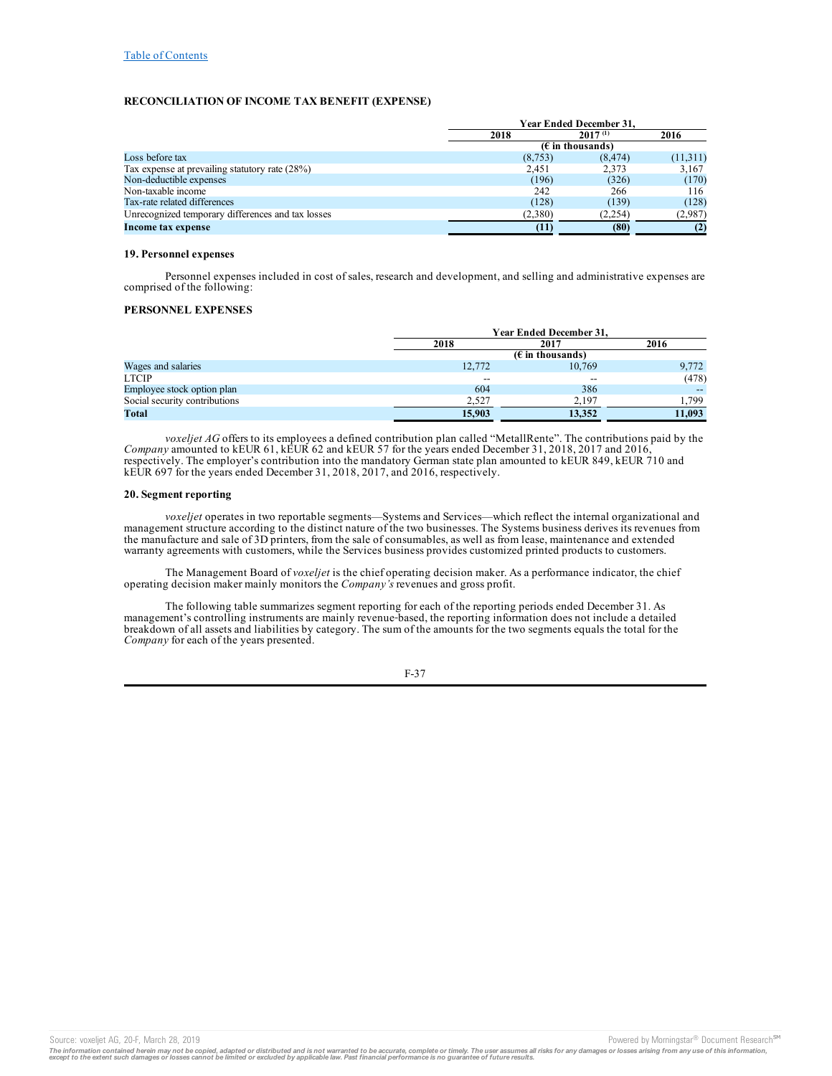## **RECONCILIATION OF INCOME TAX BENEFIT (EXPENSE)**

|                                                   | <b>Year Ended December 31.</b> |                    |          |  |
|---------------------------------------------------|--------------------------------|--------------------|----------|--|
|                                                   | 2018                           | 2016               |          |  |
|                                                   |                                | $(E$ in thousands) |          |  |
| Loss before tax                                   | (8,753)                        | (8, 474)           | (11,311) |  |
| Tax expense at prevailing statutory rate (28%)    | 2.451                          | 2.373              | 3,167    |  |
| Non-deductible expenses                           | (196)                          | (326)              | (170)    |  |
| Non-taxable income                                | 242                            | 266                | 116      |  |
| Tax-rate related differences                      | (128)                          | (139)              | (128)    |  |
| Unrecognized temporary differences and tax losses | (2,380)                        | (2,254)            | (2,987)  |  |
| Income tax expense                                | (11)                           | (80)               | (2)      |  |

### **19. Personnel expenses**

Personnel expenses included in cost of sales, research and development, and selling and administrative expenses are comprised of the following:

## **PERSONNEL EXPENSES**

|                               |        | <b>Year Ended December 31,</b>     |        |  |  |  |
|-------------------------------|--------|------------------------------------|--------|--|--|--|
|                               | 2018   | 2017                               | 2016   |  |  |  |
|                               |        | $(E \in \mathbb{R})$ in thousands) |        |  |  |  |
| Wages and salaries            | 12,772 | 10.769                             | 9,772  |  |  |  |
| <b>LTCIP</b>                  | --     | $- -$                              | (478)  |  |  |  |
| Employee stock option plan    | 604    | 386                                |        |  |  |  |
| Social security contributions | 2.527  | 2.197                              | .799   |  |  |  |
| Total                         | 15,903 | 13.352                             | 11.093 |  |  |  |

*voxeljet AG* offers to its employees a defined contribution plan called "MetallRente". The contributions paid by the *Company* amounted to kEUR 61, kEUR 62 and kEUR 57 for the years ended December 31, 2018, 2017 and 2016, respectively. The employer's contribution into the mandatory German state plan amounted to kEUR 849, kEUR 710 and kEUR 697 for the years ended December 31, 2018, 2017, and 2016, respectively.

## **20. Segment reporting**

*voxeljet* operates in two reportable segments—Systems and Services—which reflect the internal organizational and management structure according to the distinct nature of the two businesses. The Systems business derives its revenues from the manufacture and sale of 3D printers, from the sale of consumables, as well as from lease, maintenance and extended warranty agreements with customers, while the Services business provides customized printed products to customers.

The Management Board of *voxeljet* is the chief operating decision maker. As a performance indicator, the chief operating decision maker mainly monitors the *Company's* revenues and gross profit.

The following table summarizes segment reporting for each of the reporting periods ended December 31. As management's controlling instruments are mainly revenue‑based, the reporting information does not include a detailed breakdown of all assets and liabilities by category. The sum of the amounts for the two segments equals the total for the *Company* for each of the years presented.

F-37

Source: voxeljet AG, 20-F, March 28, 2019 **Powered by Morningstar® Document Research** and Decembent Research in the second by Morningstar® Document Research in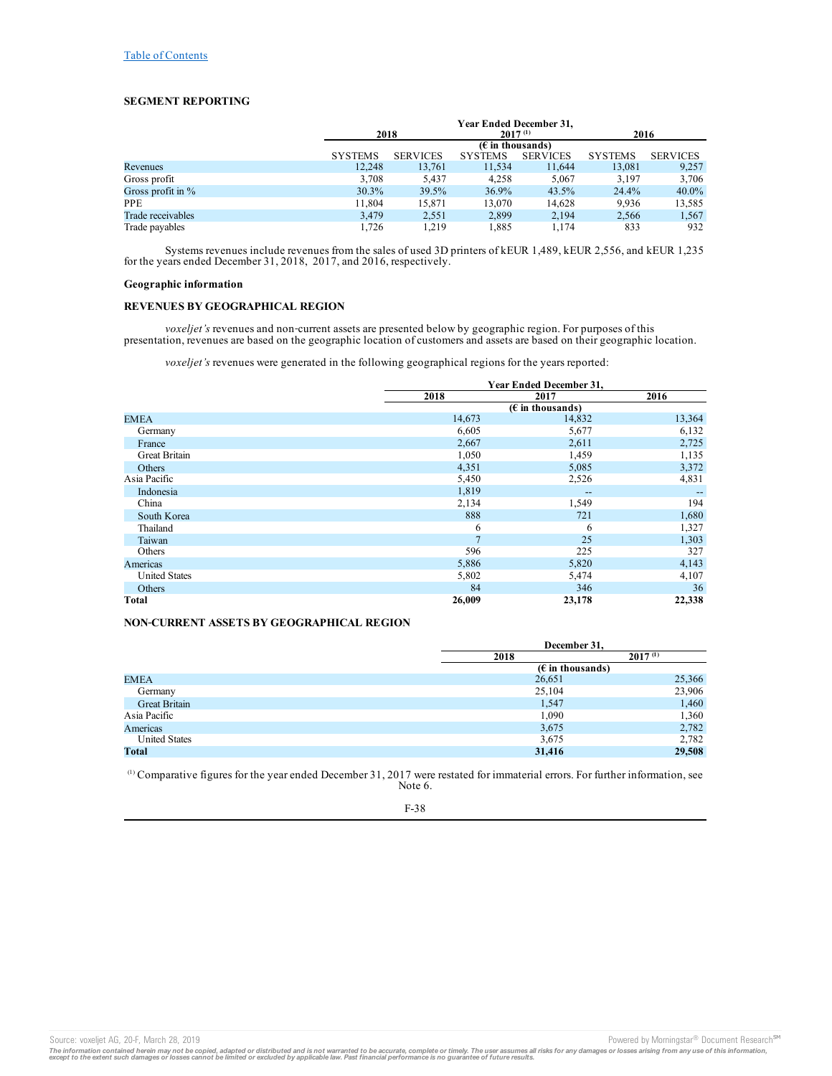# **SEGMENT REPORTING**

|                      | Year Ended December 31,<br>2018<br>$2017^{(1)}$ |                 |                |                 | 2016           |                 |
|----------------------|-------------------------------------------------|-----------------|----------------|-----------------|----------------|-----------------|
|                      | $(E \in \mathbb{R})$ (Equivalently)             |                 |                |                 |                |                 |
|                      | <b>SYSTEMS</b>                                  | <b>SERVICES</b> | <b>SYSTEMS</b> | <b>SERVICES</b> | <b>SYSTEMS</b> | <b>SERVICES</b> |
| Revenues             | 12.248                                          | 13,761          | 11,534         | 11,644          | 13,081         | 9,257           |
| Gross profit         | 3,708                                           | 5.437           | 4,258          | 5.067           | 3.197          | 3,706           |
| Gross profit in $\%$ | $30.3\%$                                        | 39.5%           | 36.9%          | 43.5%           | 24.4%          | $40.0\%$        |
| <b>PPE</b>           | 11.804                                          | 15.871          | 13.070         | 14.628          | 9.936          | 13,585          |
| Trade receivables    | 3,479                                           | 2,551           | 2,899          | 2,194           | 2,566          | 1,567           |
| Trade payables       | 1.726                                           | 1.219           | 1.885          | 1.174           | 833            | 932             |

Systems revenues include revenues from the sales of used 3D printers of kEUR 1,489, kEUR 2,556, and kEUR 1,235 for the years ended December 31, 2018, 2017, and 2016, respectively.

## **Geographic information**

## **REVENUES BY GEOGRAPHICAL REGION**

*voxeljet's* revenues and non‑current assets are presented below by geographic region. For purposes of this presentation, revenues are based on the geographic location of customers and assets are based on their geographic location.

*voxeljet's* revenues were generated in the following geographical regions for the years reported:

|                      | <b>Year Ended December 31,</b> |                                       |        |  |
|----------------------|--------------------------------|---------------------------------------|--------|--|
|                      | 2018                           | 2017                                  | 2016   |  |
|                      |                                | $(E$ in thousands)                    |        |  |
| <b>EMEA</b>          | 14,673                         | 14,832                                | 13,364 |  |
| Germany              | 6,605                          | 5,677                                 | 6,132  |  |
| France               | 2,667                          | 2,611                                 | 2,725  |  |
| <b>Great Britain</b> | 1,050                          | 1,459                                 | 1,135  |  |
| Others               | 4,351                          | 5,085                                 | 3,372  |  |
| Asia Pacific         | 5,450                          | 2,526                                 | 4,831  |  |
| Indonesia            | 1,819                          | $\hspace{0.05cm}$ – $\hspace{0.05cm}$ |        |  |
| China                | 2,134                          | 1,549                                 | 194    |  |
| South Korea          | 888                            | 721                                   | 1,680  |  |
| Thailand             | 6                              | 6                                     | 1,327  |  |
| Taiwan               | $\mathcal{I}$                  | 25                                    | 1,303  |  |
| Others               | 596                            | 225                                   | 327    |  |
| Americas             | 5,886                          | 5,820                                 | 4,143  |  |
| <b>United States</b> | 5,802                          | 5,474                                 | 4,107  |  |
| Others               | 84                             | 346                                   | 36     |  |
| Total                | 26,009                         | 23,178                                | 22,338 |  |

## **NON‑CURRENT ASSETS BY GEOGRAPHICAL REGION**

|                      | December 31.       |              |  |
|----------------------|--------------------|--------------|--|
|                      | 2018               | $2017^{(1)}$ |  |
|                      | $(E$ in thousands) |              |  |
| <b>EMEA</b>          | 26,651             | 25,366       |  |
| Germany              | 25,104             | 23,906       |  |
| <b>Great Britain</b> | 1,547              | 1,460        |  |
| Asia Pacific         | 1,090              | 1,360        |  |
| Americas             | 3,675              | 2,782        |  |
| <b>United States</b> | 3,675              | 2,782        |  |
| Total                | 31,416             | 29,508       |  |

 $\alpha$ ) Comparative figures for the year ended December 31, 2017 were restated for immaterial errors. For further information, see Note 6.

F-38

The information contained herein may not be copied, adapted or distributed and is not warranted to be accurate, complete or timely. The user assumes all risks for any damages or losses arising from any use of this informat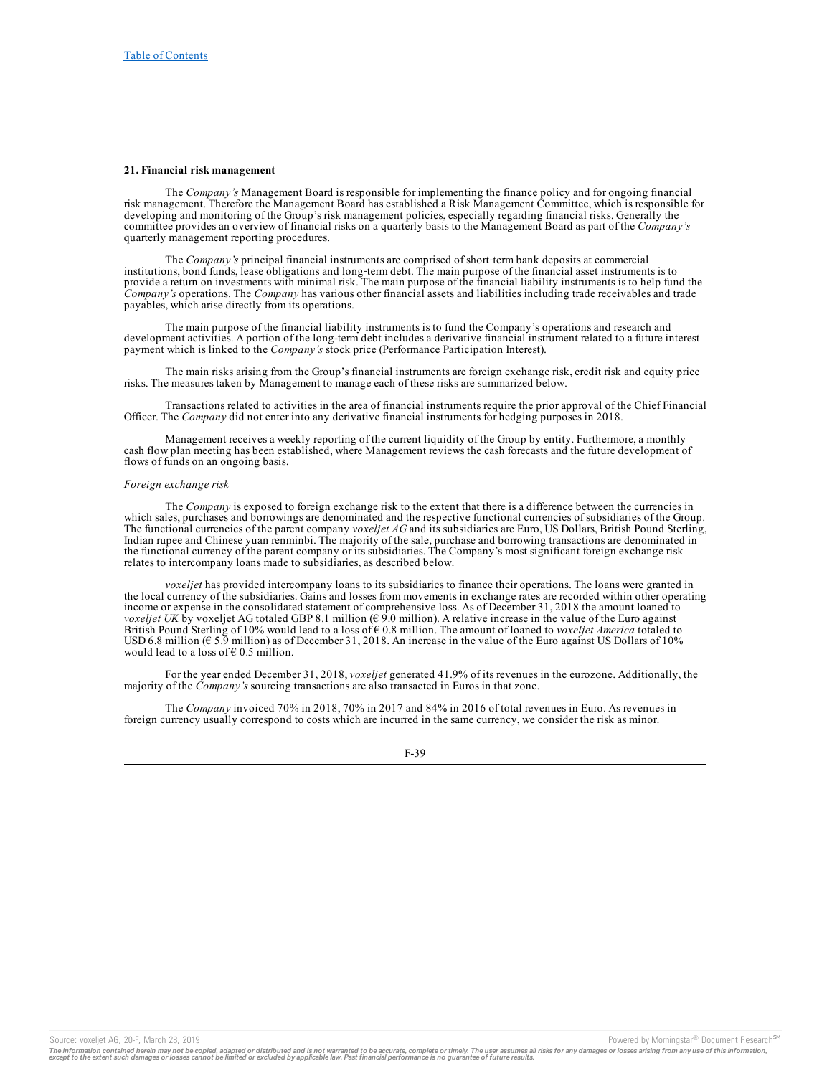#### **21. Financial risk management**

The *Company's* Management Board is responsible for implementing the finance policy and for ongoing financial risk management. Therefore the Management Board has established a Risk Management Committee, which is responsible for developing and monitoring of the Group's risk management policies, especially regarding financial risks. Generally the committee provides an overview of financial risks on a quarterly basis to the Management Board as part of the *Company's* quarterly management reporting procedures.

The *Company's* principal financial instruments are comprised of short-term bank deposits at commercial institutions, bond funds, lease obligations and long‑term debt. The main purpose of the financial asset instruments is to provide a return on investments with minimal risk. The main purpose of the financial liability instruments is to help fund the *Company's* operations. The *Company* has various other financial assets and liabilities including trade receivables and trade payables, which arise directly from its operations.

The main purpose of the financial liability instruments is to fund the Company's operations and research and development activities. A portion of the long-term debt includes a derivative financial instrument related to a future interest payment which is linked to the *Company's* stock price (Performance Participation Interest).

The main risks arising from the Group's financial instruments are foreign exchange risk, credit risk and equity price risks. The measures taken by Management to manage each of these risks are summarized below.

Transactions related to activities in the area of financial instruments require the prior approval of the Chief Financial Officer. The *Company* did not enter into any derivative financial instruments for hedging purposes in 2018.

Management receives a weekly reporting of the current liquidity of the Group by entity. Furthermore, a monthly cash flow plan meeting has been established, where Management reviews the cash forecasts and the future development of flows of funds on an ongoing basis.

### *Foreign exchange risk*

The *Company* is exposed to foreign exchange risk to the extent that there is a difference between the currencies in which sales, purchases and borrowings are denominated and the respective functional currencies of subsidiaries of the Group. The functional currencies of the parent company *voxeljet AG* and its subsidiaries are Euro, US Dollars, British Pound Sterling, Indian rupee and Chinese yuan renminbi. The majority of the sale, purchase and borrowing transactions are denominated in the functional currency of the parent company or its subsidiaries. The Company's most significant foreign exchange risk relates to intercompany loans made to subsidiaries, as described below.

*voxeljet* has provided intercompany loans to its subsidiaries to finance their operations. The loans were granted in the local currency of the subsidiaries. Gains and losses from movements in exchange rates are recorded within other operating income or expense in the consolidated statement of comprehensive loss. As of December 31, 2018 the amount loaned to *voxeljet UK* by voxeljet AG totaled GBP 8.1 million ( $\epsilon$  9.0 million). A relative increase in the value of the Euro against British Pound Sterling of 10% would lead to a loss of € 0.8 million. The amount of loaned to *voxeljet America* totaled to USD 6.8 million ( $\epsilon$  5.9 million) as of December 31, 2018. An increase in the value of the Euro against US Dollars of 10% would lead to a loss of  $\epsilon$  0.5 million.

For the year ended December 31, 2018, *voxeljet* generated 41.9% of its revenues in the eurozone. Additionally, the majority of the *Company's* sourcing transactions are also transacted in Euros in that zone.

The *Company* invoiced 70% in 2018, 70% in 2017 and 84% in 2016 of total revenues in Euro. As revenues in foreign currency usually correspond to costs which are incurred in the same currency, we consider the risk as minor.



Source: voxeljet AG, 20-F, March 28, 2019<br>The information contained herein may not be copied, adapted or distributed and is not warranted to be accurate, complete or timely. The user assumes all risks for any damages or lo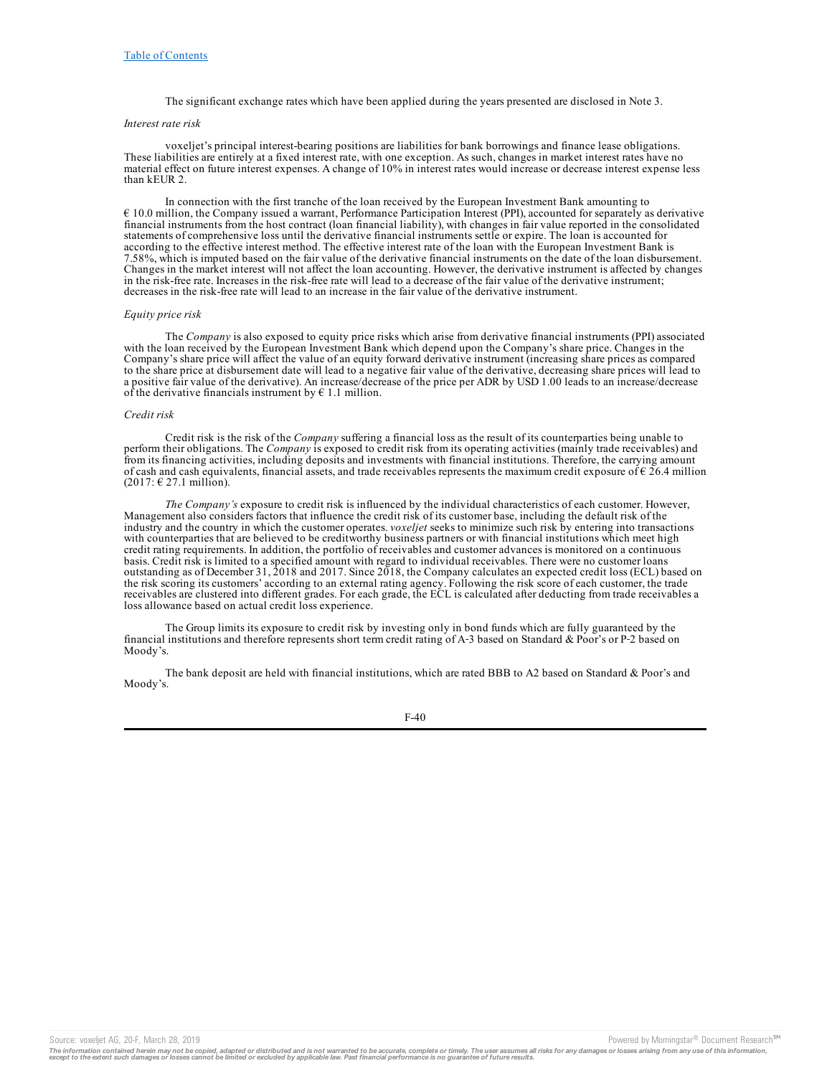The significant exchange rates which have been applied during the years presented are disclosed in Note 3.

## *Interest rate risk*

voxeljet's principal interest-bearing positions are liabilities for bank borrowings and finance lease obligations. These liabilities are entirely at a fixed interest rate, with one exception. As such, changes in market interest rates have no material effect on future interest expenses. A change of 10% in interest rates would increase or decrease interest expense less than kEUR 2.

In connection with the first tranche of the loan received by the European Investment Bank amounting to € 10.0 million, the Company issued a warrant, Performance Participation Interest (PPI), accounted for separately as derivative financial instruments from the host contract (loan financial liability), with changes in fair value reported in the consolidated statements of comprehensive loss until the derivative financial instruments settle or expire. The loan is accounted for according to the effective interest method. The effective interest rate of the loan with the European Investment Bank is 7.58%, which is imputed based on the fair value of the derivative financial instruments on the date of the loan disbursement. Changes in the market interest will not affect the loan accounting. However, the derivative instrument is affected by changes in the risk-free rate. Increases in the risk-free rate will lead to a decrease of the fair value of the derivative instrument; decreases in the risk-free rate will lead to an increase in the fair value of the derivative instrument.

#### *Equity price risk*

The *Company* is also exposed to equity price risks which arise from derivative financial instruments (PPI) associated with the loan received by the European Investment Bank which depend upon the Company's share price. Changes in the Company's share price will affect the value of an equity forward derivative instrument (increasing share prices as compared to the share price at disbursement date will lead to a negative fair value of the derivative, decreasing share prices will lead to a positive fair value of the derivative). An increase/decrease of the price per ADR by USD 1.00 leads to an increase/decrease of the derivative financials instrument by  $\epsilon$  1.1 million.

#### *Credit risk*

Credit risk is the risk of the *Company* suffering a financial loss as the result of its counterparties being unable to perform their obligations. The *Company* is exposed to credit risk from its operating activities (mainly trade receivables) and from its financing activities, including deposits and investments with financial institutions. Therefore, the carrying amount of cash and cash equivalents, financial assets, and trade receivables represents the maximum credit exposure of  $\epsilon$  26.4 million  $(2017: \text{ } \in 27.1 \text{ million}).$ 

*The Company's* exposure to credit risk is influenced by the individual characteristics of each customer. However, Management also considers factors that influence the credit risk of its customer base, including the default risk of the industry and the country in which the customer operates. *voxeljet* seeks to minimize such risk by entering into transactions with counterparties that are believed to be creditworthy business partners or with financial institutions which meet high credit rating requirements. In addition, the portfolio of receivables and customer advances is monitored on a continuous basis. Credit risk is limited to a specified amount with regard to individual receivables. There were no customer loans outstanding as of December 31, 2018 and 2017. Since 2018, the Company calculates an expected credit loss (ECL) based on the risk scoring its customers' according to an external rating agency. Following the risk score of each customer, the trade receivables are clustered into different grades. For each grade, the ECL is calculated after deducting from trade receivables a loss allowance based on actual credit loss experience.

The Group limits its exposure to credit risk by investing only in bond funds which are fully guaranteed by the financial institutions and therefore represents short term credit rating of A-3 based on Standard & Poor's or P-2 based on Moody's.

The bank deposit are held with financial institutions, which are rated BBB to A2 based on Standard & Poor's and Moody's.

F-40

The information contained herein may not be copied, adapted or distributed and is not warranted to be accurate, complete or timely. The user assumes all risks for any damages or losses arising from any use of this informat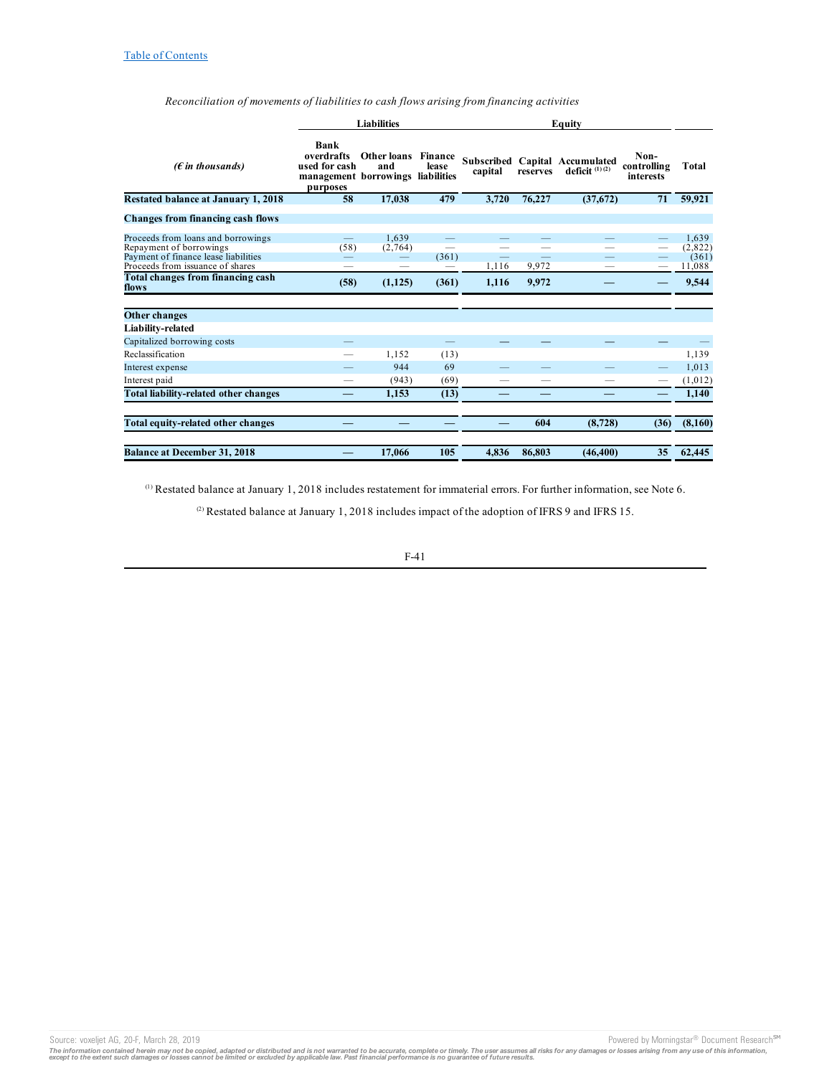|                                            | <b>Liabilities</b>                                                       |                                |                                 | Equity                   |          |                                                    |                                  |         |
|--------------------------------------------|--------------------------------------------------------------------------|--------------------------------|---------------------------------|--------------------------|----------|----------------------------------------------------|----------------------------------|---------|
| ( $\epsilon$ in thousands)                 | Bank<br>overdrafts<br>used for cash<br>management borrowings<br>purposes | Other loans<br>and             | Finance<br>lease<br>liabilities | capital                  | reserves | Subscribed Capital Accumulated<br>deficit $(1)(2)$ | Non-<br>controlling<br>interests | Total   |
| Restated balance at January 1, 2018        | 58                                                                       | 17,038                         | 479                             | 3,720                    | 76,227   | (37,672)                                           | 71                               | 59,921  |
| <b>Changes from financing cash flows</b>   |                                                                          |                                |                                 |                          |          |                                                    |                                  |         |
| Proceeds from loans and borrowings         |                                                                          | 1.639                          |                                 |                          |          |                                                    |                                  | 1.639   |
| Repayment of borrowings                    | (58)                                                                     | (2,764)                        |                                 |                          |          |                                                    |                                  | (2,822) |
| Payment of finance lease liabilities       |                                                                          | $\qquad \qquad \longleftarrow$ | (361)                           | $\overline{\phantom{0}}$ |          |                                                    |                                  | (361)   |
| Proceeds from issuance of shares           |                                                                          |                                |                                 | 1,116                    | 9,972    |                                                    |                                  | 11,088  |
| Total changes from financing cash<br>flows | (58)                                                                     | (1, 125)                       | (361)                           | 1,116                    | 9,972    |                                                    |                                  | 9,544   |
| Other changes                              |                                                                          |                                |                                 |                          |          |                                                    |                                  |         |
| Liability-related                          |                                                                          |                                |                                 |                          |          |                                                    |                                  |         |
| Capitalized borrowing costs                |                                                                          |                                |                                 |                          |          |                                                    |                                  |         |
| Reclassification                           |                                                                          | 1.152                          | (13)                            |                          |          |                                                    |                                  | 1,139   |
| Interest expense                           |                                                                          | 944                            | 69                              |                          |          |                                                    |                                  | 1,013   |
| Interest paid                              |                                                                          | (943)                          | (69)                            |                          |          |                                                    | -                                | (1,012) |
| Total liability-related other changes      | —                                                                        | 1.153                          | (13)                            |                          |          |                                                    | —                                | 1,140   |
| Total equity-related other changes         |                                                                          |                                |                                 |                          | 604      | (8, 728)                                           | (36)                             | (8,160) |
| <b>Balance at December 31, 2018</b>        |                                                                          | 17,066                         | 105                             | 4.836                    | 86.803   | (46, 400)                                          | 35                               | 62,445  |

*Reconciliation of movements of liabilities to cash flows arising from financing activities*

 $^{(1)}$  Restated balance at January 1, 2018 includes restatement for immaterial errors. For further information, see Note 6.

<sup>(2)</sup> Restated balance at January 1, 2018 includes impact of the adoption of IFRS 9 and IFRS 15.

F-41

Source: voxeljet AG, 20-F, March 28, 2019 **Powered by Morningstar® Document Research** SM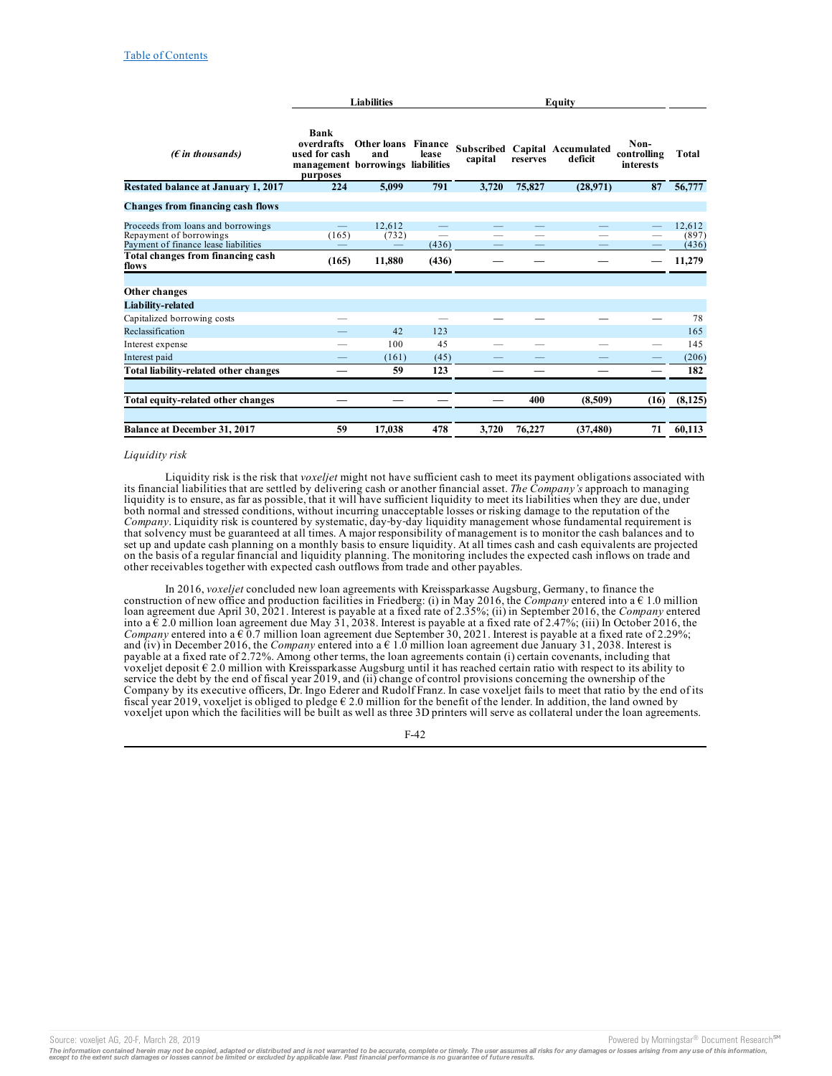|                                                                                                       | <b>Liabilities</b>                                                                   |                    |                  | Equity  |          |                                           |                                         |                          |
|-------------------------------------------------------------------------------------------------------|--------------------------------------------------------------------------------------|--------------------|------------------|---------|----------|-------------------------------------------|-----------------------------------------|--------------------------|
| ( $\epsilon$ in thousands)                                                                            | Bank<br>overdrafts<br>used for cash<br>management borrowings liabilities<br>purposes | Other loans<br>and | Finance<br>lease | capital | reserves | Subscribed Capital Accumulated<br>deficit | Non-<br>controlling<br><i>interests</i> | <b>Total</b>             |
| Restated balance at January 1, 2017                                                                   | 224                                                                                  | 5,099              | 791              | 3,720   | 75,827   | (28,971)                                  | 87                                      | 56,777                   |
| <b>Changes from financing cash flows</b>                                                              |                                                                                      |                    |                  |         |          |                                           |                                         |                          |
| Proceeds from loans and borrowings<br>Repayment of borrowings<br>Payment of finance lease liabilities | $\overline{\phantom{0}}$<br>(165)                                                    | 12.612<br>(732)    | (436)            |         |          |                                           |                                         | 12,612<br>(897)<br>(436) |
| Total changes from financing cash<br>flows                                                            | (165)                                                                                | 11,880             | (436)            |         |          |                                           |                                         | 11,279                   |
| Other changes                                                                                         |                                                                                      |                    |                  |         |          |                                           |                                         |                          |
| Liability-related<br>Capitalized borrowing costs                                                      |                                                                                      |                    |                  |         |          |                                           |                                         | 78                       |
| Reclassification                                                                                      |                                                                                      | 42                 | 123              |         |          |                                           |                                         | 165                      |
| Interest expense                                                                                      |                                                                                      | 100                | 45               |         |          |                                           |                                         | 145                      |
| Interest paid                                                                                         |                                                                                      | (161)              | (45)             |         |          |                                           |                                         | (206)                    |
| Total liability-related other changes                                                                 |                                                                                      | 59                 | 123              |         |          |                                           |                                         | 182                      |
| Total equity-related other changes                                                                    |                                                                                      |                    |                  |         | 400      | (8,509)                                   | (16)                                    | (8, 125)                 |
| <b>Balance at December 31, 2017</b>                                                                   | 59                                                                                   | 17,038             | 478              | 3,720   | 76,227   | (37, 480)                                 | 71                                      | 60.113                   |

### *Liquidity risk*

Liquidity risk is the risk that *voxeljet* might not have sufficient cash to meet its payment obligations associated with its financial liabilities that are settled by delivering cash or another financial asset. *The Company's* approach to managing liquidity is to ensure, as far as possible, that it will have sufficient liquidity to meet its liabilities when they are due, under both normal and stressed conditions, without incurring unacceptable losses or risking damage to the reputation of the *Company*. Liquidity risk is countered by systematic, day‑by‑day liquidity management whose fundamental requirement is that solvency must be guaranteed at all times. A major responsibility of management is to monitor the cash balances and to set up and update cash planning on a monthly basis to ensure liquidity. At all times cash and cash equivalents are projected on the basis of a regular financial and liquidity planning. The monitoring includes the expected cash inflows on trade and other receivables together with expected cash outflows from trade and other payables.

In 2016, *voxeljet* concluded new loan agreements with Kreissparkasse Augsburg, Germany, to finance the construction of new office and production facilities in Friedberg: (i) in May 2016, the *Company* entered into a  $\epsilon$  1.0 million loan agreement due April 30, 2021. Interest is payable at a fixed rate of 2.35%; (ii) in September 2016, the *Company* entered into a  $\epsilon$  2.0 million loan agreement due May 31, 2038. Interest is payable at a fixed rate of 2.47%; (iii) In October 2016, the *Company* entered into a  $\epsilon$  0.7 million loan agreement due September 30, 2021. Interest is payable at a fixed rate of 2.29%; and (iv) in December 2016, the *Company* entered into a  $\epsilon$  1.0 million loan agreement due January 31, 2038. Interest is payable at a fixed rate of 2.72%. Among other terms, the loan agreements contain (i) certain covenants, including that voxeljet deposit € 2.0 million with Kreissparkasse Augsburg until it has reached certain ratio with respect to its ability to service the debt by the end of fiscal year 2019, and (ii) change of control provisions concerning the ownership of the Company by its executive officers, Dr. Ingo Ederer and Rudolf Franz. In case voxeljet fails to meet that ratio by the end of its fiscal year 2019, voxeljet is obliged to pledge  $\epsilon$  2.0 million for the benefit of the lender. In addition, the land owned by voxeljet upon which the facilities will be built as well as three 3D printers will serve as collateral under the loan agreements.

F-42

Source: voxeljet AG, 20-F, March 28, 2019<br>The information contained herein may not be copied, adapted or distributed and is not warranted to be accurate, complete or timely. The user assumes all risks for any damages or lo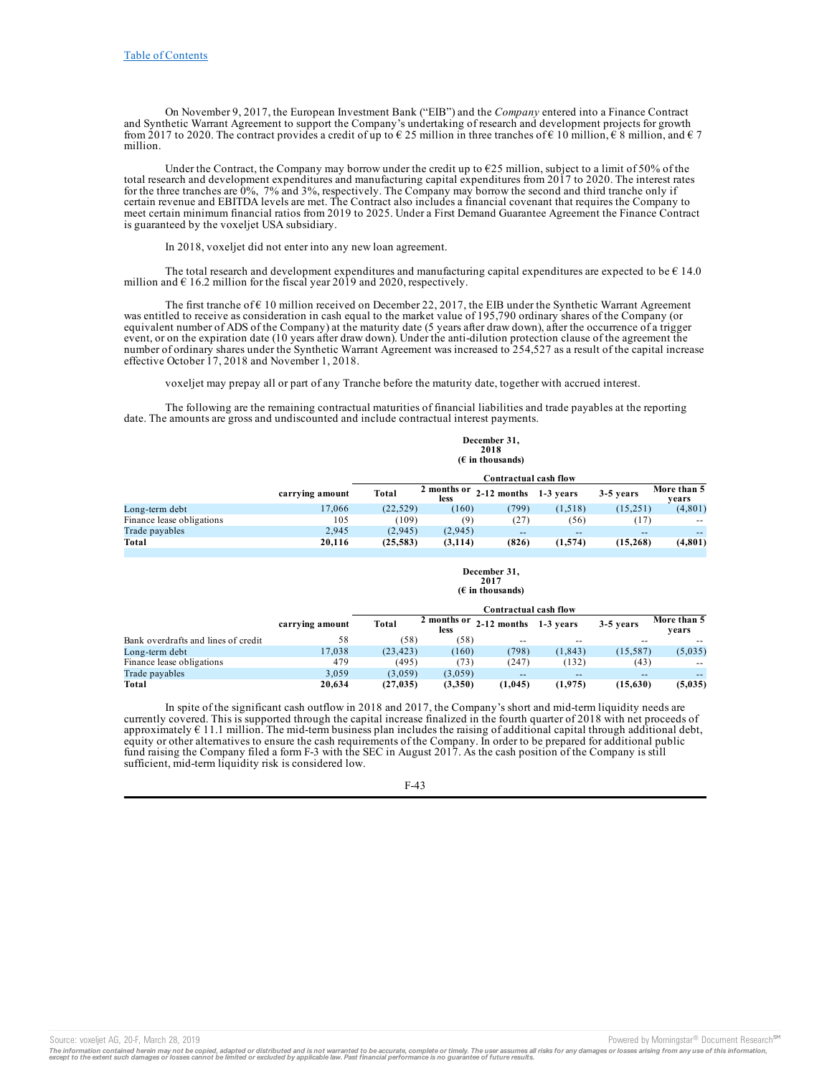On November 9, 2017, the European Investment Bank ("EIB") and the *Company* entered into a Finance Contract and Synthetic Warrant Agreement to support the Company's undertaking of research and development projects for growth from 2017 to 2020. The contract provides a credit of up to  $\epsilon$  25 million in three tranches of  $\epsilon$  10 million,  $\epsilon$  8 million, and  $\epsilon$  7 million.

Under the Contract, the Company may borrow under the credit up to  $\epsilon$ 25 million, subject to a limit of 50% of the total research and development expenditures and manufacturing capital expenditures from 2017 to 2020. The interest rates for the three tranches are 0%, 7% and 3%, respectively. The Company may borrow the second and third tranche only if certain revenue and EBITDA levels are met. The Contract also includes a financial covenant that requires the Company to meet certain minimum financial ratios from 2019 to 2025. Under a First Demand Guarantee Agreement the Finance Contract is guaranteed by the voxeljet USA subsidiary.

In 2018, voxeljet did not enter into any new loan agreement.

The total research and development expenditures and manufacturing capital expenditures are expected to be  $\epsilon$  14.0 million and  $\epsilon$  16.2 million for the fiscal year 2019 and 2020, respectively.

The first tranche of  $\epsilon$  10 million received on December 22, 2017, the EIB under the Synthetic Warrant Agreement was entitled to receive as consideration in cash equal to the market value of 195,790 ordinary shares of the Company (or equivalent number of ADS of the Company) at the maturity date (5 years after draw down), after the occurrence of a trigger event, or on the expiration date (10 years after draw down). Under the anti-dilution protection clause of the agreement the number of ordinary shares under the Synthetic Warrant Agreement was increased to 254,527 as a result of the capital increase effective October 17, 2018 and November 1, 2018.

voxeljet may prepay all or part of any Tranche before the maturity date, together with accrued interest.

The following are the remaining contractual maturities of financial liabilities and trade payables at the reporting date. The amounts are gross and undiscounted and include contractual interest payments.

|                           | 2018<br>$(E$ in thousands) |                       |                     |             |           |           |                      |
|---------------------------|----------------------------|-----------------------|---------------------|-------------|-----------|-----------|----------------------|
|                           |                            | Contractual cash flow |                     |             |           |           |                      |
|                           | carrying amount            | Total                 | 2 months or<br>less | 2-12 months | 1-3 vears | 3-5 years | More than 5<br>vears |
| Long-term debt            | 17.066                     | (22.529)              | (160)               | 799)        | (1,518)   | (15,251)  | (4, 801)             |
| Finance lease obligations | 105                        | (109)                 | (9)                 | (27)        | (56)      | (17)      | $- -$                |
| Trade payables            | 2.945                      | (2,945)               | (2,945)             | $- -$       | $- -$     | --        | $- -$                |
| Total                     | 20.116                     | (25, 583)             | (3, 114)            | (826)       | (1,574)   | (15,268)  | (4,801)              |

**December 31, 2017 (€ in thousands)**

**December 31,**

|                                     |                 | Contractual cash flow |                     |               |           |           |                      |
|-------------------------------------|-----------------|-----------------------|---------------------|---------------|-----------|-----------|----------------------|
|                                     | carrying amount | Total                 | 2 months or<br>less | $2-12$ months | 1-3 years | 3-5 years | More than 5<br>vears |
| Bank overdrafts and lines of credit | 58              | (58)                  | (58)                | --            | $- -$     | --        |                      |
| Long-term debt                      | 17.038          | (23.423)              | (160)               | 798           | (1.843)   | (15.587)  | (5,035)              |
| Finance lease obligations           | 479             | (495)                 | (73)                | (247)         | (132)     | (43)      | $- -$                |
| Trade payables                      | 3.059           | (3.059)               | (3,059)             | $- -$         | $- -$     | $-$       | $- -$                |
| Total                               | 20.634          | (27, 035)             | (3,350)             | (1,045)       | (1, 975)  | (15,630)  | (5,035)              |

In spite of the significant cash outflow in 2018 and 2017, the Company's short and mid-term liquidity needs are currently covered. This is supported through the capital increase finalized in the fourth quarter of 2018 with net proceeds of approximately  $\epsilon$  11.1 million. The mid-term business plan includes the raising of additional capital through additional debt, equity or other alternatives to ensure the cash requirements of the Company. In order to be prepared for additional public fund raising the Company filed a form F-3 with the SEC in August 2017. As the cash position of the Company is still sufficient, mid-term liquidity risk is considered low.

Source: voxeljet AG, 20-F, March 28, 2019 **Powered by Morningstar® Document Research** <sup>5M</sup> Content Research in the second by Morningstar® Document Research in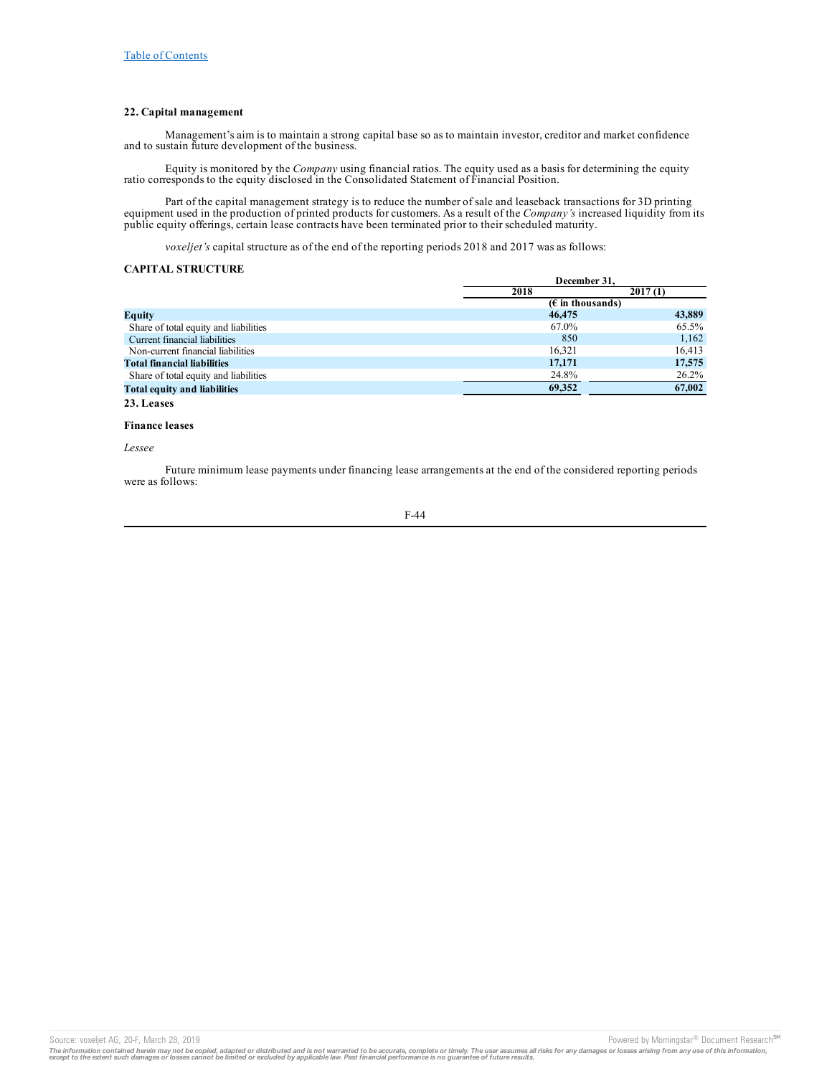## **22. Capital management**

Management's aim is to maintain a strong capital base so as to maintain investor, creditor and market confidence and to sustain future development of the business.

Equity is monitored by the *Company* using financial ratios. The equity used as a basis for determining the equity ratio corresponds to the equity disclosed in the Consolidated Statement of Financial Position.

Part of the capital management strategy is to reduce the number of sale and leaseback transactions for 3D printing equipment used in the production of printed products for customers. As a result of the *Company's* increased liquidity from its public equity offerings, certain lease contracts have been terminated prior to their scheduled maturity.

*voxeljet's* capital structure as of the end of the reporting periods 2018 and 2017 was as follows:

## **CAPITAL STRUCTURE**

|                                       |                                    | December 31. |  |  |
|---------------------------------------|------------------------------------|--------------|--|--|
|                                       | 2018                               | 2017(1)      |  |  |
|                                       | $(E \in \mathbb{R})$ in thousands) |              |  |  |
| Equity                                | 46,475                             | 43,889       |  |  |
| Share of total equity and liabilities | 67.0%                              | 65.5%        |  |  |
| Current financial liabilities         | 850                                | 1,162        |  |  |
| Non-current financial liabilities     | 16.321                             | 16,413       |  |  |
| <b>Total financial liabilities</b>    | 17,171                             | 17,575       |  |  |
| Share of total equity and liabilities | 24.8%                              | $26.2\%$     |  |  |
| <b>Total equity and liabilities</b>   | 69,352                             | 67,002       |  |  |
| 23. Leases                            |                                    |              |  |  |

#### **Finance leases**

#### *Lessee*

Future minimum lease payments under financing lease arrangements at the end of the considered reporting periods were as follows:

$$
F-44
$$

Source: voxeljet AG, 20-F, March 28, 2019 **Powered by Morningstar® Document Research** <sup>54</sup>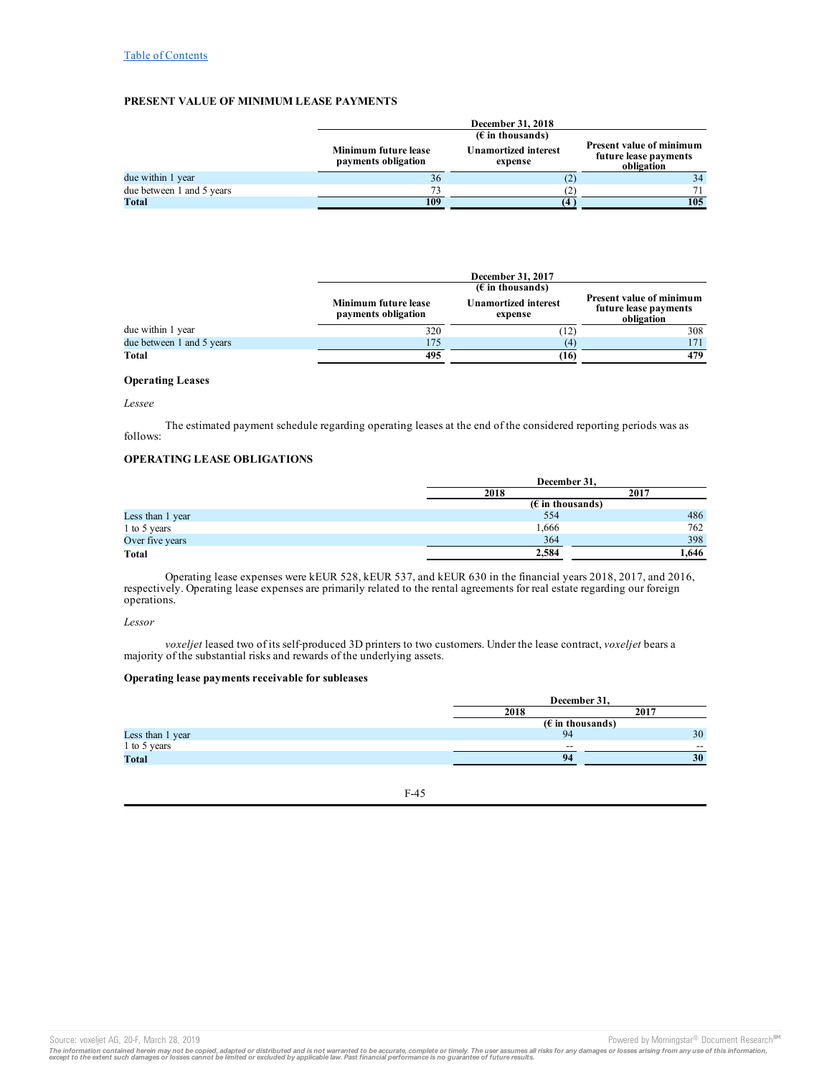## **PRESENT VALUE OF MINIMUM LEASE PAYMENTS**

|                           |                                                    | December 31, 2018                      |                                                                        |  |  |
|---------------------------|----------------------------------------------------|----------------------------------------|------------------------------------------------------------------------|--|--|
|                           | $(E$ in thousands)                                 |                                        |                                                                        |  |  |
|                           | <b>Minimum future lease</b><br>payments obligation | <b>Unamortized interest</b><br>expense | <b>Present value of minimum</b><br>future lease payments<br>obligation |  |  |
| due within 1 year         | 36                                                 | (2)                                    | 34                                                                     |  |  |
| due between 1 and 5 years | 73                                                 |                                        | 71                                                                     |  |  |
| Total                     | 109                                                |                                        | 105                                                                    |  |  |

|                           |                                                       | December 31, 2017                      |     |  |  |
|---------------------------|-------------------------------------------------------|----------------------------------------|-----|--|--|
|                           | $(E$ in thousands)<br><b>Present value of minimum</b> |                                        |     |  |  |
|                           | Minimum future lease<br>payments obligation           | <b>Unamortized interest</b><br>expense |     |  |  |
| due within 1 year         | 320                                                   | (12)                                   | 308 |  |  |
| due between 1 and 5 years | 175                                                   | $\left( 4\right)$                      | 171 |  |  |
| Total                     | 495                                                   | (16)                                   | 479 |  |  |

## **Operating Leases**

### *Lessee*

The estimated payment schedule regarding operating leases at the end of the considered reporting periods was as follows:

## **OPERATING LEASE OBLIGATIONS**

|                  |                           | December 31, |  |  |
|------------------|---------------------------|--------------|--|--|
|                  | 2018                      | 2017         |  |  |
|                  | $(\epsilon$ in thousands) |              |  |  |
| Less than 1 year | 554                       | 486          |  |  |
| 1 to 5 years     | 1,666                     | 762          |  |  |
| Over five years  | 364                       | 398          |  |  |
| Total            | 2,584                     | 1.646        |  |  |

Operating lease expenses were kEUR 528, kEUR 537, and kEUR 630 in the financial years 2018, 2017, and 2016, respectively. Operating lease expenses are primarily related to the rental agreements for real estate regarding our foreign operations.

*Lessor*

*voxeljet* leased two of its self‑produced 3D printers to two customers. Under the lease contract, *voxeljet* bears a majority of the substantial risks and rewards of the underlying assets.

### **Operating lease payments receivable for subleases**

| December 31,                       |       |
|------------------------------------|-------|
| 2018                               | 2017  |
| $(E \in \mathbb{R})$ in thousands) |       |
| 94                                 | 30    |
| $- -$                              | $- -$ |
| 94                                 | 30    |
|                                    |       |

F-45

Source: voxeljet AG, 20-F, March 28, 2019 **Powered by Morningstar® Document Research** Morningstar® Document Research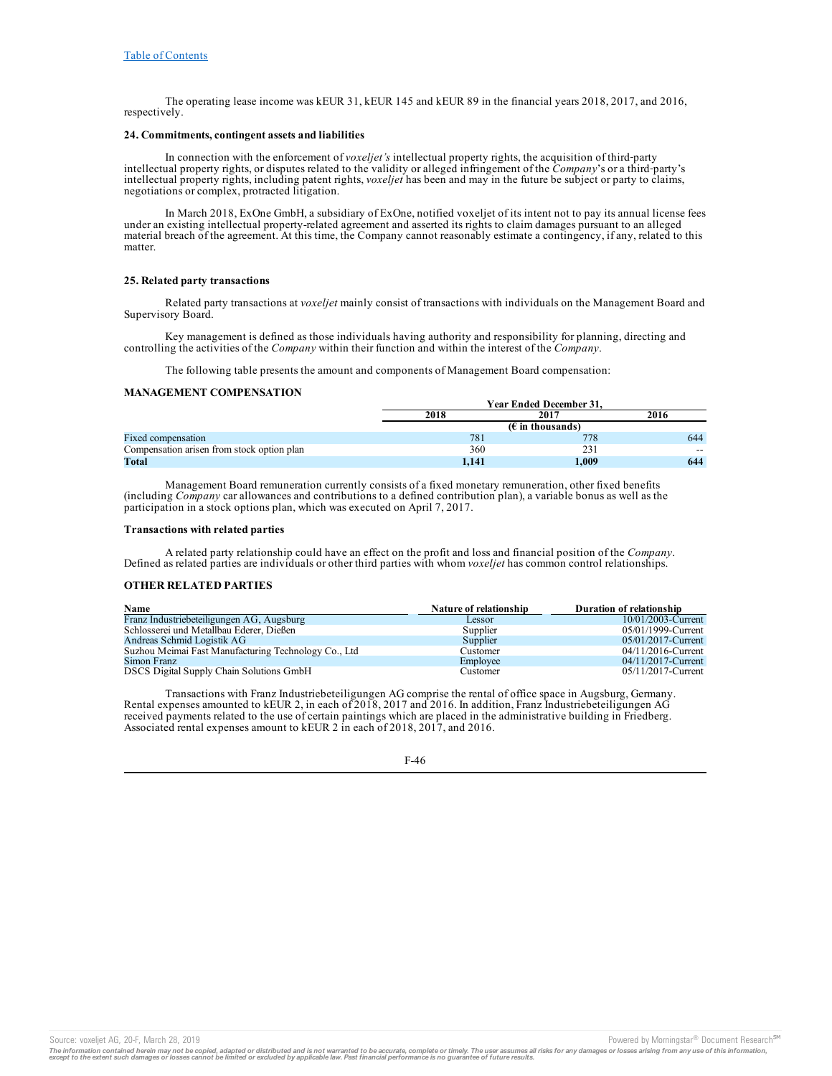The operating lease income was kEUR 31, kEUR 145 and kEUR 89 in the financial years 2018, 2017, and 2016, respectively.

## **24. Commitments, contingent assets and liabilities**

In connection with the enforcement of *voxeljet's* intellectual property rights, the acquisition of third-party intellectual property rights, or disputes related to the validity or alleged infringement of the *Company*'s or a third-party's intellectual property rights, including patent rights, *voxeljet* has been and may in the future be subject or party to claims, negotiations or complex, protracted litigation.

In March 2018, ExOne GmbH, a subsidiary of ExOne, notified voxeljet of its intent not to pay its annual license fees under an existing intellectual property-related agreement and asserted its rights to claim damages pursuant to an alleged material breach of the agreement. At this time, the Company cannot reasonably estimate a contingency, if any, related to this matter.

### **25. Related party transactions**

Related party transactions at *voxeljet* mainly consist of transactions with individuals on the Management Board and Supervisory Board.

Key management is defined as those individuals having authority and responsibility for planning, directing and controlling the activities of the *Company* within their function and within the interest of the *Company*.

The following table presents the amount and components of Management Board compensation:

## **MANAGEMENT COMPENSATION**

|                                            | <b>Year Ended December 31.</b>     |       |       |
|--------------------------------------------|------------------------------------|-------|-------|
|                                            | 2018                               | 2017  | 2016  |
|                                            | $(E \in \mathbb{R})$ in thousands) |       |       |
| Fixed compensation                         | 781                                | 778   | 644   |
| Compensation arisen from stock option plan | 360                                | 231   | $- -$ |
| Total                                      | 1.141                              | 1,009 | 644   |

Management Board remuneration currently consists of a fixed monetary remuneration, other fixed benefits (including *Company* car allowances and contributions to a defined contribution plan), a variable bonus as well as the participation in a stock options plan, which was executed on April 7, 2017.

### **Transactions with related parties**

A related party relationship could have an effect on the profit and loss and financial position of the *Company*. Defined as related parties are individuals or other third parties with whom *voxeljet* has common control relationships.

### **OTHER RELATED PARTIES**

| Name                                                 | Nature of relationship | Duration of relationship |
|------------------------------------------------------|------------------------|--------------------------|
| Franz Industriebeteiligungen AG, Augsburg            | Lessor                 | 10/01/2003-Current       |
| Schlosserei und Metallbau Ederer, Dießen             | Supplier               | 05/01/1999-Current       |
| Andreas Schmid Logistik AG                           | Supplier               | 05/01/2017-Current       |
| Suzhou Meimai Fast Manufacturing Technology Co., Ltd | Customer               | 04/11/2016-Current       |
| Simon Franz                                          | Employee               | 04/11/2017-Current       |
| DSCS Digital Supply Chain Solutions GmbH             | Customer               | 05/11/2017-Current       |

Transactions with Franz Industriebeteiligungen AG comprise the rental of office space in Augsburg, Germany. Rental expenses amounted to kEUR 2, in each of 2018, 2017 and 2016. In addition, Franz Industriebeteiligungen AG received payments related to the use of certain paintings which are placed in the administrative building in Friedberg. Associated rental expenses amount to kEUR 2 in each of 2018, 2017, and 2016.



Source: voxeljet AG, 20-F, March 28, 2019<br>The information contained herein may not be copied, adapted or distributed and is not warranted to be accurate, complete or timely. The user assumes all risks for any damages or lo